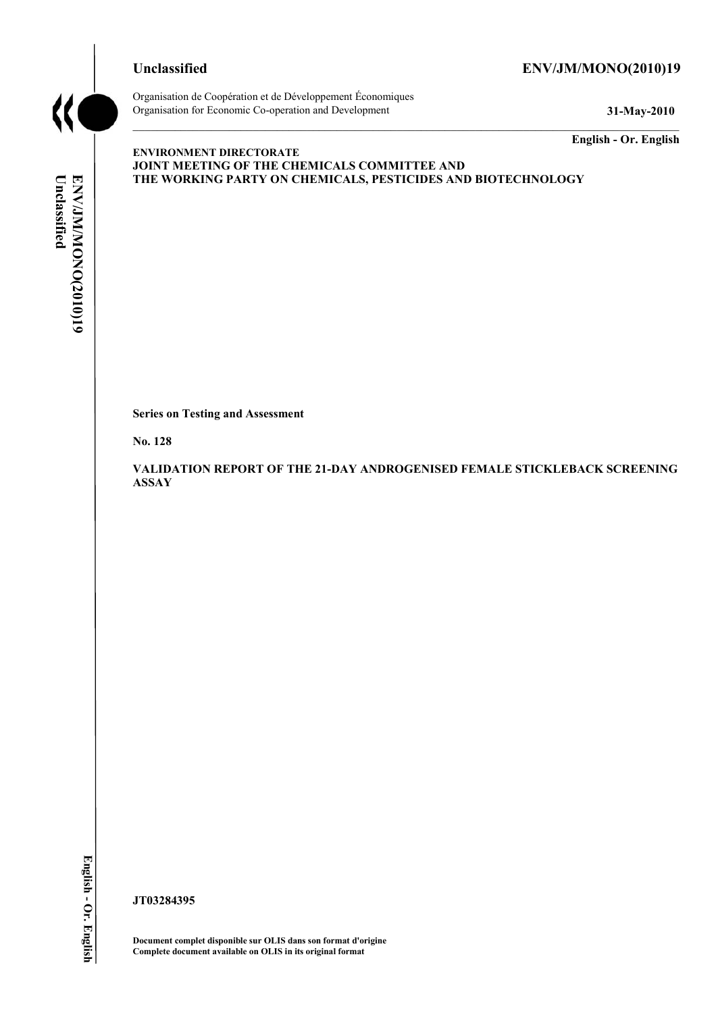# **Unclassified ENV/JM/MONO(2010)19**



Organisation de Coopération et de Développement Économiques Organisation for Economic Co-operation and Development **31-May-2010** 

**English - Or. English** 

# Unclassified ENVIMMONONO(2010)19 **Unclassified ENV/JM/MONO(2010)19 English - Or. English**

**ENVIRONMENT DIRECTORATE JOINT MEETING OF THE CHEMICALS COMMITTEE AND THE WORKING PARTY ON CHEMICALS, PESTICIDES AND BIOTECHNOLOGY** 

**Series on Testing and Assessment** 

**No. 128** 

**VALIDATION REPORT OF THE 21-DAY ANDROGENISED FEMALE STICKLEBACK SCREENING ASSAY** 

**JT03284395** 

**Document complet disponible sur OLIS dans son format d'origine Complete document available on OLIS in its original format**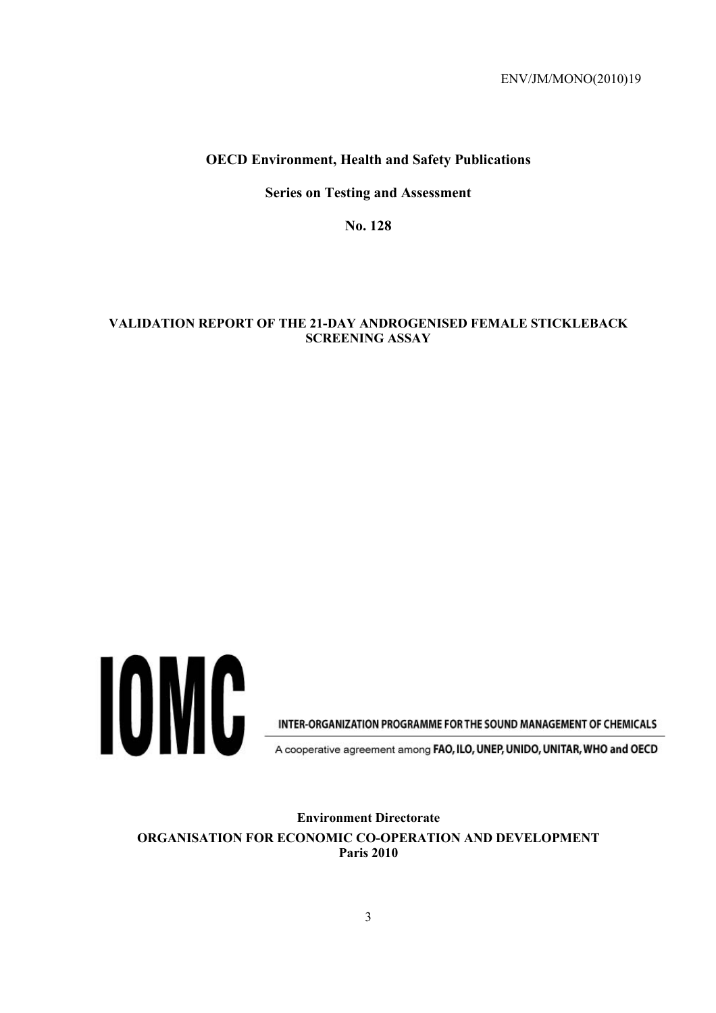#### **OECD Environment, Health and Safety Publications**

**Series on Testing and Assessment** 

**No. 128** 

#### **VALIDATION REPORT OF THE 21-DAY ANDROGENISED FEMALE STICKLEBACK SCREENING ASSAY**



INTER-ORGANIZATION PROGRAMME FOR THE SOUND MANAGEMENT OF CHEMICALS

A cooperative agreement among FAO, ILO, UNEP, UNIDO, UNITAR, WHO and OECD

**Environment Directorate ORGANISATION FOR ECONOMIC CO-OPERATION AND DEVELOPMENT Paris 2010**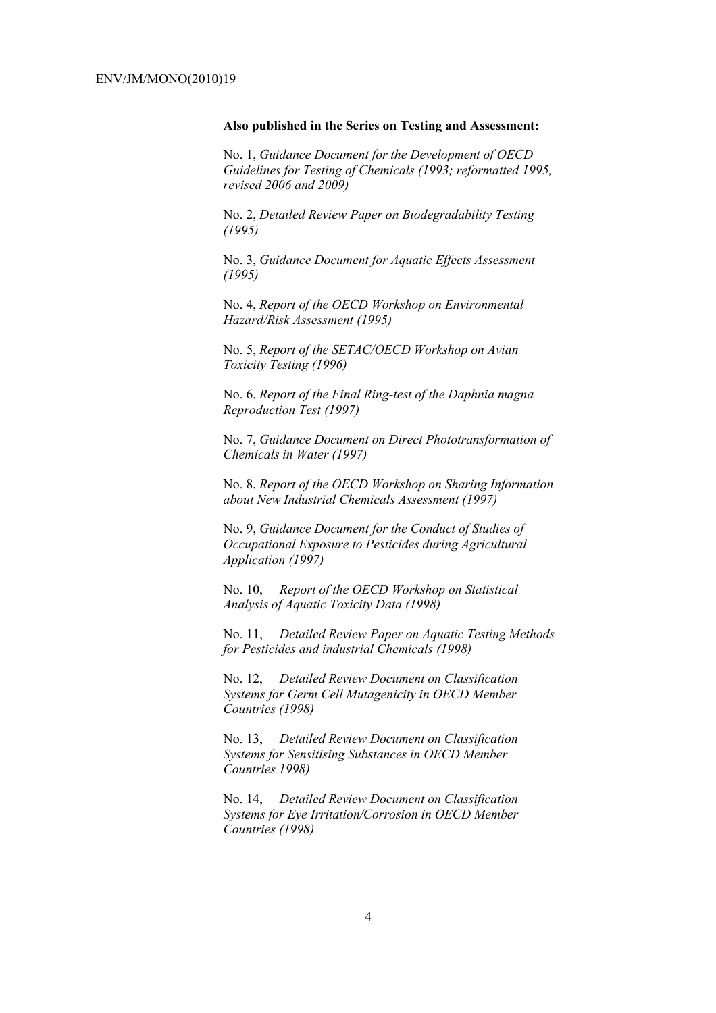#### **Also published in the Series on Testing and Assessment:**

No. 1, *Guidance Document for the Development of OECD Guidelines for Testing of Chemicals (1993; reformatted 1995, revised 2006 and 2009)*

No. 2, *Detailed Review Paper on Biodegradability Testing (1995)*

No. 3, *Guidance Document for Aquatic Effects Assessment (1995)* 

No. 4, *Report of the OECD Workshop on Environmental Hazard/Risk Assessment (1995)*

No. 5, *Report of the SETAC/OECD Workshop on Avian Toxicity Testing (1996)*

No. 6, *Report of the Final Ring-test of the Daphnia magna Reproduction Test (1997)*

No. 7, *Guidance Document on Direct Phototransformation of Chemicals in Water (1997)* 

No. 8, *Report of the OECD Workshop on Sharing Information about New Industrial Chemicals Assessment (1997)*

No. 9, *Guidance Document for the Conduct of Studies of Occupational Exposure to Pesticides during Agricultural Application (1997)*

No. 10, *Report of the OECD Workshop on Statistical Analysis of Aquatic Toxicity Data (1998)*

No. 11, *Detailed Review Paper on Aquatic Testing Methods for Pesticides and industrial Chemicals (1998)*

No. 12, *Detailed Review Document on Classification Systems for Germ Cell Mutagenicity in OECD Member Countries (1998)*

No. 13, *Detailed Review Document on Classification Systems for Sensitising Substances in OECD Member Countries 1998)*

No. 14, *Detailed Review Document on Classification Systems for Eye Irritation/Corrosion in OECD Member Countries (1998)*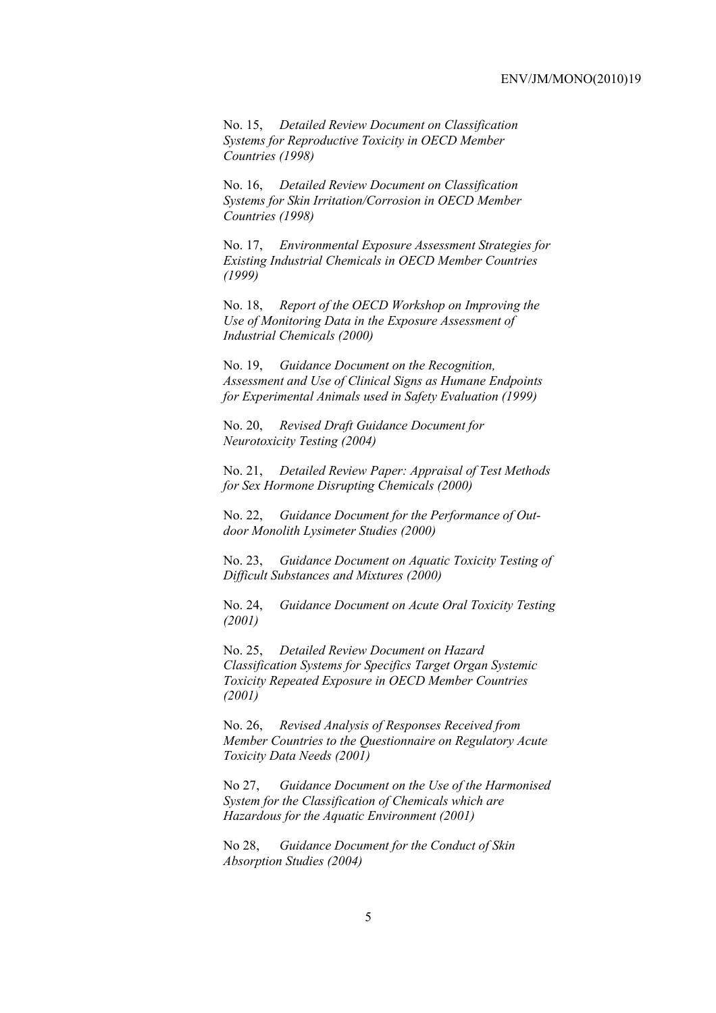No. 15, *Detailed Review Document on Classification Systems for Reproductive Toxicity in OECD Member Countries (1998)*

No. 16, *Detailed Review Document on Classification Systems for Skin Irritation/Corrosion in OECD Member Countries (1998)*

No. 17, *Environmental Exposure Assessment Strategies for Existing Industrial Chemicals in OECD Member Countries (1999)*

No. 18, *Report of the OECD Workshop on Improving the Use of Monitoring Data in the Exposure Assessment of Industrial Chemicals (2000)*

No. 19, *Guidance Document on the Recognition, Assessment and Use of Clinical Signs as Humane Endpoints for Experimental Animals used in Safety Evaluation (1999)*

No. 20, *Revised Draft Guidance Document for Neurotoxicity Testing (2004)*

No. 21, *Detailed Review Paper: Appraisal of Test Methods for Sex Hormone Disrupting Chemicals (2000)*

No. 22, *Guidance Document for the Performance of Outdoor Monolith Lysimeter Studies (2000)*

No. 23, *Guidance Document on Aquatic Toxicity Testing of Difficult Substances and Mixtures (2000)*

No. 24, *Guidance Document on Acute Oral Toxicity Testing (2001)*

No. 25, *Detailed Review Document on Hazard Classification Systems for Specifics Target Organ Systemic Toxicity Repeated Exposure in OECD Member Countries (2001)*

No. 26, *Revised Analysis of Responses Received from Member Countries to the Questionnaire on Regulatory Acute Toxicity Data Needs (2001)*

No 27, *Guidance Document on the Use of the Harmonised System for the Classification of Chemicals which are Hazardous for the Aquatic Environment (2001)*

No 28, *Guidance Document for the Conduct of Skin Absorption Studies (2004)*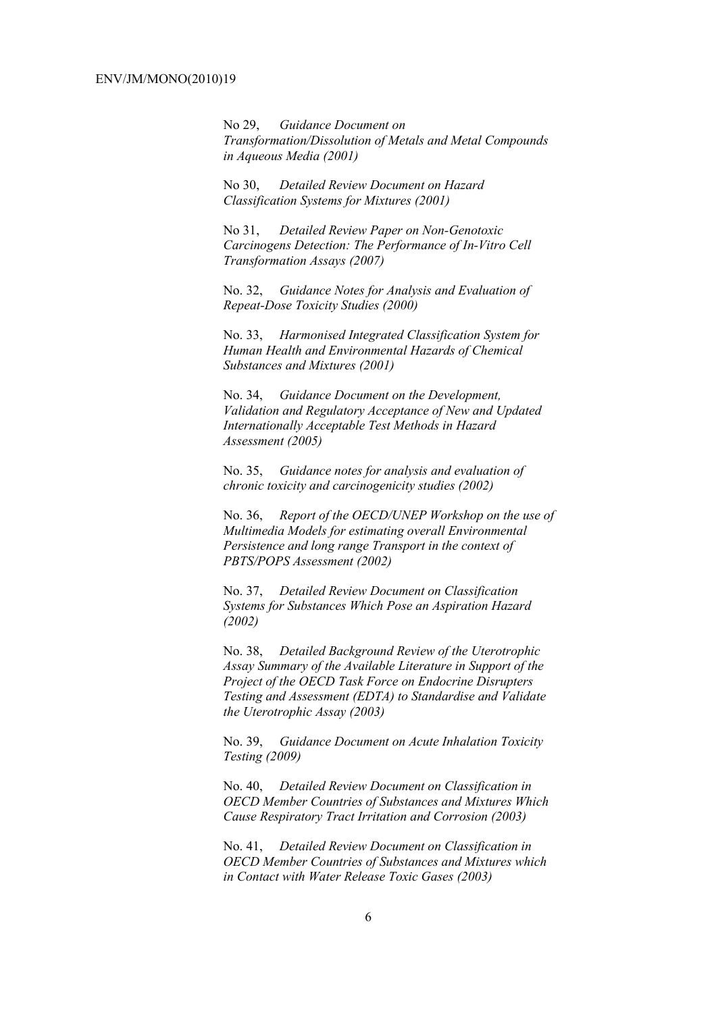No 29, *Guidance Document on Transformation/Dissolution of Metals and Metal Compounds in Aqueous Media (2001)*

No 30, *Detailed Review Document on Hazard Classification Systems for Mixtures (2001)*

No 31, *Detailed Review Paper on Non-Genotoxic Carcinogens Detection: The Performance of In-Vitro Cell Transformation Assays (2007)* 

No. 32, *Guidance Notes for Analysis and Evaluation of Repeat-Dose Toxicity Studies (2000)*

No. 33, *Harmonised Integrated Classification System for Human Health and Environmental Hazards of Chemical Substances and Mixtures (2001)*

No. 34, *Guidance Document on the Development, Validation and Regulatory Acceptance of New and Updated Internationally Acceptable Test Methods in Hazard Assessment (2005)*

No. 35, *Guidance notes for analysis and evaluation of chronic toxicity and carcinogenicity studies (2002)*

No. 36, *Report of the OECD/UNEP Workshop on the use of Multimedia Models for estimating overall Environmental Persistence and long range Transport in the context of PBTS/POPS Assessment (2002)*

No. 37, *Detailed Review Document on Classification Systems for Substances Which Pose an Aspiration Hazard (2002)*

No. 38, *Detailed Background Review of the Uterotrophic Assay Summary of the Available Literature in Support of the Project of the OECD Task Force on Endocrine Disrupters Testing and Assessment (EDTA) to Standardise and Validate the Uterotrophic Assay (2003)*

No. 39, *Guidance Document on Acute Inhalation Toxicity Testing (2009)*

No. 40, *Detailed Review Document on Classification in OECD Member Countries of Substances and Mixtures Which Cause Respiratory Tract Irritation and Corrosion (2003)*

No. 41, *Detailed Review Document on Classification in OECD Member Countries of Substances and Mixtures which in Contact with Water Release Toxic Gases (2003)*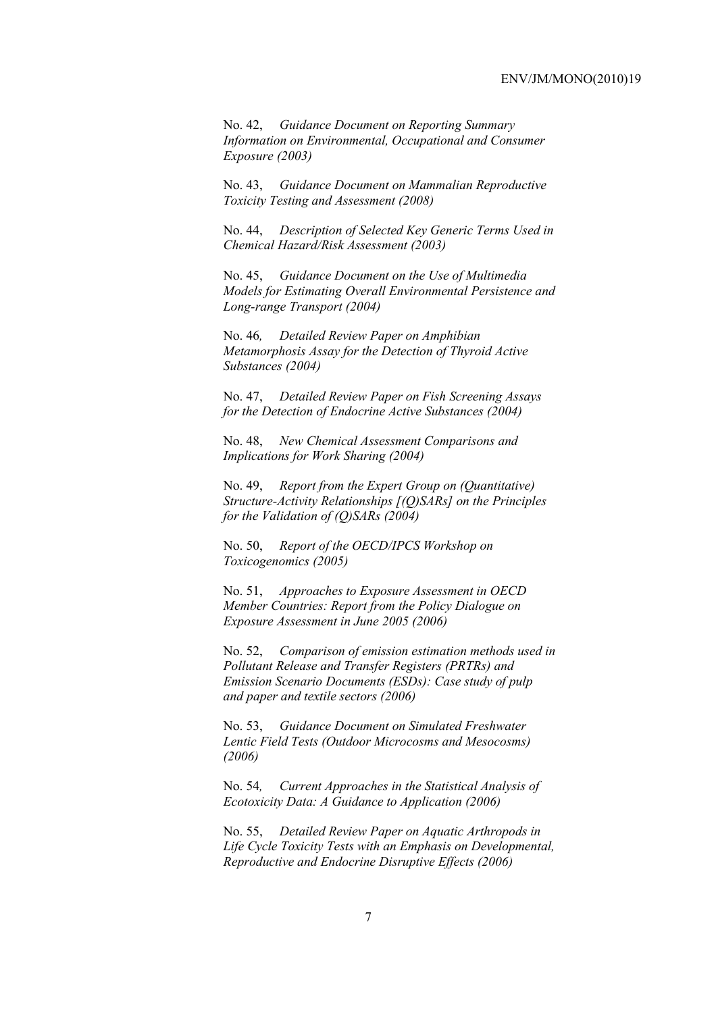No. 42, *Guidance Document on Reporting Summary Information on Environmental, Occupational and Consumer Exposure (2003)*

No. 43, *Guidance Document on Mammalian Reproductive Toxicity Testing and Assessment (2008)*

No. 44, *Description of Selected Key Generic Terms Used in Chemical Hazard/Risk Assessment (2003)* 

No. 45, *Guidance Document on the Use of Multimedia Models for Estimating Overall Environmental Persistence and Long-range Transport (2004)*

No. 46*, Detailed Review Paper on Amphibian Metamorphosis Assay for the Detection of Thyroid Active Substances (2004)* 

No. 47, *Detailed Review Paper on Fish Screening Assays for the Detection of Endocrine Active Substances (2004)* 

No. 48, *New Chemical Assessment Comparisons and Implications for Work Sharing (2004)* 

No. 49, *Report from the Expert Group on (Quantitative) Structure-Activity Relationships [(Q)SARs] on the Principles for the Validation of (Q)SARs (2004)* 

No. 50, *Report of the OECD/IPCS Workshop on Toxicogenomics (2005)* 

No. 51, *Approaches to Exposure Assessment in OECD Member Countries: Report from the Policy Dialogue on Exposure Assessment in June 2005 (2006)* 

No. 52, *Comparison of emission estimation methods used in Pollutant Release and Transfer Registers (PRTRs) and Emission Scenario Documents (ESDs): Case study of pulp and paper and textile sectors (2006)* 

No. 53, *Guidance Document on Simulated Freshwater Lentic Field Tests (Outdoor Microcosms and Mesocosms) (2006)* 

No. 54*, Current Approaches in the Statistical Analysis of Ecotoxicity Data: A Guidance to Application (2006)* 

No. 55, *Detailed Review Paper on Aquatic Arthropods in Life Cycle Toxicity Tests with an Emphasis on Developmental, Reproductive and Endocrine Disruptive Effects (2006)*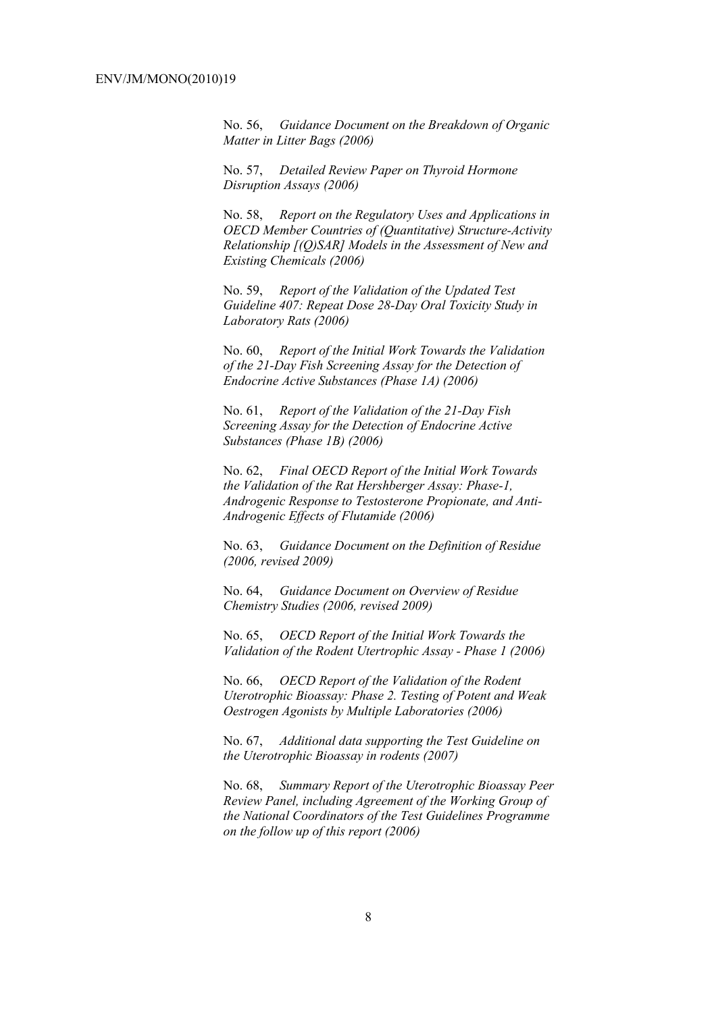No. 56, *Guidance Document on the Breakdown of Organic Matter in Litter Bags (2006)* 

No. 57, *Detailed Review Paper on Thyroid Hormone Disruption Assays (2006)* 

No. 58, *Report on the Regulatory Uses and Applications in OECD Member Countries of (Quantitative) Structure-Activity Relationship [(Q)SAR] Models in the Assessment of New and Existing Chemicals (2006)* 

No. 59, *Report of the Validation of the Updated Test Guideline 407: Repeat Dose 28-Day Oral Toxicity Study in Laboratory Rats (2006)* 

No. 60, *Report of the Initial Work Towards the Validation of the 21-Day Fish Screening Assay for the Detection of Endocrine Active Substances (Phase 1A) (2006)* 

No. 61, *Report of the Validation of the 21-Day Fish Screening Assay for the Detection of Endocrine Active Substances (Phase 1B) (2006)* 

No. 62, *Final OECD Report of the Initial Work Towards the Validation of the Rat Hershberger Assay: Phase-1, Androgenic Response to Testosterone Propionate, and Anti-Androgenic Effects of Flutamide (2006)* 

No. 63, *Guidance Document on the Definition of Residue (2006, revised 2009)* 

No. 64, *Guidance Document on Overview of Residue Chemistry Studies (2006, revised 2009)* 

No. 65, *OECD Report of the Initial Work Towards the Validation of the Rodent Utertrophic Assay - Phase 1 (2006)* 

No. 66, *OECD Report of the Validation of the Rodent Uterotrophic Bioassay: Phase 2. Testing of Potent and Weak Oestrogen Agonists by Multiple Laboratories (2006)* 

No. 67, *Additional data supporting the Test Guideline on the Uterotrophic Bioassay in rodents (2007)* 

No. 68, *Summary Report of the Uterotrophic Bioassay Peer Review Panel, including Agreement of the Working Group of the National Coordinators of the Test Guidelines Programme on the follow up of this report (2006)*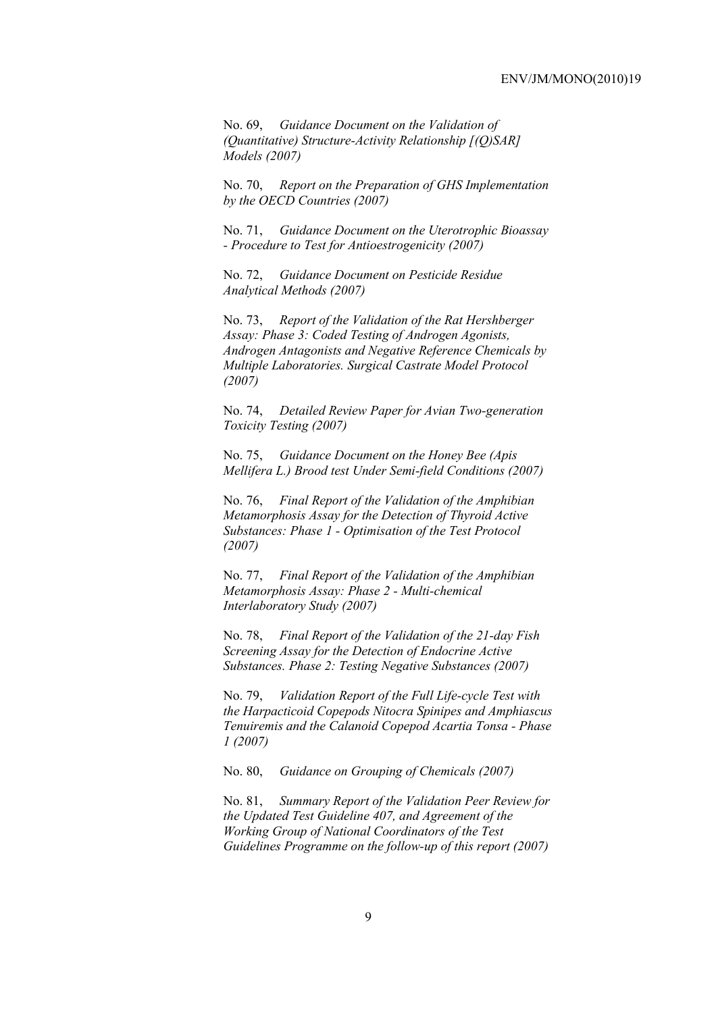No. 69, *Guidance Document on the Validation of (Quantitative) Structure-Activity Relationship [(Q)SAR] Models (2007)* 

No. 70, *Report on the Preparation of GHS Implementation by the OECD Countries (2007)*

No. 71, *Guidance Document on the Uterotrophic Bioassay - Procedure to Test for Antioestrogenicity (2007)*

No. 72, *Guidance Document on Pesticide Residue Analytical Methods (2007)* 

No. 73, *Report of the Validation of the Rat Hershberger Assay: Phase 3: Coded Testing of Androgen Agonists, Androgen Antagonists and Negative Reference Chemicals by Multiple Laboratories. Surgical Castrate Model Protocol (2007)* 

No. 74, *Detailed Review Paper for Avian Two-generation Toxicity Testing (2007)*

No. 75, *Guidance Document on the Honey Bee (Apis Mellifera L.) Brood test Under Semi-field Conditions (2007)* 

No. 76, *Final Report of the Validation of the Amphibian Metamorphosis Assay for the Detection of Thyroid Active Substances: Phase 1 - Optimisation of the Test Protocol (2007)* 

No. 77, *Final Report of the Validation of the Amphibian Metamorphosis Assay: Phase 2 - Multi-chemical Interlaboratory Study (2007)* 

No. 78, *Final Report of the Validation of the 21-day Fish Screening Assay for the Detection of Endocrine Active Substances. Phase 2: Testing Negative Substances (2007)* 

No. 79, *Validation Report of the Full Life-cycle Test with the Harpacticoid Copepods Nitocra Spinipes and Amphiascus Tenuiremis and the Calanoid Copepod Acartia Tonsa - Phase 1 (2007)* 

No. 80, *Guidance on Grouping of Chemicals (2007)* 

No. 81, *Summary Report of the Validation Peer Review for the Updated Test Guideline 407, and Agreement of the Working Group of National Coordinators of the Test Guidelines Programme on the follow-up of this report (2007)*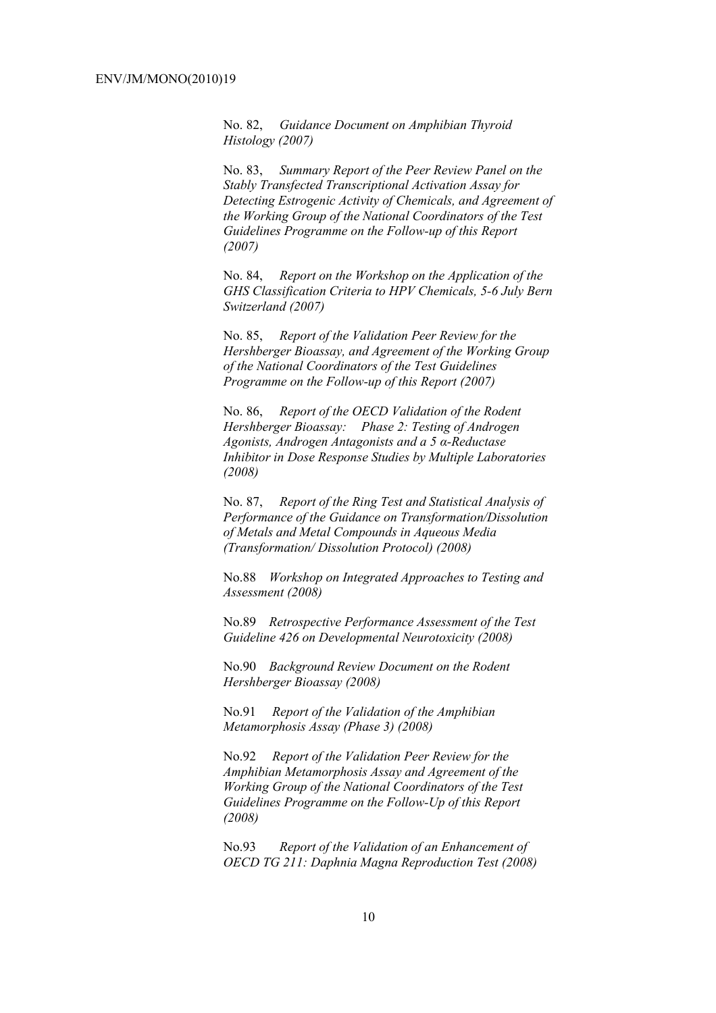No. 82, *Guidance Document on Amphibian Thyroid Histology (2007)* 

No. 83, *Summary Report of the Peer Review Panel on the Stably Transfected Transcriptional Activation Assay for Detecting Estrogenic Activity of Chemicals, and Agreement of the Working Group of the National Coordinators of the Test Guidelines Programme on the Follow-up of this Report (2007)* 

No. 84, *Report on the Workshop on the Application of the GHS Classification Criteria to HPV Chemicals, 5-6 July Bern Switzerland (2007)* 

No. 85, *Report of the Validation Peer Review for the Hershberger Bioassay, and Agreement of the Working Group of the National Coordinators of the Test Guidelines Programme on the Follow-up of this Report (2007)* 

No. 86, *Report of the OECD Validation of the Rodent Hershberger Bioassay: Phase 2: Testing of Androgen Agonists, Androgen Antagonists and a 5 α-Reductase Inhibitor in Dose Response Studies by Multiple Laboratories (2008)*

No. 87, *Report of the Ring Test and Statistical Analysis of Performance of the Guidance on Transformation/Dissolution of Metals and Metal Compounds in Aqueous Media (Transformation/ Dissolution Protocol) (2008)*

No.88 *Workshop on Integrated Approaches to Testing and Assessment (2008)* 

No.89 *Retrospective Performance Assessment of the Test Guideline 426 on Developmental Neurotoxicity (2008)* 

No.90 *Background Review Document on the Rodent Hershberger Bioassay (2008)* 

No.91 *Report of the Validation of the Amphibian Metamorphosis Assay (Phase 3) (2008)* 

No.92 *Report of the Validation Peer Review for the Amphibian Metamorphosis Assay and Agreement of the Working Group of the National Coordinators of the Test Guidelines Programme on the Follow-Up of this Report (2008)* 

No.93 *Report of the Validation of an Enhancement of OECD TG 211: Daphnia Magna Reproduction Test (2008)*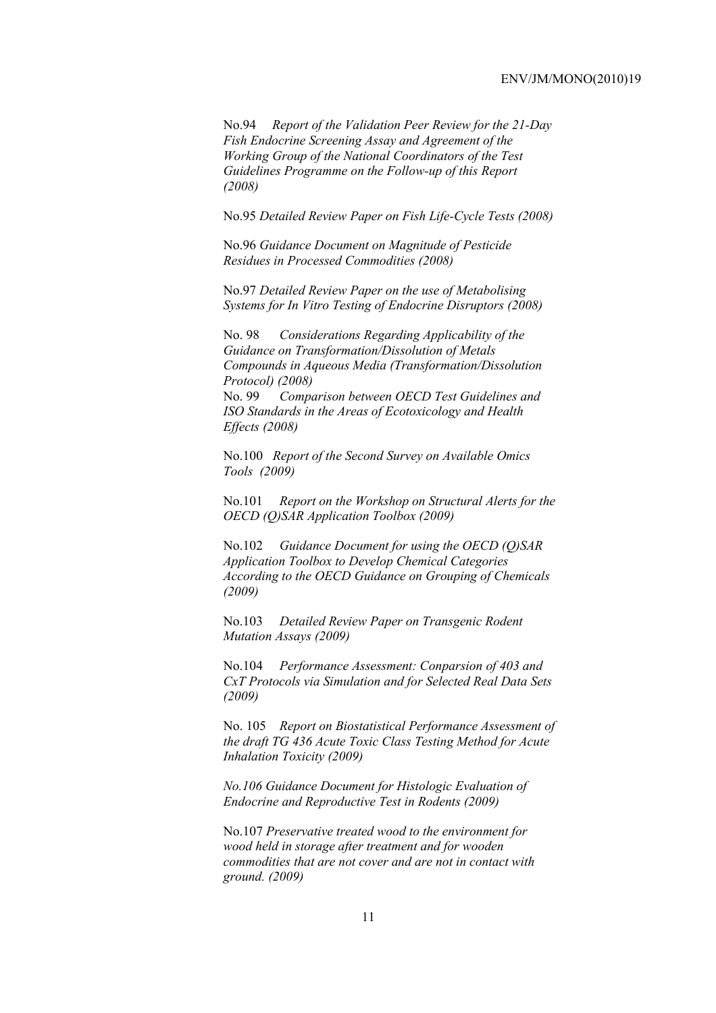No.94 *Report of the Validation Peer Review for the 21-Day Fish Endocrine Screening Assay and Agreement of the Working Group of the National Coordinators of the Test Guidelines Programme on the Follow-up of this Report (2008)* 

No.95 *Detailed Review Paper on Fish Life-Cycle Tests (2008)* 

No.96 *Guidance Document on Magnitude of Pesticide Residues in Processed Commodities (2008)* 

No.97 *Detailed Review Paper on the use of Metabolising Systems for In Vitro Testing of Endocrine Disruptors (2008)* 

No. 98 *Considerations Regarding Applicability of the Guidance on Transformation/Dissolution of Metals Compounds in Aqueous Media (Transformation/Dissolution Protocol) (2008)* No. 99 *Comparison between OECD Test Guidelines and ISO Standards in the Areas of Ecotoxicology and Health Effects (2008)* 

No.100 *Report of the Second Survey on Available Omics Tools (2009)* 

No.101 *Report on the Workshop on Structural Alerts for the OECD (Q)SAR Application Toolbox (2009)* 

No.102 *Guidance Document for using the OECD (Q)SAR Application Toolbox to Develop Chemical Categories According to the OECD Guidance on Grouping of Chemicals (2009)* 

No.103 *Detailed Review Paper on Transgenic Rodent Mutation Assays (2009)* 

No.104 *Performance Assessment: Conparsion of 403 and CxT Protocols via Simulation and for Selected Real Data Sets (2009)* 

No. 105 *Report on Biostatistical Performance Assessment of the draft TG 436 Acute Toxic Class Testing Method for Acute Inhalation Toxicity (2009)* 

*No.106 Guidance Document for Histologic Evaluation of Endocrine and Reproductive Test in Rodents (2009)* 

No.107 *Preservative treated wood to the environment for wood held in storage after treatment and for wooden commodities that are not cover and are not in contact with ground. (2009)*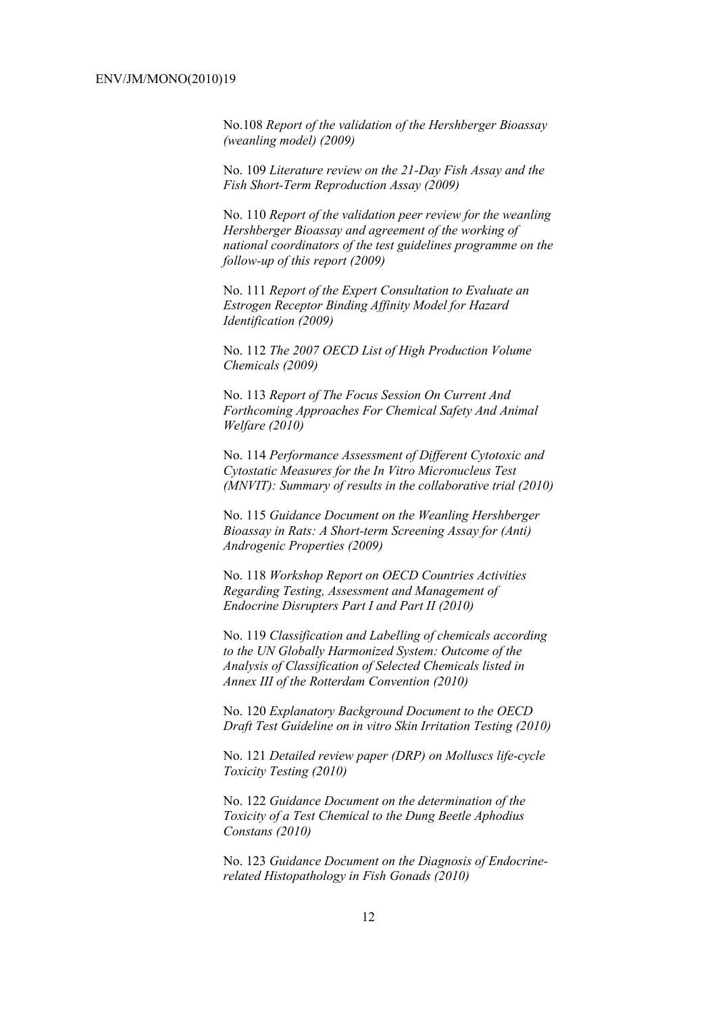No.108 *Report of the validation of the Hershberger Bioassay (weanling model) (2009)* 

No. 109 *Literature review on the 21-Day Fish Assay and the Fish Short-Term Reproduction Assay (2009)* 

No. 110 *Report of the validation peer review for the weanling Hershberger Bioassay and agreement of the working of national coordinators of the test guidelines programme on the follow-up of this report (2009)* 

No. 111 *Report of the Expert Consultation to Evaluate an Estrogen Receptor Binding Affinity Model for Hazard Identification (2009)* 

No. 112 *The 2007 OECD List of High Production Volume Chemicals (2009)* 

No. 113 *Report of The Focus Session On Current And Forthcoming Approaches For Chemical Safety And Animal Welfare (2010)* 

No. 114 *Performance Assessment of Different Cytotoxic and Cytostatic Measures for the In Vitro Micronucleus Test (MNVIT): Summary of results in the collaborative trial (2010)* 

No. 115 *Guidance Document on the Weanling Hershberger Bioassay in Rats: A Short-term Screening Assay for (Anti) Androgenic Properties (2009)* 

No. 118 *Workshop Report on OECD Countries Activities Regarding Testing, Assessment and Management of Endocrine Disrupters Part I and Part II (2010)* 

No. 119 *Classification and Labelling of chemicals according to the UN Globally Harmonized System: Outcome of the Analysis of Classification of Selected Chemicals listed in Annex III of the Rotterdam Convention (2010)* 

No. 120 *Explanatory Background Document to the OECD Draft Test Guideline on in vitro Skin Irritation Testing (2010)* 

No. 121 *Detailed review paper (DRP) on Molluscs life-cycle Toxicity Testing (2010)* 

No. 122 *Guidance Document on the determination of the Toxicity of a Test Chemical to the Dung Beetle Aphodius Constans (2010)* 

No. 123 *Guidance Document on the Diagnosis of Endocrinerelated Histopathology in Fish Gonads (2010)*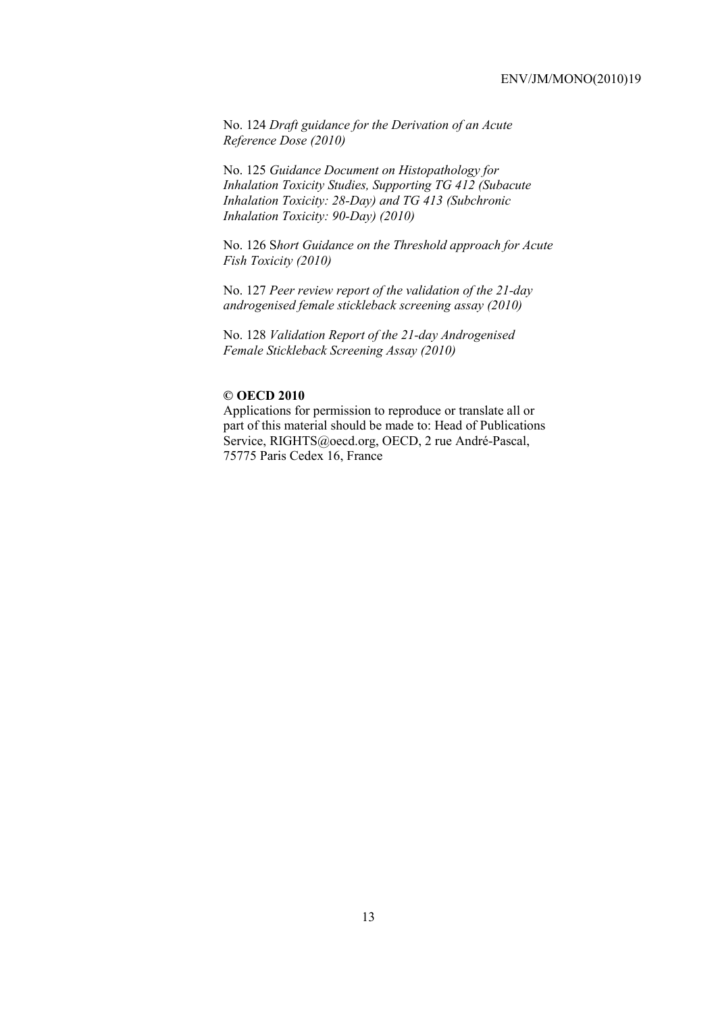No. 124 *Draft guidance for the Derivation of an Acute Reference Dose (2010)* 

No. 125 *Guidance Document on Histopathology for Inhalation Toxicity Studies, Supporting TG 412 (Subacute Inhalation Toxicity: 28-Day) and TG 413 (Subchronic Inhalation Toxicity: 90-Day) (2010)* 

No. 126 S*hort Guidance on the Threshold approach for Acute Fish Toxicity (2010)* 

No. 127 *Peer review report of the validation of the 21-day androgenised female stickleback screening assay (2010)* 

No. 128 *Validation Report of the 21-day Androgenised Female Stickleback Screening Assay (2010)* 

#### **© OECD 2010**

Applications for permission to reproduce or translate all or part of this material should be made to: Head of Publications Service, RIGHTS@oecd.org, OECD, 2 rue André-Pascal, 75775 Paris Cedex 16, France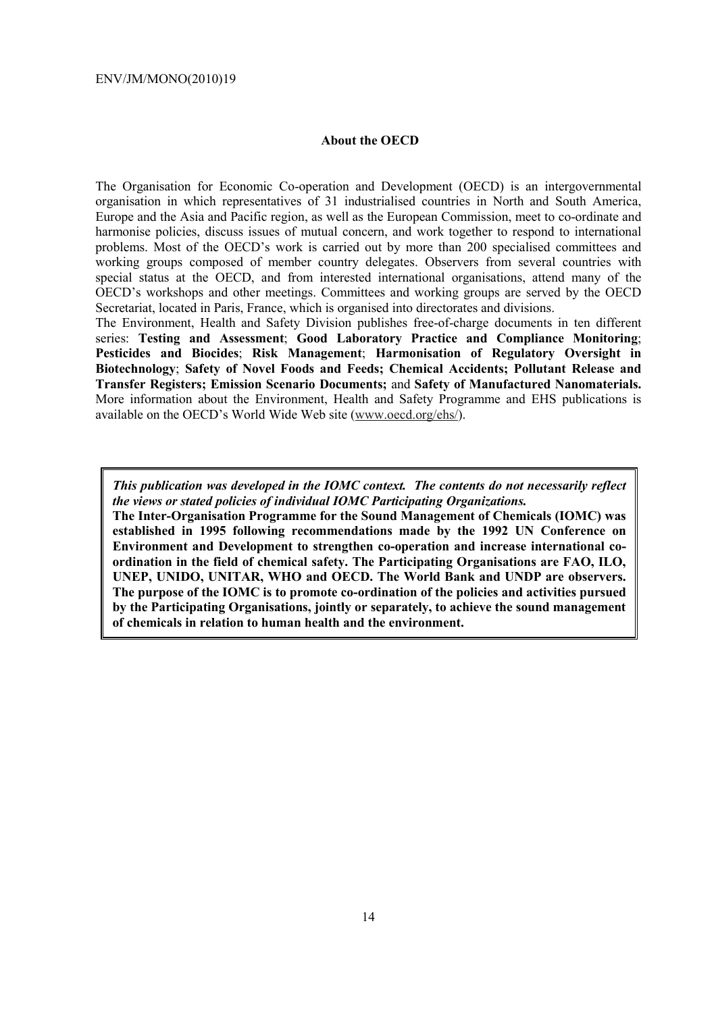#### **About the OECD**

The Organisation for Economic Co-operation and Development (OECD) is an intergovernmental organisation in which representatives of 31 industrialised countries in North and South America, Europe and the Asia and Pacific region, as well as the European Commission, meet to co-ordinate and harmonise policies, discuss issues of mutual concern, and work together to respond to international problems. Most of the OECD's work is carried out by more than 200 specialised committees and working groups composed of member country delegates. Observers from several countries with special status at the OECD, and from interested international organisations, attend many of the OECD's workshops and other meetings. Committees and working groups are served by the OECD Secretariat, located in Paris, France, which is organised into directorates and divisions.

The Environment, Health and Safety Division publishes free-of-charge documents in ten different series: **Testing and Assessment**; **Good Laboratory Practice and Compliance Monitoring**; **Pesticides and Biocides**; **Risk Management**; **Harmonisation of Regulatory Oversight in Biotechnology**; **Safety of Novel Foods and Feeds; Chemical Accidents; Pollutant Release and Transfer Registers; Emission Scenario Documents;** and **Safety of Manufactured Nanomaterials.**  More information about the Environment, Health and Safety Programme and EHS publications is available on the OECD's World Wide Web site (www.oecd.org/ehs/).

*This publication was developed in the IOMC context. The contents do not necessarily reflect the views or stated policies of individual IOMC Participating Organizations.* 

**The Inter-Organisation Programme for the Sound Management of Chemicals (IOMC) was established in 1995 following recommendations made by the 1992 UN Conference on Environment and Development to strengthen co-operation and increase international coordination in the field of chemical safety. The Participating Organisations are FAO, ILO, UNEP, UNIDO, UNITAR, WHO and OECD. The World Bank and UNDP are observers. The purpose of the IOMC is to promote co-ordination of the policies and activities pursued by the Participating Organisations, jointly or separately, to achieve the sound management of chemicals in relation to human health and the environment.**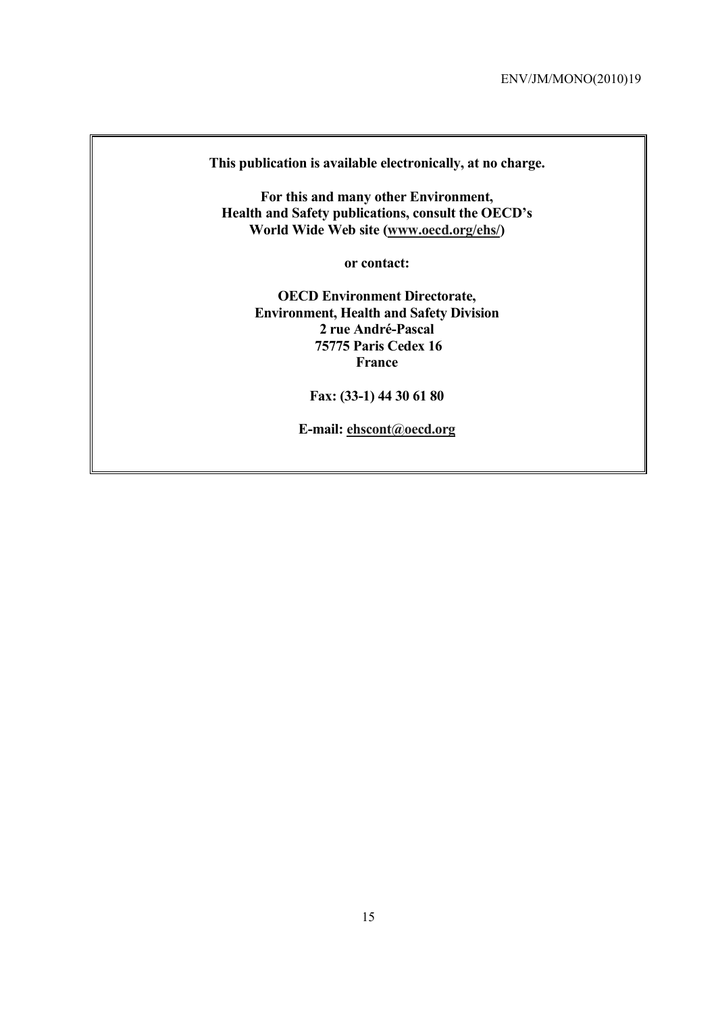**This publication is available electronically, at no charge.** 

**For this and many other Environment, Health and Safety publications, consult the OECD's World Wide Web site (www.oecd.org/ehs/)** 

**or contact:** 

**OECD Environment Directorate, Environment, Health and Safety Division 2 rue André-Pascal 75775 Paris Cedex 16 France** 

**Fax: (33-1) 44 30 61 80** 

**E-mail: ehscont@oecd.org**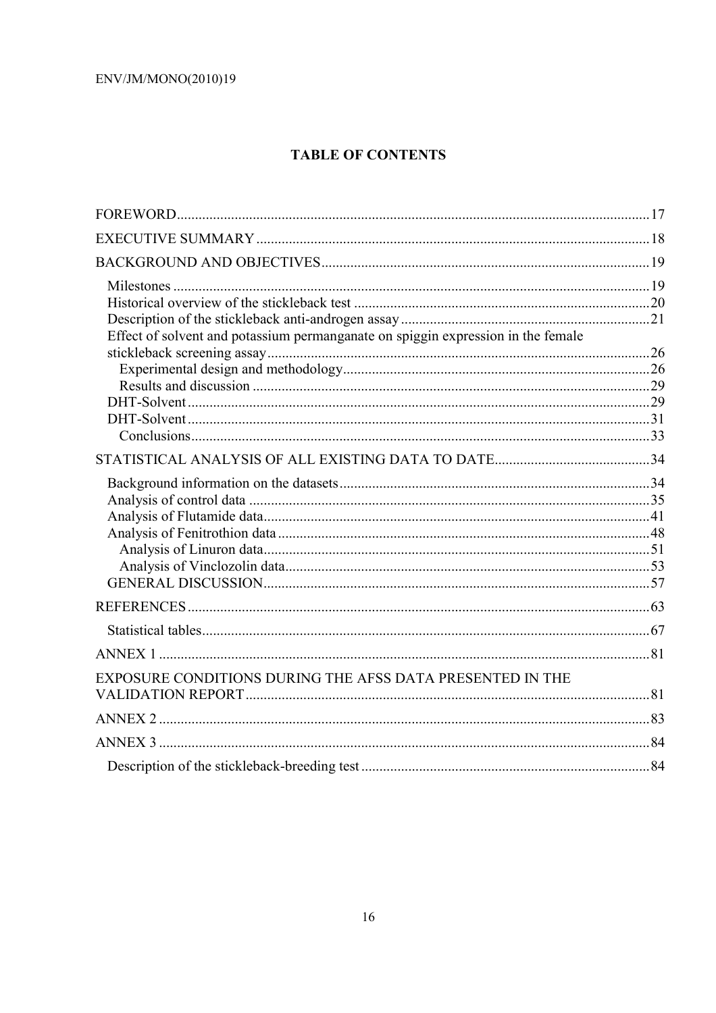# **TABLE OF CONTENTS**

| Effect of solvent and potassium permanganate on spiggin expression in the female |  |
|----------------------------------------------------------------------------------|--|
|                                                                                  |  |
|                                                                                  |  |
|                                                                                  |  |
|                                                                                  |  |
|                                                                                  |  |
|                                                                                  |  |
|                                                                                  |  |
|                                                                                  |  |
|                                                                                  |  |
|                                                                                  |  |
|                                                                                  |  |
|                                                                                  |  |
|                                                                                  |  |
|                                                                                  |  |
|                                                                                  |  |
|                                                                                  |  |
|                                                                                  |  |
| EXPOSURE CONDITIONS DURING THE AFSS DATA PRESENTED IN THE                        |  |
|                                                                                  |  |
|                                                                                  |  |
|                                                                                  |  |
|                                                                                  |  |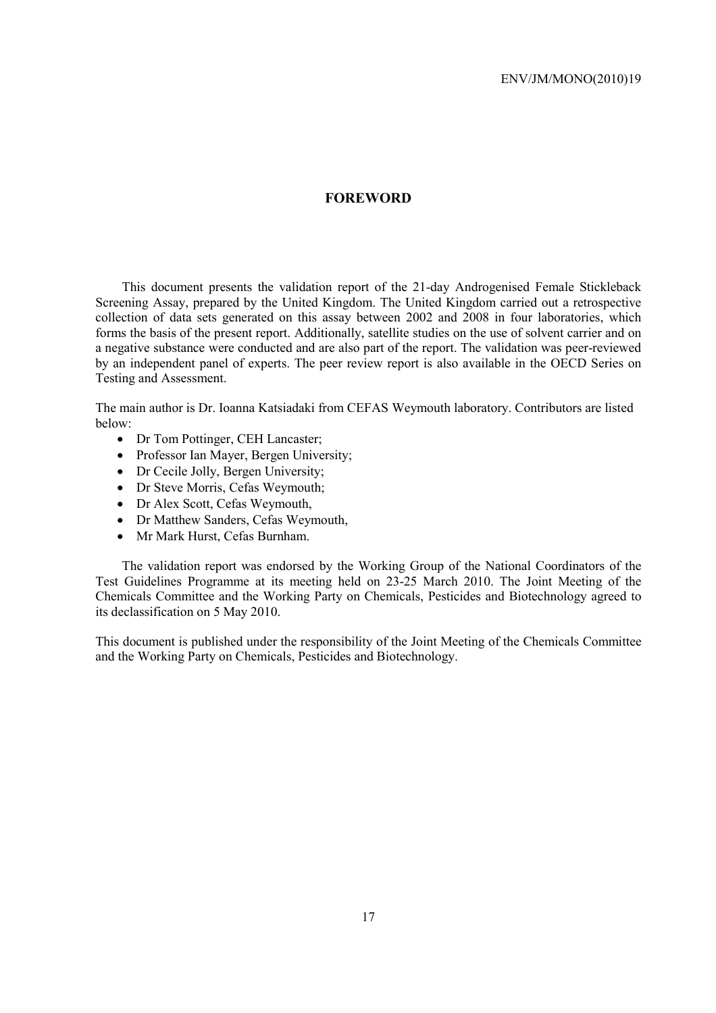#### **FOREWORD**

This document presents the validation report of the 21-day Androgenised Female Stickleback Screening Assay, prepared by the United Kingdom. The United Kingdom carried out a retrospective collection of data sets generated on this assay between 2002 and 2008 in four laboratories, which forms the basis of the present report. Additionally, satellite studies on the use of solvent carrier and on a negative substance were conducted and are also part of the report. The validation was peer-reviewed by an independent panel of experts. The peer review report is also available in the OECD Series on Testing and Assessment.

The main author is Dr. Ioanna Katsiadaki from CEFAS Weymouth laboratory. Contributors are listed below:

- Dr Tom Pottinger, CEH Lancaster;
- Professor Ian Mayer, Bergen University;
- Dr Cecile Jolly, Bergen University;
- Dr Steve Morris, Cefas Weymouth;
- Dr Alex Scott, Cefas Weymouth,
- Dr Matthew Sanders, Cefas Weymouth,
- Mr Mark Hurst, Cefas Burnham.

The validation report was endorsed by the Working Group of the National Coordinators of the Test Guidelines Programme at its meeting held on 23-25 March 2010. The Joint Meeting of the Chemicals Committee and the Working Party on Chemicals, Pesticides and Biotechnology agreed to its declassification on 5 May 2010.

This document is published under the responsibility of the Joint Meeting of the Chemicals Committee and the Working Party on Chemicals, Pesticides and Biotechnology.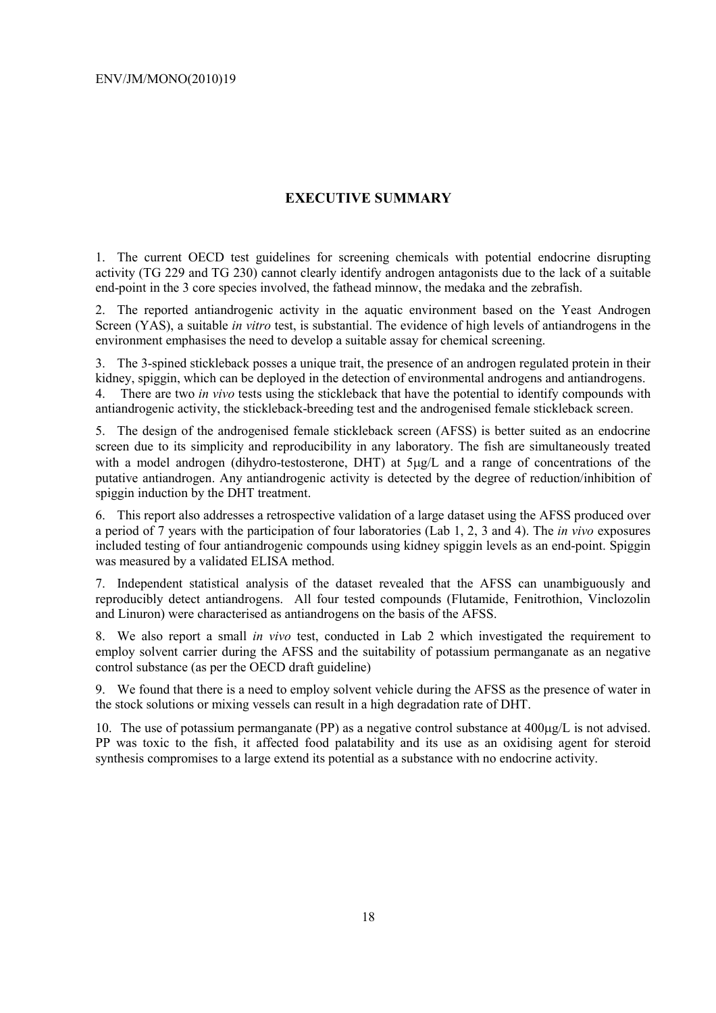# **EXECUTIVE SUMMARY**

1. The current OECD test guidelines for screening chemicals with potential endocrine disrupting activity (TG 229 and TG 230) cannot clearly identify androgen antagonists due to the lack of a suitable end-point in the 3 core species involved, the fathead minnow, the medaka and the zebrafish.

2. The reported antiandrogenic activity in the aquatic environment based on the Yeast Androgen Screen (YAS), a suitable *in vitro* test, is substantial. The evidence of high levels of antiandrogens in the environment emphasises the need to develop a suitable assay for chemical screening.

3. The 3-spined stickleback posses a unique trait, the presence of an androgen regulated protein in their kidney, spiggin, which can be deployed in the detection of environmental androgens and antiandrogens. 4. There are two *in vivo* tests using the stickleback that have the potential to identify compounds with antiandrogenic activity, the stickleback-breeding test and the androgenised female stickleback screen.

5. The design of the androgenised female stickleback screen (AFSS) is better suited as an endocrine screen due to its simplicity and reproducibility in any laboratory. The fish are simultaneously treated with a model androgen (dihydro-testosterone, DHT) at  $5\mu g/L$  and a range of concentrations of the putative antiandrogen. Any antiandrogenic activity is detected by the degree of reduction/inhibition of spiggin induction by the DHT treatment.

6. This report also addresses a retrospective validation of a large dataset using the AFSS produced over a period of 7 years with the participation of four laboratories (Lab 1, 2, 3 and 4). The *in vivo* exposures included testing of four antiandrogenic compounds using kidney spiggin levels as an end-point. Spiggin was measured by a validated ELISA method.

7. Independent statistical analysis of the dataset revealed that the AFSS can unambiguously and reproducibly detect antiandrogens. All four tested compounds (Flutamide, Fenitrothion, Vinclozolin and Linuron) were characterised as antiandrogens on the basis of the AFSS.

8. We also report a small *in vivo* test, conducted in Lab 2 which investigated the requirement to employ solvent carrier during the AFSS and the suitability of potassium permanganate as an negative control substance (as per the OECD draft guideline)

9. We found that there is a need to employ solvent vehicle during the AFSS as the presence of water in the stock solutions or mixing vessels can result in a high degradation rate of DHT.

10. The use of potassium permanganate (PP) as a negative control substance at 400µg/L is not advised. PP was toxic to the fish, it affected food palatability and its use as an oxidising agent for steroid synthesis compromises to a large extend its potential as a substance with no endocrine activity.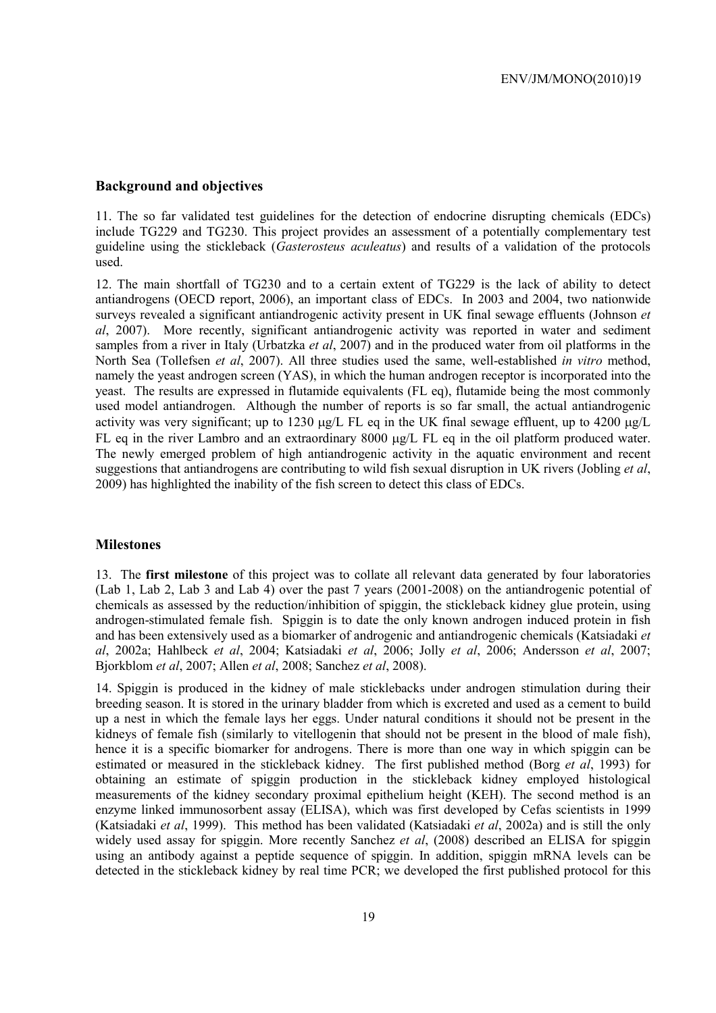#### **Background and objectives**

11. The so far validated test guidelines for the detection of endocrine disrupting chemicals (EDCs) include TG229 and TG230. This project provides an assessment of a potentially complementary test guideline using the stickleback (*Gasterosteus aculeatus*) and results of a validation of the protocols used.

12. The main shortfall of TG230 and to a certain extent of TG229 is the lack of ability to detect antiandrogens (OECD report, 2006), an important class of EDCs. In 2003 and 2004, two nationwide surveys revealed a significant antiandrogenic activity present in UK final sewage effluents (Johnson *et al*, 2007). More recently, significant antiandrogenic activity was reported in water and sediment samples from a river in Italy (Urbatzka *et al*, 2007) and in the produced water from oil platforms in the North Sea (Tollefsen *et al*, 2007). All three studies used the same, well-established *in vitro* method, namely the yeast androgen screen (YAS), in which the human androgen receptor is incorporated into the yeast. The results are expressed in flutamide equivalents (FL eq), flutamide being the most commonly used model antiandrogen. Although the number of reports is so far small, the actual antiandrogenic activity was very significant; up to 1230  $\mu$ g/L FL eq in the UK final sewage effluent, up to 4200  $\mu$ g/L FL eq in the river Lambro and an extraordinary 8000  $\mu$ g/L FL eq in the oil platform produced water. The newly emerged problem of high antiandrogenic activity in the aquatic environment and recent suggestions that antiandrogens are contributing to wild fish sexual disruption in UK rivers (Jobling *et al*, 2009) has highlighted the inability of the fish screen to detect this class of EDCs.

#### **Milestones**

13. The **first milestone** of this project was to collate all relevant data generated by four laboratories (Lab 1, Lab 2, Lab 3 and Lab 4) over the past 7 years (2001-2008) on the antiandrogenic potential of chemicals as assessed by the reduction/inhibition of spiggin, the stickleback kidney glue protein, using androgen-stimulated female fish. Spiggin is to date the only known androgen induced protein in fish and has been extensively used as a biomarker of androgenic and antiandrogenic chemicals (Katsiadaki *et al*, 2002a; Hahlbeck *et al*, 2004; Katsiadaki *et al*, 2006; Jolly *et al*, 2006; Andersson *et al*, 2007; Bjorkblom *et al*, 2007; Allen *et al*, 2008; Sanchez *et al*, 2008).

14. Spiggin is produced in the kidney of male sticklebacks under androgen stimulation during their breeding season. It is stored in the urinary bladder from which is excreted and used as a cement to build up a nest in which the female lays her eggs. Under natural conditions it should not be present in the kidneys of female fish (similarly to vitellogenin that should not be present in the blood of male fish), hence it is a specific biomarker for androgens. There is more than one way in which spiggin can be estimated or measured in the stickleback kidney. The first published method (Borg *et al*, 1993) for obtaining an estimate of spiggin production in the stickleback kidney employed histological measurements of the kidney secondary proximal epithelium height (KEH). The second method is an enzyme linked immunosorbent assay (ELISA), which was first developed by Cefas scientists in 1999 (Katsiadaki *et al*, 1999). This method has been validated (Katsiadaki *et al*, 2002a) and is still the only widely used assay for spiggin. More recently Sanchez *et al*, (2008) described an ELISA for spiggin using an antibody against a peptide sequence of spiggin. In addition, spiggin mRNA levels can be detected in the stickleback kidney by real time PCR; we developed the first published protocol for this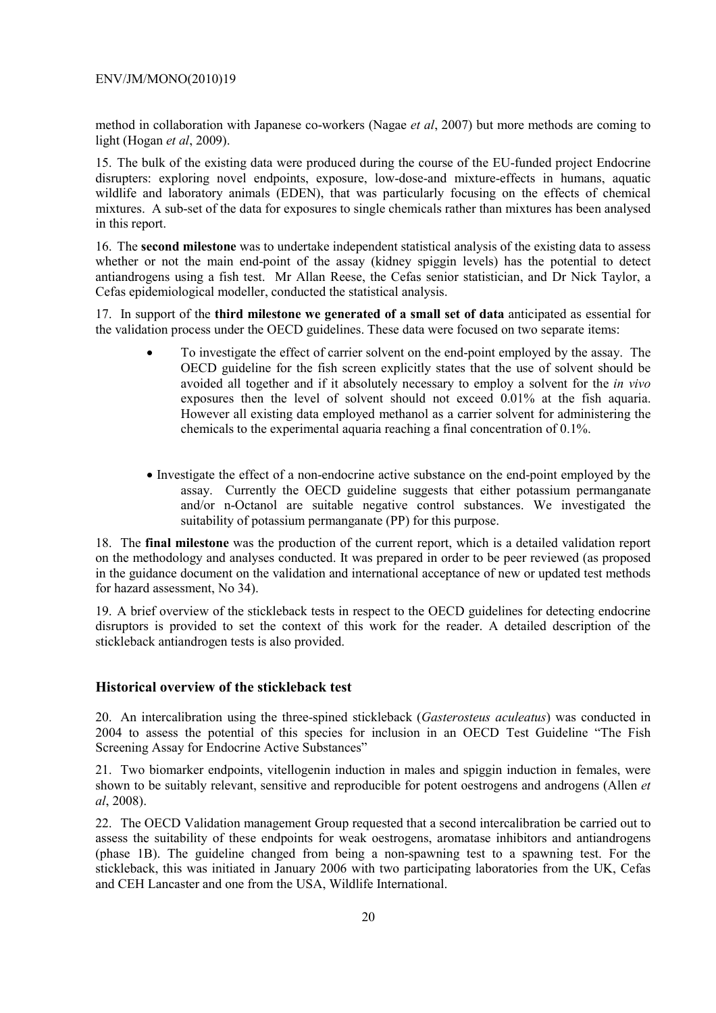method in collaboration with Japanese co-workers (Nagae *et al*, 2007) but more methods are coming to light (Hogan *et al*, 2009).

15. The bulk of the existing data were produced during the course of the EU-funded project Endocrine disrupters: exploring novel endpoints, exposure, low-dose-and mixture-effects in humans, aquatic wildlife and laboratory animals (EDEN), that was particularly focusing on the effects of chemical mixtures. A sub-set of the data for exposures to single chemicals rather than mixtures has been analysed in this report.

16. The **second milestone** was to undertake independent statistical analysis of the existing data to assess whether or not the main end-point of the assay (kidney spiggin levels) has the potential to detect antiandrogens using a fish test. Mr Allan Reese, the Cefas senior statistician, and Dr Nick Taylor, a Cefas epidemiological modeller, conducted the statistical analysis.

17. In support of the **third milestone we generated of a small set of data** anticipated as essential for the validation process under the OECD guidelines. These data were focused on two separate items:

- To investigate the effect of carrier solvent on the end-point employed by the assay. The OECD guideline for the fish screen explicitly states that the use of solvent should be avoided all together and if it absolutely necessary to employ a solvent for the *in vivo* exposures then the level of solvent should not exceed 0.01% at the fish aquaria. However all existing data employed methanol as a carrier solvent for administering the chemicals to the experimental aquaria reaching a final concentration of 0.1%.
- Investigate the effect of a non-endocrine active substance on the end-point employed by the assay. Currently the OECD guideline suggests that either potassium permanganate and/or n-Octanol are suitable negative control substances. We investigated the suitability of potassium permanganate (PP) for this purpose.

18. The **final milestone** was the production of the current report, which is a detailed validation report on the methodology and analyses conducted. It was prepared in order to be peer reviewed (as proposed in the guidance document on the validation and international acceptance of new or updated test methods for hazard assessment, No 34).

19. A brief overview of the stickleback tests in respect to the OECD guidelines for detecting endocrine disruptors is provided to set the context of this work for the reader. A detailed description of the stickleback antiandrogen tests is also provided.

#### **Historical overview of the stickleback test**

20. An intercalibration using the three-spined stickleback (*Gasterosteus aculeatus*) was conducted in 2004 to assess the potential of this species for inclusion in an OECD Test Guideline "The Fish Screening Assay for Endocrine Active Substances"

21. Two biomarker endpoints, vitellogenin induction in males and spiggin induction in females, were shown to be suitably relevant, sensitive and reproducible for potent oestrogens and androgens (Allen *et al*, 2008).

22. The OECD Validation management Group requested that a second intercalibration be carried out to assess the suitability of these endpoints for weak oestrogens, aromatase inhibitors and antiandrogens (phase 1B). The guideline changed from being a non-spawning test to a spawning test. For the stickleback, this was initiated in January 2006 with two participating laboratories from the UK, Cefas and CEH Lancaster and one from the USA, Wildlife International.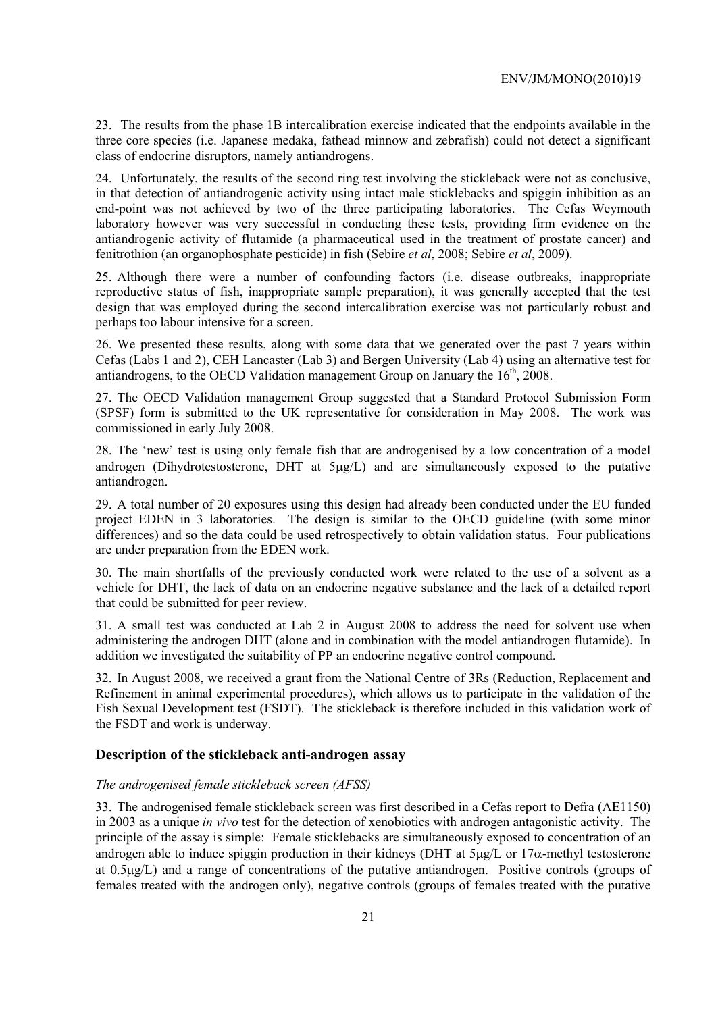23. The results from the phase 1B intercalibration exercise indicated that the endpoints available in the three core species (i.e. Japanese medaka, fathead minnow and zebrafish) could not detect a significant class of endocrine disruptors, namely antiandrogens.

24. Unfortunately, the results of the second ring test involving the stickleback were not as conclusive, in that detection of antiandrogenic activity using intact male sticklebacks and spiggin inhibition as an end-point was not achieved by two of the three participating laboratories. The Cefas Weymouth laboratory however was very successful in conducting these tests, providing firm evidence on the antiandrogenic activity of flutamide (a pharmaceutical used in the treatment of prostate cancer) and fenitrothion (an organophosphate pesticide) in fish (Sebire *et al*, 2008; Sebire *et al*, 2009).

25. Although there were a number of confounding factors (i.e. disease outbreaks, inappropriate reproductive status of fish, inappropriate sample preparation), it was generally accepted that the test design that was employed during the second intercalibration exercise was not particularly robust and perhaps too labour intensive for a screen.

26. We presented these results, along with some data that we generated over the past 7 years within Cefas (Labs 1 and 2), CEH Lancaster (Lab 3) and Bergen University (Lab 4) using an alternative test for antiandrogens, to the OECD Validation management Group on January the  $16<sup>th</sup>$ , 2008.

27. The OECD Validation management Group suggested that a Standard Protocol Submission Form (SPSF) form is submitted to the UK representative for consideration in May 2008. The work was commissioned in early July 2008.

28. The 'new' test is using only female fish that are androgenised by a low concentration of a model androgen (Dihydrotestosterone, DHT at 5µg/L) and are simultaneously exposed to the putative antiandrogen.

29. A total number of 20 exposures using this design had already been conducted under the EU funded project EDEN in 3 laboratories. The design is similar to the OECD guideline (with some minor differences) and so the data could be used retrospectively to obtain validation status. Four publications are under preparation from the EDEN work.

30. The main shortfalls of the previously conducted work were related to the use of a solvent as a vehicle for DHT, the lack of data on an endocrine negative substance and the lack of a detailed report that could be submitted for peer review.

31. A small test was conducted at Lab 2 in August 2008 to address the need for solvent use when administering the androgen DHT (alone and in combination with the model antiandrogen flutamide). In addition we investigated the suitability of PP an endocrine negative control compound.

32. In August 2008, we received a grant from the National Centre of 3Rs (Reduction, Replacement and Refinement in animal experimental procedures), which allows us to participate in the validation of the Fish Sexual Development test (FSDT). The stickleback is therefore included in this validation work of the FSDT and work is underway.

#### **Description of the stickleback anti-androgen assay**

#### *The androgenised female stickleback screen (AFSS)*

33. The androgenised female stickleback screen was first described in a Cefas report to Defra (AE1150) in 2003 as a unique *in vivo* test for the detection of xenobiotics with androgen antagonistic activity. The principle of the assay is simple: Female sticklebacks are simultaneously exposed to concentration of an androgen able to induce spiggin production in their kidneys (DHT at  $5\mu\text{g/L}$  or  $17\alpha$ -methyl testosterone at 0.5µg/L) and a range of concentrations of the putative antiandrogen. Positive controls (groups of females treated with the androgen only), negative controls (groups of females treated with the putative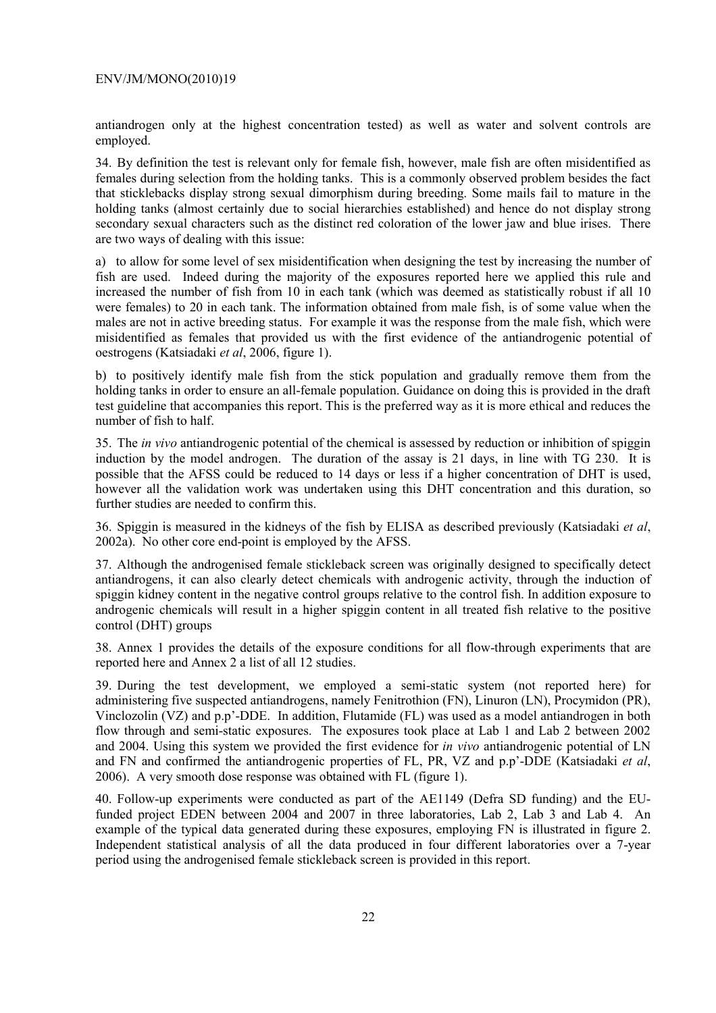antiandrogen only at the highest concentration tested) as well as water and solvent controls are employed.

34. By definition the test is relevant only for female fish, however, male fish are often misidentified as females during selection from the holding tanks. This is a commonly observed problem besides the fact that sticklebacks display strong sexual dimorphism during breeding. Some mails fail to mature in the holding tanks (almost certainly due to social hierarchies established) and hence do not display strong secondary sexual characters such as the distinct red coloration of the lower jaw and blue irises. There are two ways of dealing with this issue:

a) to allow for some level of sex misidentification when designing the test by increasing the number of fish are used. Indeed during the majority of the exposures reported here we applied this rule and increased the number of fish from 10 in each tank (which was deemed as statistically robust if all 10 were females) to 20 in each tank. The information obtained from male fish, is of some value when the males are not in active breeding status. For example it was the response from the male fish, which were misidentified as females that provided us with the first evidence of the antiandrogenic potential of oestrogens (Katsiadaki *et al*, 2006, figure 1).

b) to positively identify male fish from the stick population and gradually remove them from the holding tanks in order to ensure an all-female population. Guidance on doing this is provided in the draft test guideline that accompanies this report. This is the preferred way as it is more ethical and reduces the number of fish to half.

35. The *in vivo* antiandrogenic potential of the chemical is assessed by reduction or inhibition of spiggin induction by the model androgen. The duration of the assay is 21 days, in line with TG 230. It is possible that the AFSS could be reduced to 14 days or less if a higher concentration of DHT is used, however all the validation work was undertaken using this DHT concentration and this duration, so further studies are needed to confirm this.

36. Spiggin is measured in the kidneys of the fish by ELISA as described previously (Katsiadaki *et al*, 2002a). No other core end-point is employed by the AFSS.

37. Although the androgenised female stickleback screen was originally designed to specifically detect antiandrogens, it can also clearly detect chemicals with androgenic activity, through the induction of spiggin kidney content in the negative control groups relative to the control fish. In addition exposure to androgenic chemicals will result in a higher spiggin content in all treated fish relative to the positive control (DHT) groups

38. Annex 1 provides the details of the exposure conditions for all flow-through experiments that are reported here and Annex 2 a list of all 12 studies.

39. During the test development, we employed a semi-static system (not reported here) for administering five suspected antiandrogens, namely Fenitrothion (FN), Linuron (LN), Procymidon (PR), Vinclozolin (VZ) and p.p'-DDE. In addition, Flutamide (FL) was used as a model antiandrogen in both flow through and semi-static exposures. The exposures took place at Lab 1 and Lab 2 between 2002 and 2004. Using this system we provided the first evidence for *in vivo* antiandrogenic potential of LN and FN and confirmed the antiandrogenic properties of FL, PR, VZ and p.p'-DDE (Katsiadaki *et al*, 2006). A very smooth dose response was obtained with FL (figure 1).

40. Follow-up experiments were conducted as part of the AE1149 (Defra SD funding) and the EUfunded project EDEN between 2004 and 2007 in three laboratories, Lab 2, Lab 3 and Lab 4. An example of the typical data generated during these exposures, employing FN is illustrated in figure 2. Independent statistical analysis of all the data produced in four different laboratories over a 7-year period using the androgenised female stickleback screen is provided in this report.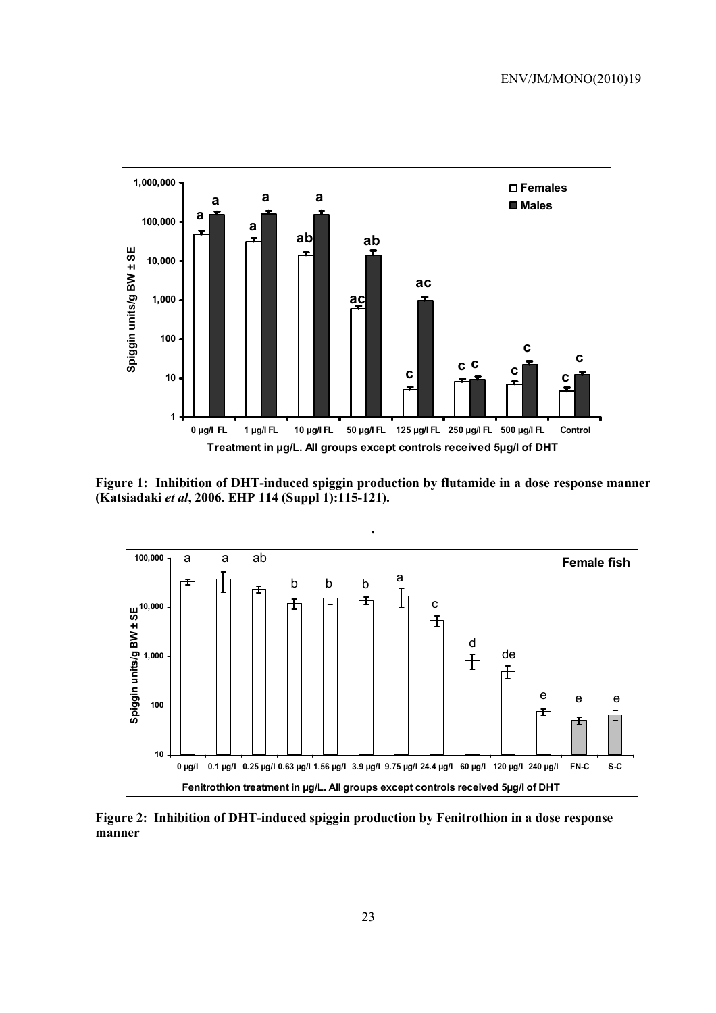

**Figure 1: Inhibition of DHT-induced spiggin production by flutamide in a dose response manner (Katsiadaki** *et al***, 2006. EHP 114 (Suppl 1):115-121).**



**Figure 2: Inhibition of DHT-induced spiggin production by Fenitrothion in a dose response manner**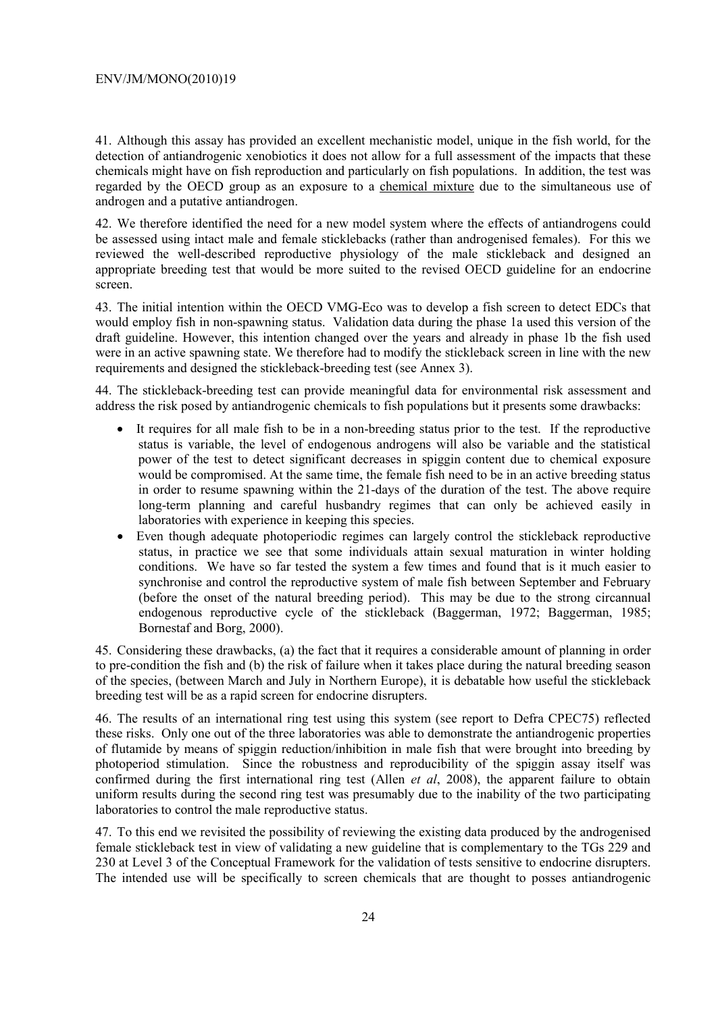41. Although this assay has provided an excellent mechanistic model, unique in the fish world, for the detection of antiandrogenic xenobiotics it does not allow for a full assessment of the impacts that these chemicals might have on fish reproduction and particularly on fish populations. In addition, the test was regarded by the OECD group as an exposure to a chemical mixture due to the simultaneous use of androgen and a putative antiandrogen.

42. We therefore identified the need for a new model system where the effects of antiandrogens could be assessed using intact male and female sticklebacks (rather than androgenised females). For this we reviewed the well-described reproductive physiology of the male stickleback and designed an appropriate breeding test that would be more suited to the revised OECD guideline for an endocrine screen.

43. The initial intention within the OECD VMG-Eco was to develop a fish screen to detect EDCs that would employ fish in non-spawning status. Validation data during the phase 1a used this version of the draft guideline. However, this intention changed over the years and already in phase 1b the fish used were in an active spawning state. We therefore had to modify the stickleback screen in line with the new requirements and designed the stickleback-breeding test (see Annex 3).

44. The stickleback-breeding test can provide meaningful data for environmental risk assessment and address the risk posed by antiandrogenic chemicals to fish populations but it presents some drawbacks:

- It requires for all male fish to be in a non-breeding status prior to the test. If the reproductive status is variable, the level of endogenous androgens will also be variable and the statistical power of the test to detect significant decreases in spiggin content due to chemical exposure would be compromised. At the same time, the female fish need to be in an active breeding status in order to resume spawning within the 21-days of the duration of the test. The above require long-term planning and careful husbandry regimes that can only be achieved easily in laboratories with experience in keeping this species.
- Even though adequate photoperiodic regimes can largely control the stickleback reproductive status, in practice we see that some individuals attain sexual maturation in winter holding conditions. We have so far tested the system a few times and found that is it much easier to synchronise and control the reproductive system of male fish between September and February (before the onset of the natural breeding period). This may be due to the strong circannual endogenous reproductive cycle of the stickleback (Baggerman, 1972; Baggerman, 1985; Bornestaf and Borg, 2000).

45. Considering these drawbacks, (a) the fact that it requires a considerable amount of planning in order to pre-condition the fish and (b) the risk of failure when it takes place during the natural breeding season of the species, (between March and July in Northern Europe), it is debatable how useful the stickleback breeding test will be as a rapid screen for endocrine disrupters.

46. The results of an international ring test using this system (see report to Defra CPEC75) reflected these risks. Only one out of the three laboratories was able to demonstrate the antiandrogenic properties of flutamide by means of spiggin reduction/inhibition in male fish that were brought into breeding by photoperiod stimulation. Since the robustness and reproducibility of the spiggin assay itself was confirmed during the first international ring test (Allen *et al*, 2008), the apparent failure to obtain uniform results during the second ring test was presumably due to the inability of the two participating laboratories to control the male reproductive status.

47. To this end we revisited the possibility of reviewing the existing data produced by the androgenised female stickleback test in view of validating a new guideline that is complementary to the TGs 229 and 230 at Level 3 of the Conceptual Framework for the validation of tests sensitive to endocrine disrupters. The intended use will be specifically to screen chemicals that are thought to posses antiandrogenic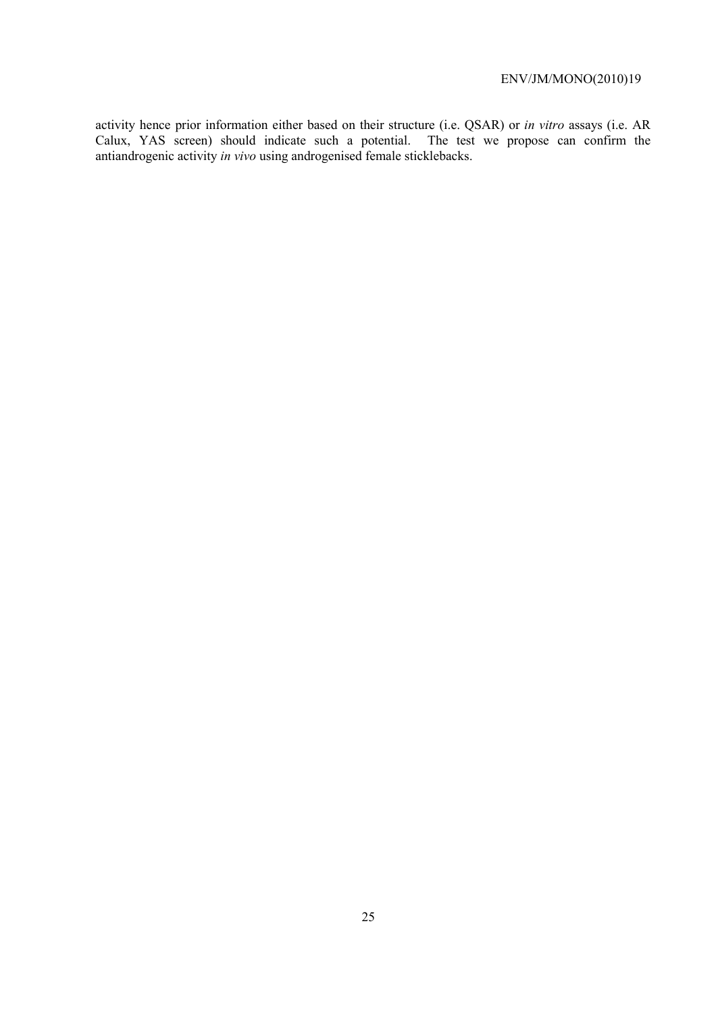activity hence prior information either based on their structure (i.e. QSAR) or *in vitro* assays (i.e. AR Calux, YAS screen) should indicate such a potential. The test we propose can confirm the antiandrogenic activity *in vivo* using androgenised female sticklebacks.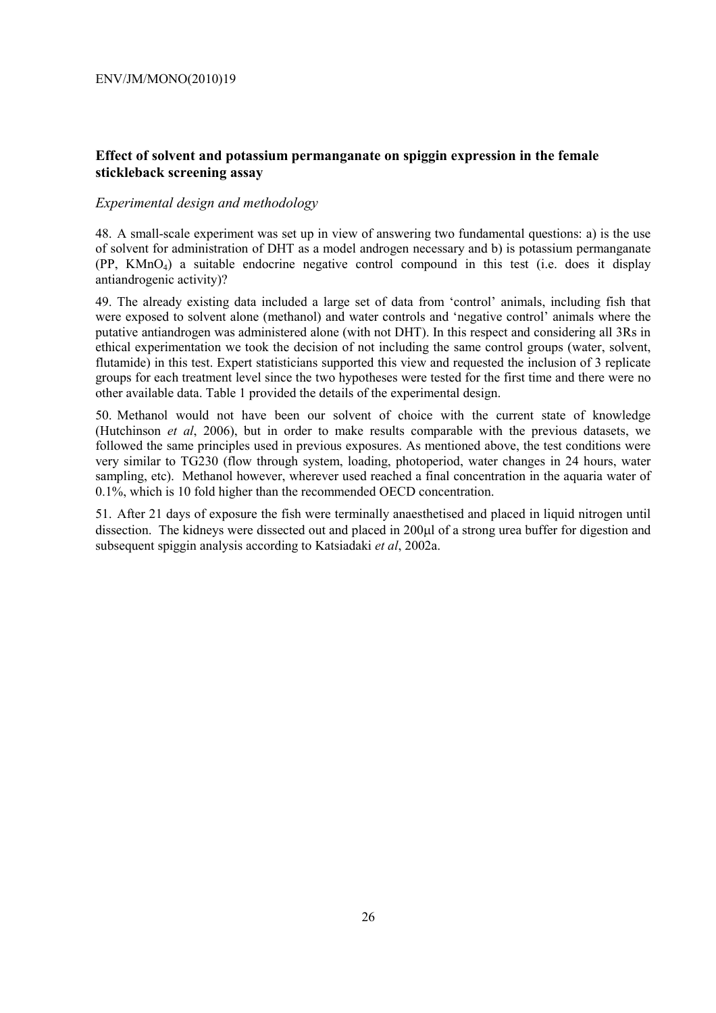#### **Effect of solvent and potassium permanganate on spiggin expression in the female stickleback screening assay**

#### *Experimental design and methodology*

48. A small-scale experiment was set up in view of answering two fundamental questions: a) is the use of solvent for administration of DHT as a model androgen necessary and b) is potassium permanganate  $(PP, KMnO<sub>4</sub>)$  a suitable endocrine negative control compound in this test (i.e. does it display antiandrogenic activity)?

49. The already existing data included a large set of data from 'control' animals, including fish that were exposed to solvent alone (methanol) and water controls and 'negative control' animals where the putative antiandrogen was administered alone (with not DHT). In this respect and considering all 3Rs in ethical experimentation we took the decision of not including the same control groups (water, solvent, flutamide) in this test. Expert statisticians supported this view and requested the inclusion of 3 replicate groups for each treatment level since the two hypotheses were tested for the first time and there were no other available data. Table 1 provided the details of the experimental design.

50. Methanol would not have been our solvent of choice with the current state of knowledge (Hutchinson *et al*, 2006), but in order to make results comparable with the previous datasets, we followed the same principles used in previous exposures. As mentioned above, the test conditions were very similar to TG230 (flow through system, loading, photoperiod, water changes in 24 hours, water sampling, etc). Methanol however, wherever used reached a final concentration in the aquaria water of 0.1%, which is 10 fold higher than the recommended OECD concentration.

51. After 21 days of exposure the fish were terminally anaesthetised and placed in liquid nitrogen until dissection. The kidneys were dissected out and placed in 200µl of a strong urea buffer for digestion and subsequent spiggin analysis according to Katsiadaki *et al*, 2002a.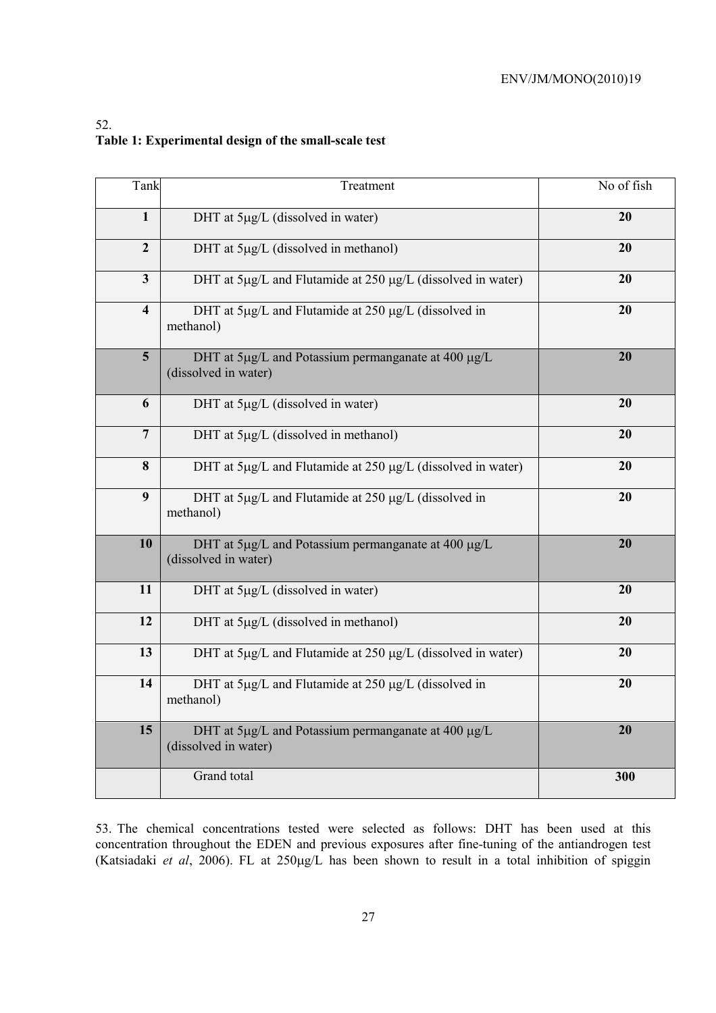## 52. **Table 1: Experimental design of the small-scale test**

| Tank                    | Treatment                                                                   | No of fish |
|-------------------------|-----------------------------------------------------------------------------|------------|
| $\mathbf{1}$            | DHT at 5µg/L (dissolved in water)                                           | 20         |
| $\overline{2}$          | DHT at 5µg/L (dissolved in methanol)                                        | 20         |
| $\mathbf{3}$            | DHT at 5µg/L and Flutamide at 250 µg/L (dissolved in water)                 | 20         |
| $\overline{\mathbf{4}}$ | DHT at 5µg/L and Flutamide at 250 µg/L (dissolved in<br>methanol)           | 20         |
| $5\overline{)}$         | DHT at 5µg/L and Potassium permanganate at 400 µg/L<br>(dissolved in water) | 20         |
| 6                       | DHT at 5µg/L (dissolved in water)                                           | 20         |
| $\overline{7}$          | DHT at 5µg/L (dissolved in methanol)                                        | 20         |
| 8                       | DHT at 5µg/L and Flutamide at 250 µg/L (dissolved in water)                 | 20         |
| 9                       | DHT at 5µg/L and Flutamide at 250 µg/L (dissolved in<br>methanol)           | 20         |
| 10                      | DHT at 5µg/L and Potassium permanganate at 400 µg/L<br>(dissolved in water) | 20         |
| 11                      | DHT at 5µg/L (dissolved in water)                                           | 20         |
| 12                      | DHT at 5µg/L (dissolved in methanol)                                        | 20         |
| 13                      | DHT at 5µg/L and Flutamide at 250 µg/L (dissolved in water)                 | 20         |
| 14                      | DHT at 5µg/L and Flutamide at 250 µg/L (dissolved in<br>methanol)           | 20         |
| 15                      | DHT at 5µg/L and Potassium permanganate at 400 µg/L<br>(dissolved in water) | 20         |
|                         | Grand total                                                                 | 300        |

53. The chemical concentrations tested were selected as follows: DHT has been used at this concentration throughout the EDEN and previous exposures after fine-tuning of the antiandrogen test (Katsiadaki *et al*, 2006). FL at 250µg/L has been shown to result in a total inhibition of spiggin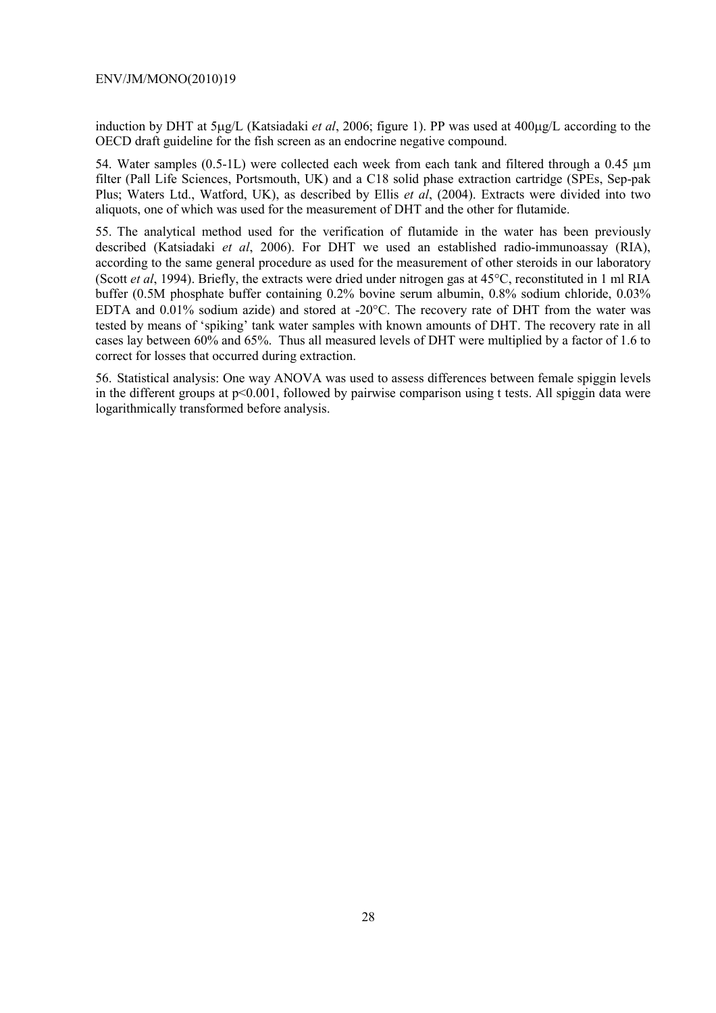induction by DHT at 5µg/L (Katsiadaki *et al*, 2006; figure 1). PP was used at 400µg/L according to the OECD draft guideline for the fish screen as an endocrine negative compound.

54. Water samples (0.5-1L) were collected each week from each tank and filtered through a 0.45 µm filter (Pall Life Sciences, Portsmouth, UK) and a C18 solid phase extraction cartridge (SPEs, Sep-pak Plus; Waters Ltd., Watford, UK), as described by Ellis *et al*, (2004). Extracts were divided into two aliquots, one of which was used for the measurement of DHT and the other for flutamide.

55. The analytical method used for the verification of flutamide in the water has been previously described (Katsiadaki *et al*, 2006). For DHT we used an established radio-immunoassay (RIA), according to the same general procedure as used for the measurement of other steroids in our laboratory (Scott *et al*, 1994). Briefly, the extracts were dried under nitrogen gas at 45°C, reconstituted in 1 ml RIA buffer (0.5M phosphate buffer containing 0.2% bovine serum albumin, 0.8% sodium chloride, 0.03% EDTA and 0.01% sodium azide) and stored at -20°C. The recovery rate of DHT from the water was tested by means of 'spiking' tank water samples with known amounts of DHT. The recovery rate in all cases lay between 60% and 65%. Thus all measured levels of DHT were multiplied by a factor of 1.6 to correct for losses that occurred during extraction.

56. Statistical analysis: One way ANOVA was used to assess differences between female spiggin levels in the different groups at p<0.001, followed by pairwise comparison using t tests. All spiggin data were logarithmically transformed before analysis.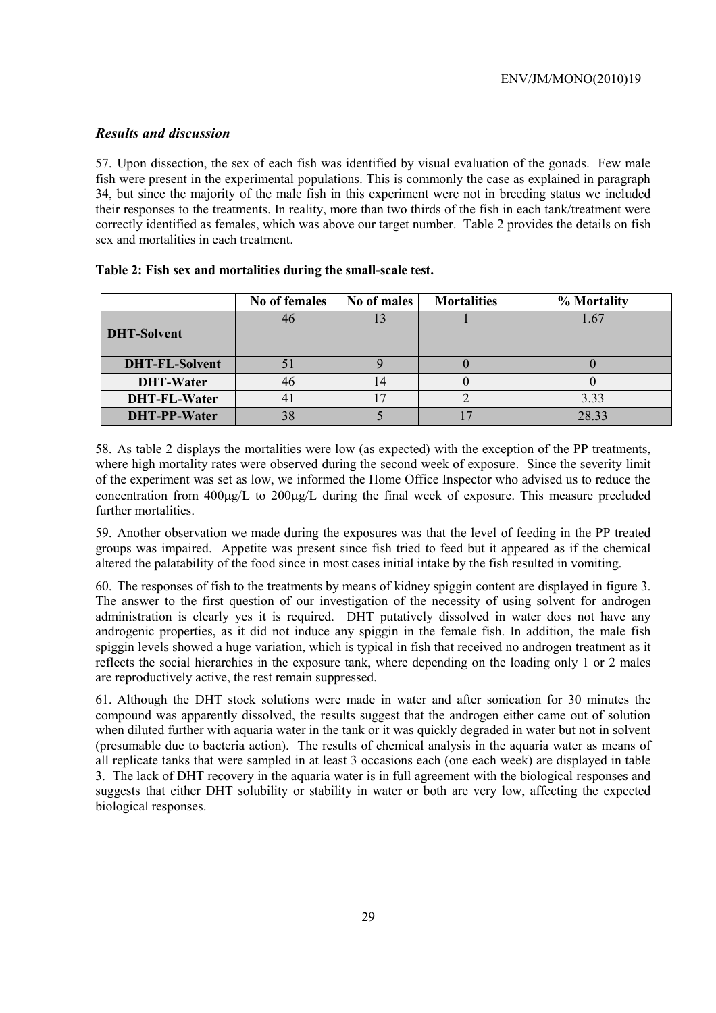### *Results and discussion*

57. Upon dissection, the sex of each fish was identified by visual evaluation of the gonads. Few male fish were present in the experimental populations. This is commonly the case as explained in paragraph 34, but since the majority of the male fish in this experiment were not in breeding status we included their responses to the treatments. In reality, more than two thirds of the fish in each tank/treatment were correctly identified as females, which was above our target number. Table 2 provides the details on fish sex and mortalities in each treatment.

|                       | No of females  | No of males | <b>Mortalities</b> | % Mortality |
|-----------------------|----------------|-------------|--------------------|-------------|
| <b>DHT-Solvent</b>    | 46             |             |                    | 1.67        |
| <b>DHT-FL-Solvent</b> |                |             |                    |             |
| <b>DHT-Water</b>      | 46             |             |                    |             |
| <b>DHT-FL-Water</b>   | $\overline{4}$ |             |                    | 3.33        |
| <b>DHT-PP-Water</b>   | 38             |             |                    | 28.33       |

#### **Table 2: Fish sex and mortalities during the small-scale test.**

58. As table 2 displays the mortalities were low (as expected) with the exception of the PP treatments, where high mortality rates were observed during the second week of exposure. Since the severity limit of the experiment was set as low, we informed the Home Office Inspector who advised us to reduce the concentration from 400µg/L to 200µg/L during the final week of exposure. This measure precluded further mortalities.

59. Another observation we made during the exposures was that the level of feeding in the PP treated groups was impaired. Appetite was present since fish tried to feed but it appeared as if the chemical altered the palatability of the food since in most cases initial intake by the fish resulted in vomiting.

60. The responses of fish to the treatments by means of kidney spiggin content are displayed in figure 3. The answer to the first question of our investigation of the necessity of using solvent for androgen administration is clearly yes it is required. DHT putatively dissolved in water does not have any androgenic properties, as it did not induce any spiggin in the female fish. In addition, the male fish spiggin levels showed a huge variation, which is typical in fish that received no androgen treatment as it reflects the social hierarchies in the exposure tank, where depending on the loading only 1 or 2 males are reproductively active, the rest remain suppressed.

61. Although the DHT stock solutions were made in water and after sonication for 30 minutes the compound was apparently dissolved, the results suggest that the androgen either came out of solution when diluted further with aquaria water in the tank or it was quickly degraded in water but not in solvent (presumable due to bacteria action). The results of chemical analysis in the aquaria water as means of all replicate tanks that were sampled in at least 3 occasions each (one each week) are displayed in table 3. The lack of DHT recovery in the aquaria water is in full agreement with the biological responses and suggests that either DHT solubility or stability in water or both are very low, affecting the expected biological responses.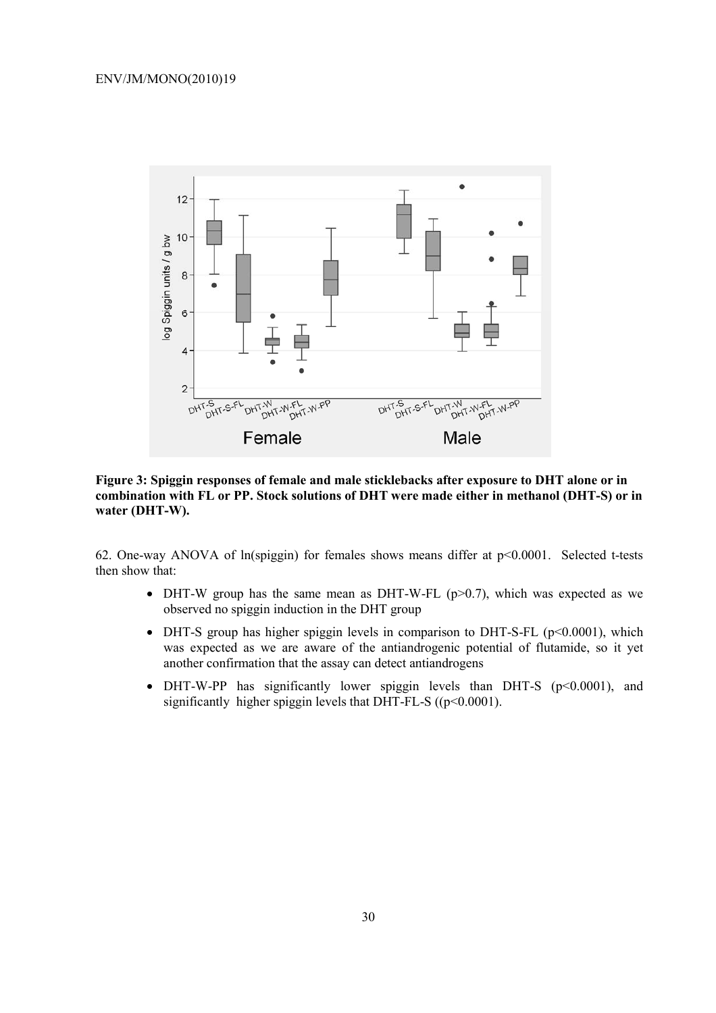

**Figure 3: Spiggin responses of female and male sticklebacks after exposure to DHT alone or in combination with FL or PP. Stock solutions of DHT were made either in methanol (DHT-S) or in water (DHT-W).** 

62. One-way ANOVA of ln(spiggin) for females shows means differ at p<0.0001. Selected t-tests then show that:

- DHT-W group has the same mean as DHT-W-FL  $(p>0.7)$ , which was expected as we observed no spiggin induction in the DHT group
- DHT-S group has higher spiggin levels in comparison to DHT-S-FL ( $p<0.0001$ ), which was expected as we are aware of the antiandrogenic potential of flutamide, so it yet another confirmation that the assay can detect antiandrogens
- DHT-W-PP has significantly lower spiggin levels than DHT-S (p<0.0001), and significantly higher spiggin levels that DHT-FL-S ( $(p<0.0001)$ ).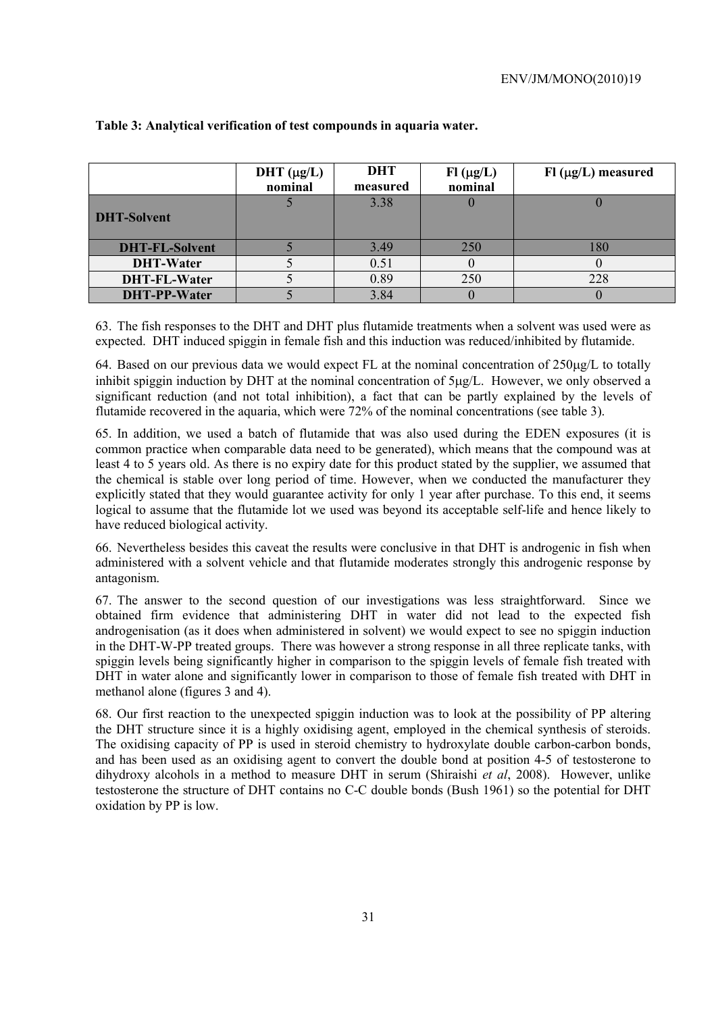|                       | DHT $(\mu g/L)$<br>nominal | <b>DHT</b><br>measured | $FI$ ( $\mu g/L$ )<br>nominal | $F1(\mu g/L)$ measured |
|-----------------------|----------------------------|------------------------|-------------------------------|------------------------|
| <b>DHT-Solvent</b>    |                            | 3.38                   |                               |                        |
| <b>DHT-FL-Solvent</b> |                            | 3.49                   | 250                           | 180                    |
| <b>DHT-Water</b>      |                            | 0.51                   |                               |                        |
| <b>DHT-FL-Water</b>   |                            | 0.89                   | 250                           | 228                    |
| <b>DHT-PP-Water</b>   |                            | 3.84                   |                               |                        |

#### **Table 3: Analytical verification of test compounds in aquaria water.**

63. The fish responses to the DHT and DHT plus flutamide treatments when a solvent was used were as expected. DHT induced spiggin in female fish and this induction was reduced/inhibited by flutamide.

64. Based on our previous data we would expect FL at the nominal concentration of 250µg/L to totally inhibit spiggin induction by DHT at the nominal concentration of  $5\mu g/L$ . However, we only observed a significant reduction (and not total inhibition), a fact that can be partly explained by the levels of flutamide recovered in the aquaria, which were 72% of the nominal concentrations (see table 3).

65. In addition, we used a batch of flutamide that was also used during the EDEN exposures (it is common practice when comparable data need to be generated), which means that the compound was at least 4 to 5 years old. As there is no expiry date for this product stated by the supplier, we assumed that the chemical is stable over long period of time. However, when we conducted the manufacturer they explicitly stated that they would guarantee activity for only 1 year after purchase. To this end, it seems logical to assume that the flutamide lot we used was beyond its acceptable self-life and hence likely to have reduced biological activity.

66. Nevertheless besides this caveat the results were conclusive in that DHT is androgenic in fish when administered with a solvent vehicle and that flutamide moderates strongly this androgenic response by antagonism.

67. The answer to the second question of our investigations was less straightforward. Since we obtained firm evidence that administering DHT in water did not lead to the expected fish androgenisation (as it does when administered in solvent) we would expect to see no spiggin induction in the DHT-W-PP treated groups. There was however a strong response in all three replicate tanks, with spiggin levels being significantly higher in comparison to the spiggin levels of female fish treated with DHT in water alone and significantly lower in comparison to those of female fish treated with DHT in methanol alone (figures 3 and 4).

68. Our first reaction to the unexpected spiggin induction was to look at the possibility of PP altering the DHT structure since it is a highly oxidising agent, employed in the chemical synthesis of steroids. The oxidising capacity of PP is used in steroid chemistry to hydroxylate double carbon-carbon bonds, and has been used as an oxidising agent to convert the double bond at position 4-5 of testosterone to dihydroxy alcohols in a method to measure DHT in serum (Shiraishi *et al*, 2008). However, unlike testosterone the structure of DHT contains no C-C double bonds (Bush 1961) so the potential for DHT oxidation by PP is low.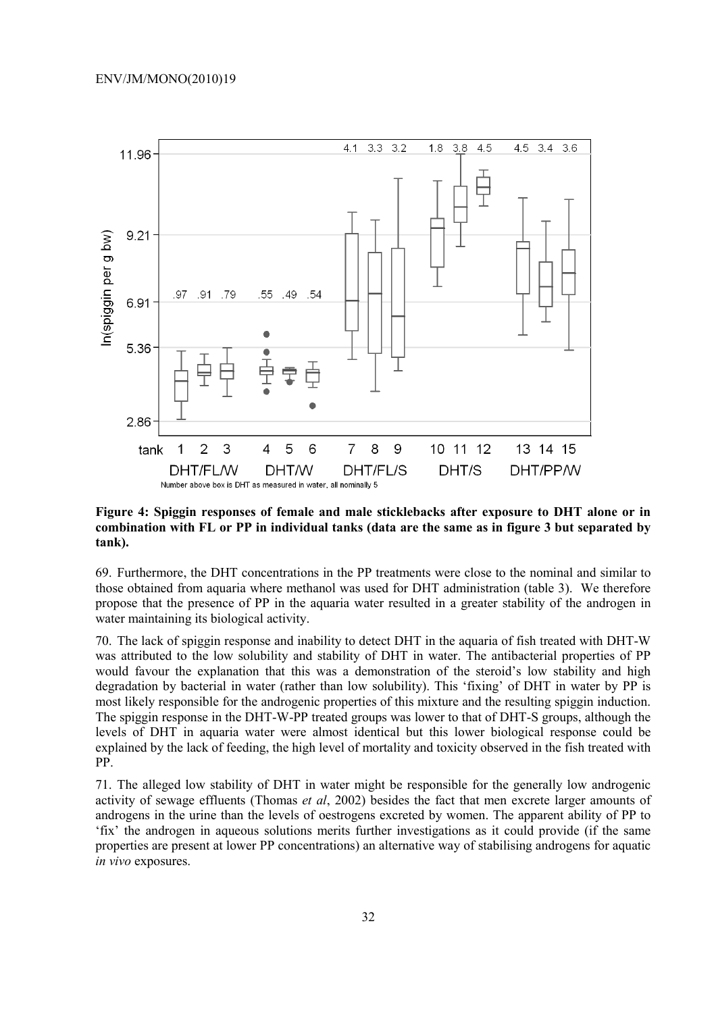

**Figure 4: Spiggin responses of female and male sticklebacks after exposure to DHT alone or in combination with FL or PP in individual tanks (data are the same as in figure 3 but separated by tank).**

69. Furthermore, the DHT concentrations in the PP treatments were close to the nominal and similar to those obtained from aquaria where methanol was used for DHT administration (table 3). We therefore propose that the presence of PP in the aquaria water resulted in a greater stability of the androgen in water maintaining its biological activity.

70. The lack of spiggin response and inability to detect DHT in the aquaria of fish treated with DHT-W was attributed to the low solubility and stability of DHT in water. The antibacterial properties of PP would favour the explanation that this was a demonstration of the steroid's low stability and high degradation by bacterial in water (rather than low solubility). This 'fixing' of DHT in water by PP is most likely responsible for the androgenic properties of this mixture and the resulting spiggin induction. The spiggin response in the DHT-W-PP treated groups was lower to that of DHT-S groups, although the levels of DHT in aquaria water were almost identical but this lower biological response could be explained by the lack of feeding, the high level of mortality and toxicity observed in the fish treated with PP.

71. The alleged low stability of DHT in water might be responsible for the generally low androgenic activity of sewage effluents (Thomas *et al*, 2002) besides the fact that men excrete larger amounts of androgens in the urine than the levels of oestrogens excreted by women. The apparent ability of PP to 'fix' the androgen in aqueous solutions merits further investigations as it could provide (if the same properties are present at lower PP concentrations) an alternative way of stabilising androgens for aquatic *in vivo* exposures.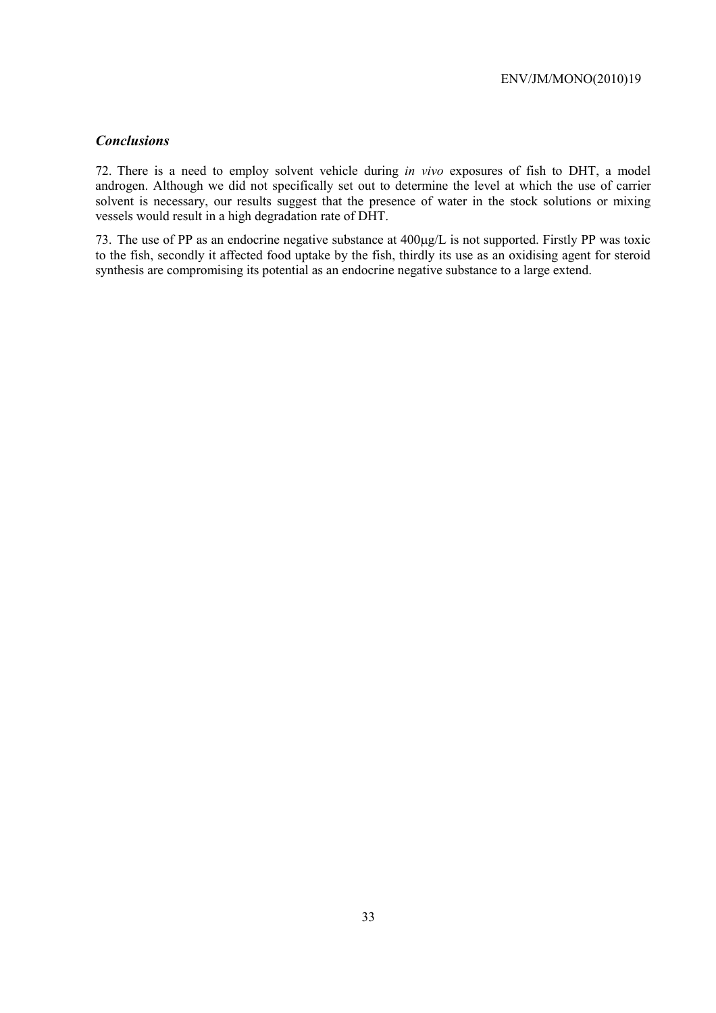# *Conclusions*

72. There is a need to employ solvent vehicle during *in vivo* exposures of fish to DHT, a model androgen. Although we did not specifically set out to determine the level at which the use of carrier solvent is necessary, our results suggest that the presence of water in the stock solutions or mixing vessels would result in a high degradation rate of DHT.

73. The use of PP as an endocrine negative substance at 400µg/L is not supported. Firstly PP was toxic to the fish, secondly it affected food uptake by the fish, thirdly its use as an oxidising agent for steroid synthesis are compromising its potential as an endocrine negative substance to a large extend.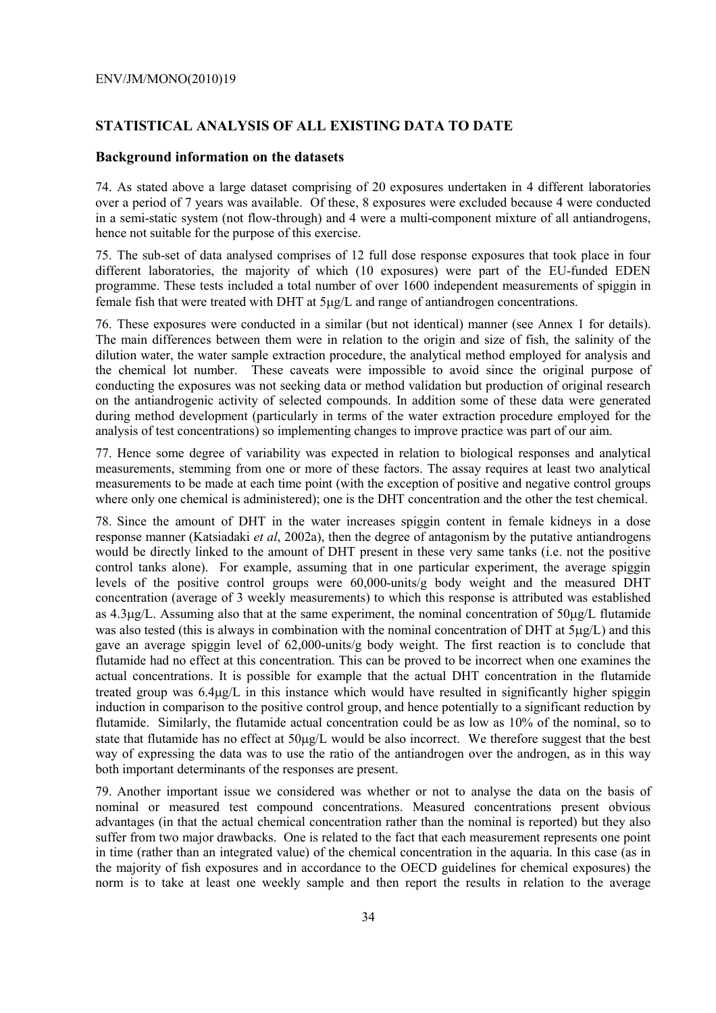#### **STATISTICAL ANALYSIS OF ALL EXISTING DATA TO DATE**

#### **Background information on the datasets**

74. As stated above a large dataset comprising of 20 exposures undertaken in 4 different laboratories over a period of 7 years was available. Of these, 8 exposures were excluded because 4 were conducted in a semi-static system (not flow-through) and 4 were a multi-component mixture of all antiandrogens, hence not suitable for the purpose of this exercise.

75. The sub-set of data analysed comprises of 12 full dose response exposures that took place in four different laboratories, the majority of which (10 exposures) were part of the EU-funded EDEN programme. These tests included a total number of over 1600 independent measurements of spiggin in female fish that were treated with DHT at 5µg/L and range of antiandrogen concentrations.

76. These exposures were conducted in a similar (but not identical) manner (see Annex 1 for details). The main differences between them were in relation to the origin and size of fish, the salinity of the dilution water, the water sample extraction procedure, the analytical method employed for analysis and the chemical lot number. These caveats were impossible to avoid since the original purpose of conducting the exposures was not seeking data or method validation but production of original research on the antiandrogenic activity of selected compounds. In addition some of these data were generated during method development (particularly in terms of the water extraction procedure employed for the analysis of test concentrations) so implementing changes to improve practice was part of our aim.

77. Hence some degree of variability was expected in relation to biological responses and analytical measurements, stemming from one or more of these factors. The assay requires at least two analytical measurements to be made at each time point (with the exception of positive and negative control groups where only one chemical is administered); one is the DHT concentration and the other the test chemical.

78. Since the amount of DHT in the water increases spiggin content in female kidneys in a dose response manner (Katsiadaki *et al*, 2002a), then the degree of antagonism by the putative antiandrogens would be directly linked to the amount of DHT present in these very same tanks (i.e. not the positive control tanks alone). For example, assuming that in one particular experiment, the average spiggin levels of the positive control groups were 60,000-units/g body weight and the measured DHT concentration (average of 3 weekly measurements) to which this response is attributed was established as 4.3µg/L. Assuming also that at the same experiment, the nominal concentration of 50µg/L flutamide was also tested (this is always in combination with the nominal concentration of DHT at  $5\mu\text{g/L}$ ) and this gave an average spiggin level of 62,000-units/g body weight. The first reaction is to conclude that flutamide had no effect at this concentration. This can be proved to be incorrect when one examines the actual concentrations. It is possible for example that the actual DHT concentration in the flutamide treated group was 6.4µg/L in this instance which would have resulted in significantly higher spiggin induction in comparison to the positive control group, and hence potentially to a significant reduction by flutamide. Similarly, the flutamide actual concentration could be as low as 10% of the nominal, so to state that flutamide has no effect at 50µg/L would be also incorrect. We therefore suggest that the best way of expressing the data was to use the ratio of the antiandrogen over the androgen, as in this way both important determinants of the responses are present.

79. Another important issue we considered was whether or not to analyse the data on the basis of nominal or measured test compound concentrations. Measured concentrations present obvious advantages (in that the actual chemical concentration rather than the nominal is reported) but they also suffer from two major drawbacks. One is related to the fact that each measurement represents one point in time (rather than an integrated value) of the chemical concentration in the aquaria. In this case (as in the majority of fish exposures and in accordance to the OECD guidelines for chemical exposures) the norm is to take at least one weekly sample and then report the results in relation to the average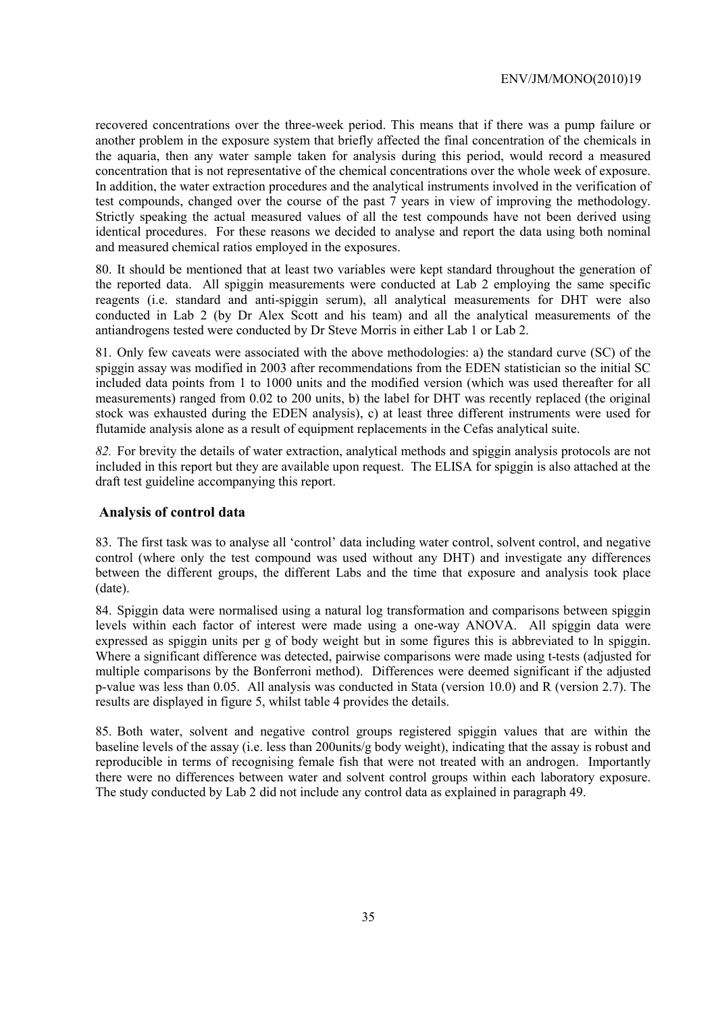recovered concentrations over the three-week period. This means that if there was a pump failure or another problem in the exposure system that briefly affected the final concentration of the chemicals in the aquaria, then any water sample taken for analysis during this period, would record a measured concentration that is not representative of the chemical concentrations over the whole week of exposure. In addition, the water extraction procedures and the analytical instruments involved in the verification of test compounds, changed over the course of the past 7 years in view of improving the methodology. Strictly speaking the actual measured values of all the test compounds have not been derived using identical procedures. For these reasons we decided to analyse and report the data using both nominal and measured chemical ratios employed in the exposures.

80. It should be mentioned that at least two variables were kept standard throughout the generation of the reported data. All spiggin measurements were conducted at Lab 2 employing the same specific reagents (i.e. standard and anti-spiggin serum), all analytical measurements for DHT were also conducted in Lab 2 (by Dr Alex Scott and his team) and all the analytical measurements of the antiandrogens tested were conducted by Dr Steve Morris in either Lab 1 or Lab 2.

81. Only few caveats were associated with the above methodologies: a) the standard curve (SC) of the spiggin assay was modified in 2003 after recommendations from the EDEN statistician so the initial SC included data points from 1 to 1000 units and the modified version (which was used thereafter for all measurements) ranged from 0.02 to 200 units, b) the label for DHT was recently replaced (the original stock was exhausted during the EDEN analysis), c) at least three different instruments were used for flutamide analysis alone as a result of equipment replacements in the Cefas analytical suite.

*82.* For brevity the details of water extraction, analytical methods and spiggin analysis protocols are not included in this report but they are available upon request. The ELISA for spiggin is also attached at the draft test guideline accompanying this report.

#### **Analysis of control data**

83. The first task was to analyse all 'control' data including water control, solvent control, and negative control (where only the test compound was used without any DHT) and investigate any differences between the different groups, the different Labs and the time that exposure and analysis took place (date).

84. Spiggin data were normalised using a natural log transformation and comparisons between spiggin levels within each factor of interest were made using a one-way ANOVA. All spiggin data were expressed as spiggin units per g of body weight but in some figures this is abbreviated to ln spiggin. Where a significant difference was detected, pairwise comparisons were made using t-tests (adjusted for multiple comparisons by the Bonferroni method). Differences were deemed significant if the adjusted p-value was less than 0.05. All analysis was conducted in Stata (version 10.0) and R (version 2.7). The results are displayed in figure 5, whilst table 4 provides the details.

85. Both water, solvent and negative control groups registered spiggin values that are within the baseline levels of the assay (i.e. less than 200units/g body weight), indicating that the assay is robust and reproducible in terms of recognising female fish that were not treated with an androgen. Importantly there were no differences between water and solvent control groups within each laboratory exposure. The study conducted by Lab 2 did not include any control data as explained in paragraph 49.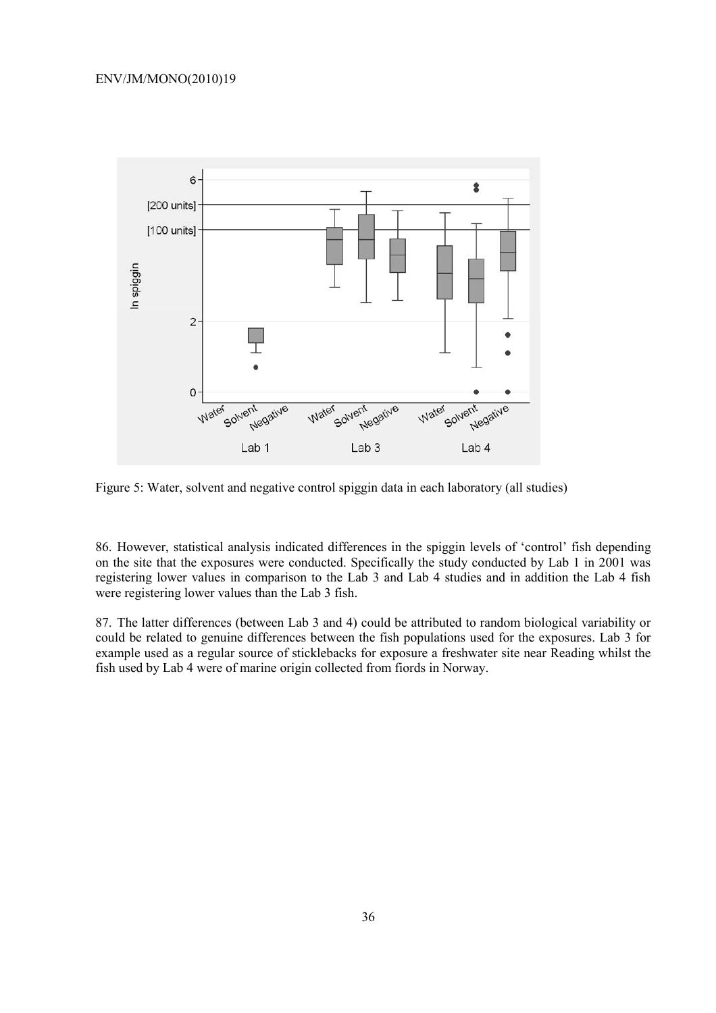

Figure 5: Water, solvent and negative control spiggin data in each laboratory (all studies)

86. However, statistical analysis indicated differences in the spiggin levels of 'control' fish depending on the site that the exposures were conducted. Specifically the study conducted by Lab 1 in 2001 was registering lower values in comparison to the Lab 3 and Lab 4 studies and in addition the Lab 4 fish were registering lower values than the Lab 3 fish.

87. The latter differences (between Lab 3 and 4) could be attributed to random biological variability or could be related to genuine differences between the fish populations used for the exposures. Lab 3 for example used as a regular source of sticklebacks for exposure a freshwater site near Reading whilst the fish used by Lab 4 were of marine origin collected from fiords in Norway.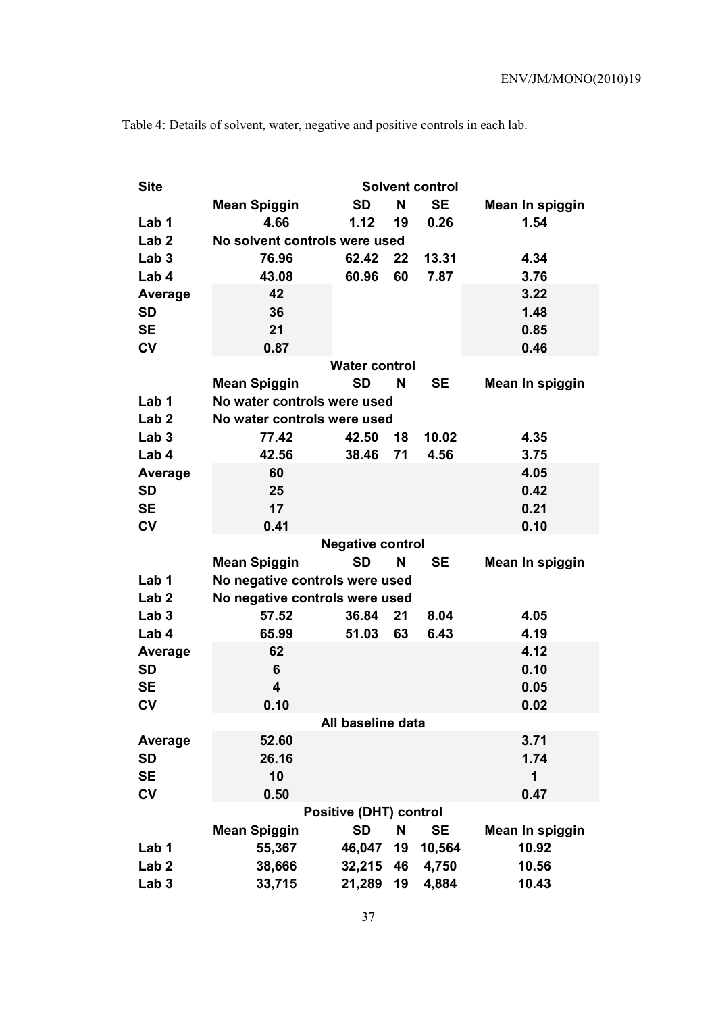| <b>Site</b>      | <b>Solvent control</b>                |                         |    |           |                 |  |  |  |  |  |
|------------------|---------------------------------------|-------------------------|----|-----------|-----------------|--|--|--|--|--|
|                  | <b>Mean Spiggin</b>                   | <b>SD</b>               | N  | <b>SE</b> | Mean In spiggin |  |  |  |  |  |
| Lab 1            | 4.66                                  | 1.12                    | 19 | 0.26      | 1.54            |  |  |  |  |  |
| Lab <sub>2</sub> | No solvent controls were used         |                         |    |           |                 |  |  |  |  |  |
| Lab <sub>3</sub> | 76.96<br>62.42<br>22<br>13.31<br>4.34 |                         |    |           |                 |  |  |  |  |  |
| Lab 4            | 43.08                                 | 60.96                   | 60 | 7.87      | 3.76            |  |  |  |  |  |
| <b>Average</b>   | 42                                    |                         |    |           | 3.22            |  |  |  |  |  |
| <b>SD</b>        | 36                                    |                         |    |           | 1.48            |  |  |  |  |  |
| <b>SE</b>        | 21                                    |                         |    |           | 0.85            |  |  |  |  |  |
| $c_{V}$          | 0.87                                  |                         |    |           | 0.46            |  |  |  |  |  |
|                  |                                       | <b>Water control</b>    |    |           |                 |  |  |  |  |  |
|                  | <b>Mean Spiggin</b>                   | <b>SD</b>               | N  | <b>SE</b> | Mean In spiggin |  |  |  |  |  |
| Lab 1            | No water controls were used           |                         |    |           |                 |  |  |  |  |  |
| Lab <sub>2</sub> | No water controls were used           |                         |    |           |                 |  |  |  |  |  |
| Lab <sub>3</sub> | 77.42                                 | 42.50                   | 18 | 10.02     | 4.35            |  |  |  |  |  |
| Lab 4            | 42.56                                 | 38.46                   | 71 | 4.56      | 3.75            |  |  |  |  |  |
| <b>Average</b>   | 60                                    |                         |    |           | 4.05            |  |  |  |  |  |
| <b>SD</b>        | 25                                    |                         |    |           | 0.42            |  |  |  |  |  |
| <b>SE</b>        | 17                                    |                         |    |           | 0.21            |  |  |  |  |  |
| <b>CV</b>        | 0.41                                  |                         |    |           | 0.10            |  |  |  |  |  |
|                  |                                       | <b>Negative control</b> |    |           |                 |  |  |  |  |  |
|                  | <b>Mean Spiggin</b>                   | <b>SD</b>               | N  | <b>SE</b> | Mean In spiggin |  |  |  |  |  |
| Lab 1            | No negative controls were used        |                         |    |           |                 |  |  |  |  |  |
| Lab <sub>2</sub> | No negative controls were used        |                         |    |           |                 |  |  |  |  |  |
| Lab <sub>3</sub> | 57.52                                 | 36.84                   | 21 | 8.04      | 4.05            |  |  |  |  |  |
| Lab 4            | 65.99                                 | 51.03                   | 63 | 6.43      | 4.19            |  |  |  |  |  |
| Average          | 62                                    |                         |    |           | 4.12            |  |  |  |  |  |
| <b>SD</b>        | 6                                     |                         |    |           | 0.10            |  |  |  |  |  |
| <b>SE</b>        | $\overline{\mathbf{4}}$               |                         |    |           | 0.05            |  |  |  |  |  |
| $c_{V}$          | 0.10                                  |                         |    |           | 0.02            |  |  |  |  |  |
|                  |                                       | All baseline data       |    |           |                 |  |  |  |  |  |
| Average          | 52.60                                 |                         |    |           | 3.71            |  |  |  |  |  |
| <b>SD</b>        | 26.16                                 |                         |    |           | 1.74            |  |  |  |  |  |
| <b>SE</b>        | 10                                    |                         |    |           | 1               |  |  |  |  |  |
| CV               | 0.50                                  |                         |    |           | 0.47            |  |  |  |  |  |
|                  | <b>Positive (DHT) control</b>         |                         |    |           |                 |  |  |  |  |  |
|                  | <b>Mean Spiggin</b>                   | <b>SD</b>               | N  | <b>SE</b> | Mean In spiggin |  |  |  |  |  |
| Lab 1            | 55,367                                | 46,047                  | 19 | 10,564    | 10.92           |  |  |  |  |  |
| Lab <sub>2</sub> | 38,666                                | 32,215                  | 46 | 4,750     | 10.56           |  |  |  |  |  |
| Lab <sub>3</sub> | 33,715                                | 21,289                  | 19 | 4,884     | 10.43           |  |  |  |  |  |

Table 4: Details of solvent, water, negative and positive controls in each lab.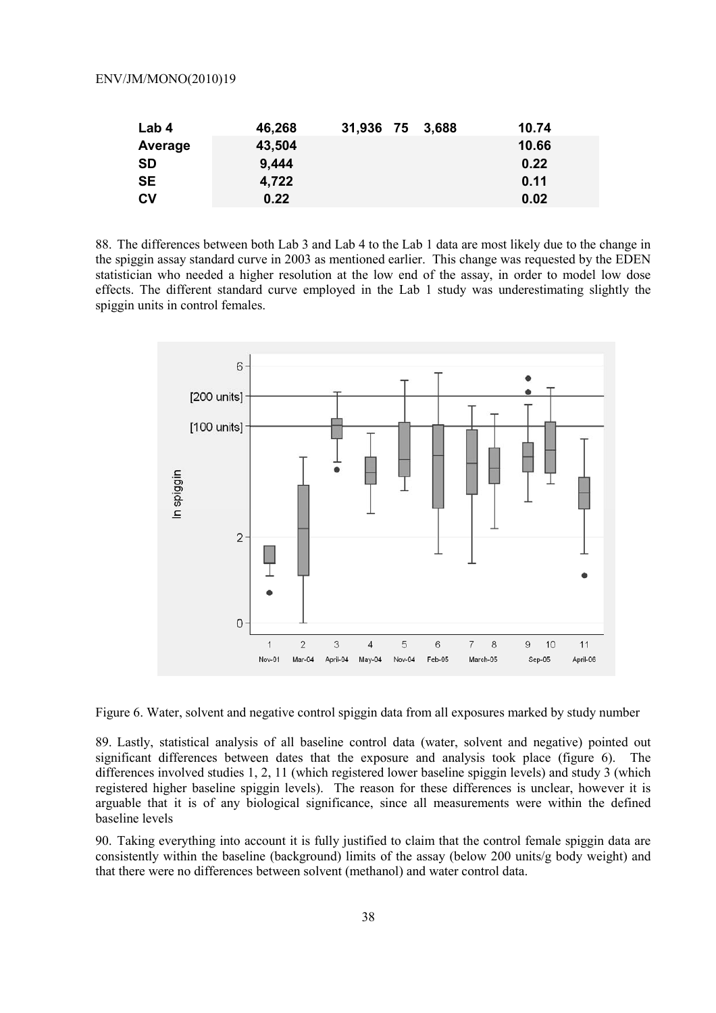| Lab 4     | 46,268 | 31,936 75 3,688 | 10.74 |
|-----------|--------|-----------------|-------|
| Average   | 43,504 |                 | 10.66 |
| <b>SD</b> | 9,444  |                 | 0.22  |
| <b>SE</b> | 4,722  |                 | 0.11  |
| <b>CV</b> | 0.22   |                 | 0.02  |

88. The differences between both Lab 3 and Lab 4 to the Lab 1 data are most likely due to the change in the spiggin assay standard curve in 2003 as mentioned earlier. This change was requested by the EDEN statistician who needed a higher resolution at the low end of the assay, in order to model low dose effects. The different standard curve employed in the Lab 1 study was underestimating slightly the spiggin units in control females.



Figure 6. Water, solvent and negative control spiggin data from all exposures marked by study number

89. Lastly, statistical analysis of all baseline control data (water, solvent and negative) pointed out significant differences between dates that the exposure and analysis took place (figure 6). The differences involved studies 1, 2, 11 (which registered lower baseline spiggin levels) and study 3 (which registered higher baseline spiggin levels). The reason for these differences is unclear, however it is arguable that it is of any biological significance, since all measurements were within the defined baseline levels

90. Taking everything into account it is fully justified to claim that the control female spiggin data are consistently within the baseline (background) limits of the assay (below 200 units/g body weight) and that there were no differences between solvent (methanol) and water control data.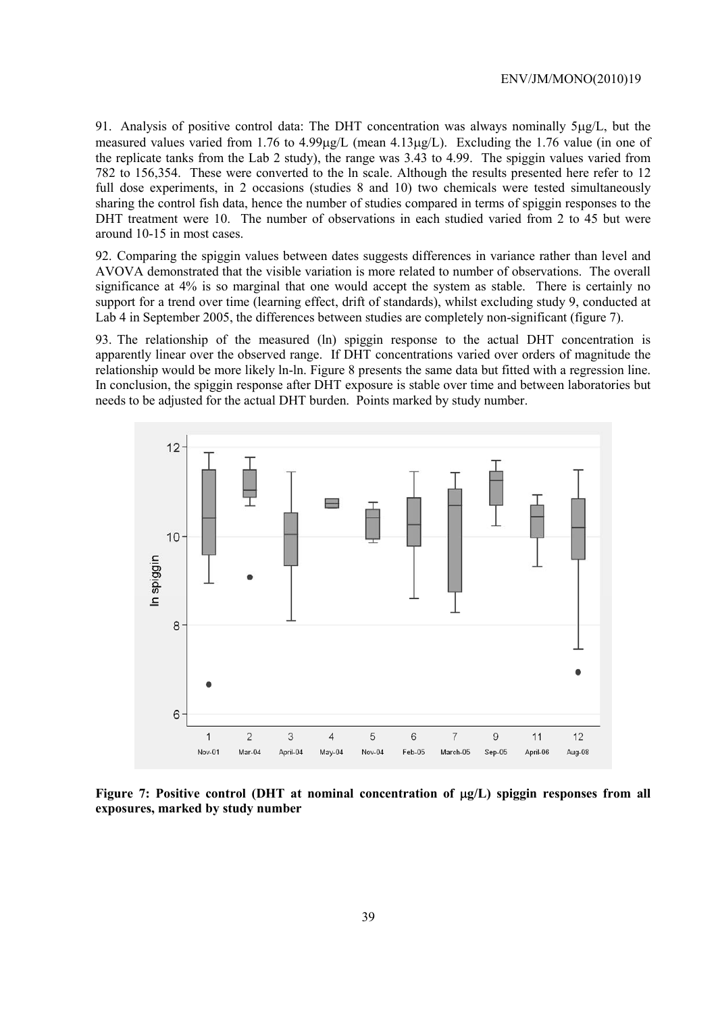91. Analysis of positive control data: The DHT concentration was always nominally 5µg/L, but the measured values varied from 1.76 to 4.99µg/L (mean 4.13µg/L). Excluding the 1.76 value (in one of the replicate tanks from the Lab 2 study), the range was 3.43 to 4.99. The spiggin values varied from 782 to 156,354. These were converted to the ln scale. Although the results presented here refer to 12 full dose experiments, in 2 occasions (studies 8 and 10) two chemicals were tested simultaneously sharing the control fish data, hence the number of studies compared in terms of spiggin responses to the DHT treatment were 10. The number of observations in each studied varied from 2 to 45 but were around 10-15 in most cases.

92. Comparing the spiggin values between dates suggests differences in variance rather than level and AVOVA demonstrated that the visible variation is more related to number of observations. The overall significance at 4% is so marginal that one would accept the system as stable. There is certainly no support for a trend over time (learning effect, drift of standards), whilst excluding study 9, conducted at Lab 4 in September 2005, the differences between studies are completely non-significant (figure 7).

93. The relationship of the measured (ln) spiggin response to the actual DHT concentration is apparently linear over the observed range. If DHT concentrations varied over orders of magnitude the relationship would be more likely ln-ln. Figure 8 presents the same data but fitted with a regression line. In conclusion, the spiggin response after DHT exposure is stable over time and between laboratories but needs to be adjusted for the actual DHT burden. Points marked by study number.



**Figure 7: Positive control (DHT at nominal concentration of** µ**g/L) spiggin responses from all exposures, marked by study number**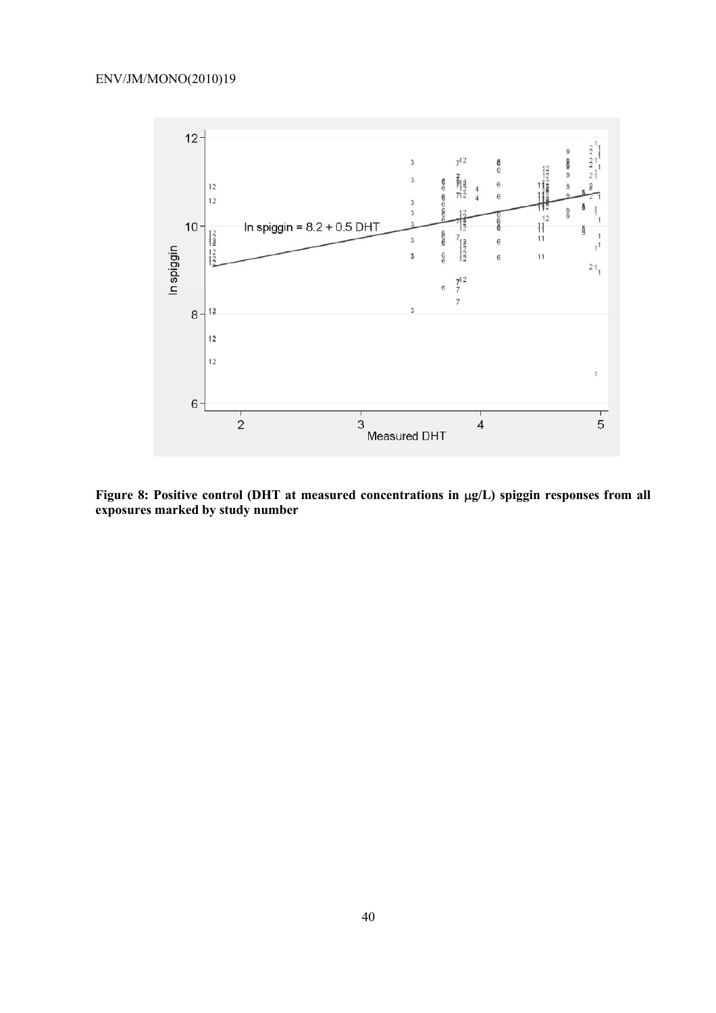

**Figure 8: Positive control (DHT at measured concentrations in** µ**g/L) spiggin responses from all exposures marked by study number**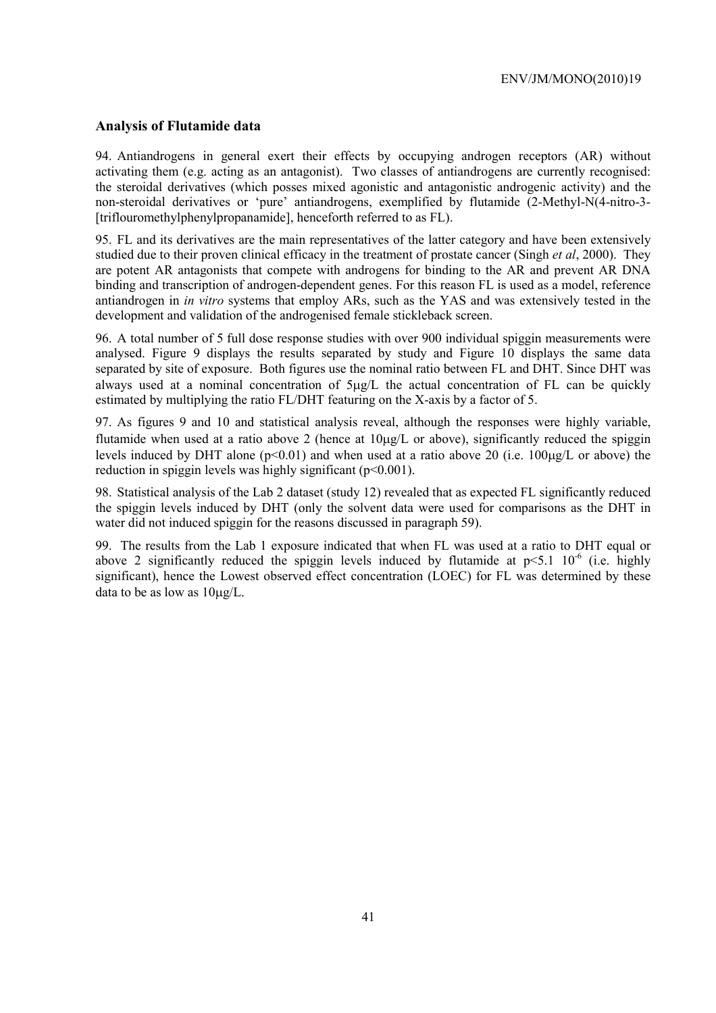#### **Analysis of Flutamide data**

94. Antiandrogens in general exert their effects by occupying androgen receptors (AR) without activating them (e.g. acting as an antagonist). Two classes of antiandrogens are currently recognised: the steroidal derivatives (which posses mixed agonistic and antagonistic androgenic activity) and the non-steroidal derivatives or 'pure' antiandrogens, exemplified by flutamide (2-Methyl-N(4-nitro-3- [triflouromethylphenylpropanamide], henceforth referred to as FL).

95. FL and its derivatives are the main representatives of the latter category and have been extensively studied due to their proven clinical efficacy in the treatment of prostate cancer (Singh *et al*, 2000). They are potent AR antagonists that compete with androgens for binding to the AR and prevent AR DNA binding and transcription of androgen-dependent genes. For this reason FL is used as a model, reference antiandrogen in *in vitro* systems that employ ARs, such as the YAS and was extensively tested in the development and validation of the androgenised female stickleback screen.

96. A total number of 5 full dose response studies with over 900 individual spiggin measurements were analysed. Figure 9 displays the results separated by study and Figure 10 displays the same data separated by site of exposure. Both figures use the nominal ratio between FL and DHT. Since DHT was always used at a nominal concentration of 5µg/L the actual concentration of FL can be quickly estimated by multiplying the ratio FL/DHT featuring on the X-axis by a factor of 5.

97. As figures 9 and 10 and statistical analysis reveal, although the responses were highly variable, flutamide when used at a ratio above 2 (hence at  $10\mu g/L$  or above), significantly reduced the spiggin levels induced by DHT alone ( $p \le 0.01$ ) and when used at a ratio above 20 (i.e. 100µg/L or above) the reduction in spiggin levels was highly significant  $(p<0.001)$ .

98. Statistical analysis of the Lab 2 dataset (study 12) revealed that as expected FL significantly reduced the spiggin levels induced by DHT (only the solvent data were used for comparisons as the DHT in water did not induced spiggin for the reasons discussed in paragraph 59).

99. The results from the Lab 1 exposure indicated that when FL was used at a ratio to DHT equal or above 2 significantly reduced the spiggin levels induced by flutamide at  $p \le 5.1 \cdot 10^{-6}$  (i.e. highly significant), hence the Lowest observed effect concentration (LOEC) for FL was determined by these data to be as low as 10µg/L.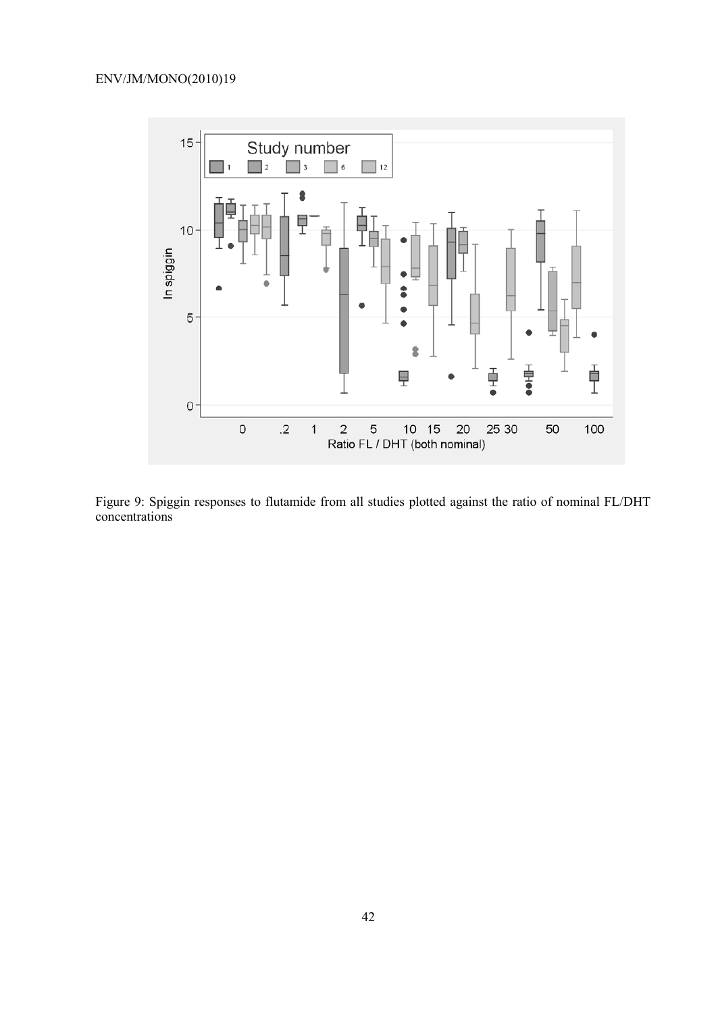

Figure 9: Spiggin responses to flutamide from all studies plotted against the ratio of nominal FL/DHT concentrations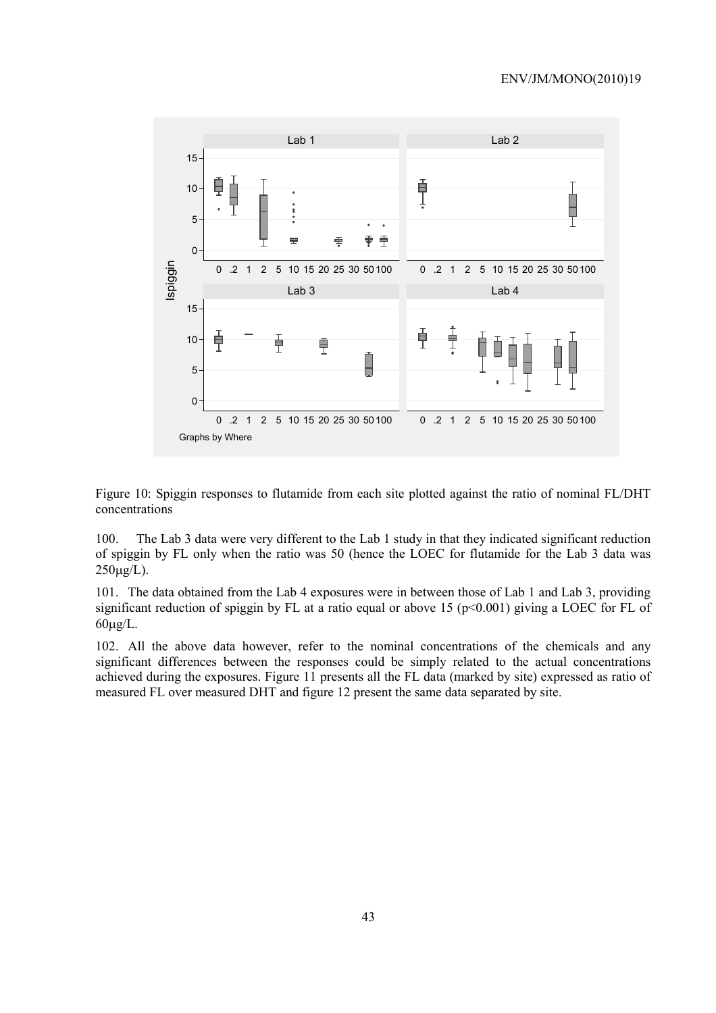

Figure 10: Spiggin responses to flutamide from each site plotted against the ratio of nominal FL/DHT concentrations

100. The Lab 3 data were very different to the Lab 1 study in that they indicated significant reduction of spiggin by FL only when the ratio was 50 (hence the LOEC for flutamide for the Lab 3 data was  $250\mu g/L$ ).

101. The data obtained from the Lab 4 exposures were in between those of Lab 1 and Lab 3, providing significant reduction of spiggin by FL at a ratio equal or above 15 ( $p<0.001$ ) giving a LOEC for FL of  $60\mu g/L$ .

102. All the above data however, refer to the nominal concentrations of the chemicals and any significant differences between the responses could be simply related to the actual concentrations achieved during the exposures. Figure 11 presents all the FL data (marked by site) expressed as ratio of measured FL over measured DHT and figure 12 present the same data separated by site.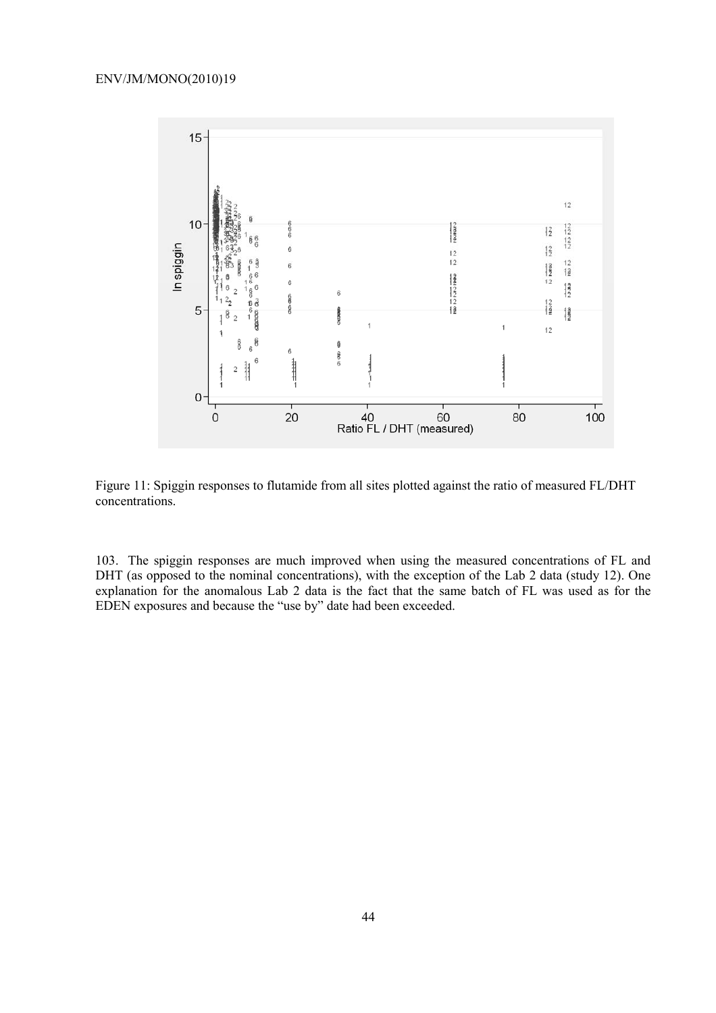

Figure 11: Spiggin responses to flutamide from all sites plotted against the ratio of measured FL/DHT concentrations.

103. The spiggin responses are much improved when using the measured concentrations of FL and DHT (as opposed to the nominal concentrations), with the exception of the Lab 2 data (study 12). One explanation for the anomalous Lab 2 data is the fact that the same batch of FL was used as for the EDEN exposures and because the "use by" date had been exceeded.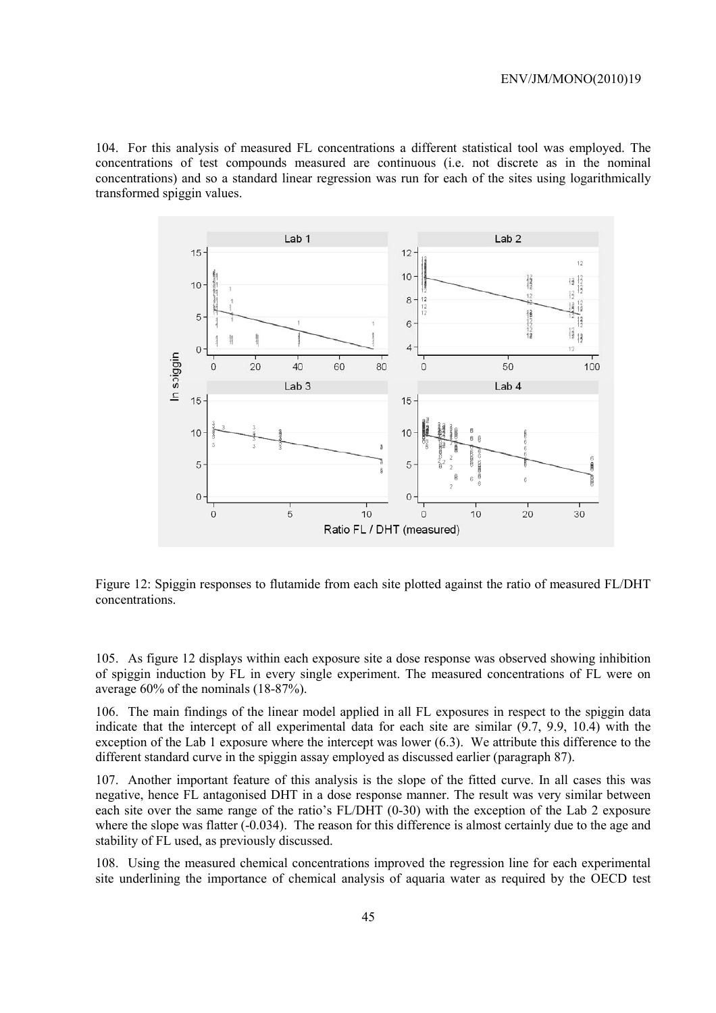104. For this analysis of measured FL concentrations a different statistical tool was employed. The concentrations of test compounds measured are continuous (i.e. not discrete as in the nominal concentrations) and so a standard linear regression was run for each of the sites using logarithmically transformed spiggin values.



Figure 12: Spiggin responses to flutamide from each site plotted against the ratio of measured FL/DHT concentrations.

105. As figure 12 displays within each exposure site a dose response was observed showing inhibition of spiggin induction by FL in every single experiment. The measured concentrations of FL were on average 60% of the nominals (18-87%).

106. The main findings of the linear model applied in all FL exposures in respect to the spiggin data indicate that the intercept of all experimental data for each site are similar (9.7, 9.9, 10.4) with the exception of the Lab 1 exposure where the intercept was lower (6.3). We attribute this difference to the different standard curve in the spiggin assay employed as discussed earlier (paragraph 87).

107. Another important feature of this analysis is the slope of the fitted curve. In all cases this was negative, hence FL antagonised DHT in a dose response manner. The result was very similar between each site over the same range of the ratio's FL/DHT (0-30) with the exception of the Lab 2 exposure where the slope was flatter (-0.034). The reason for this difference is almost certainly due to the age and stability of FL used, as previously discussed.

108. Using the measured chemical concentrations improved the regression line for each experimental site underlining the importance of chemical analysis of aquaria water as required by the OECD test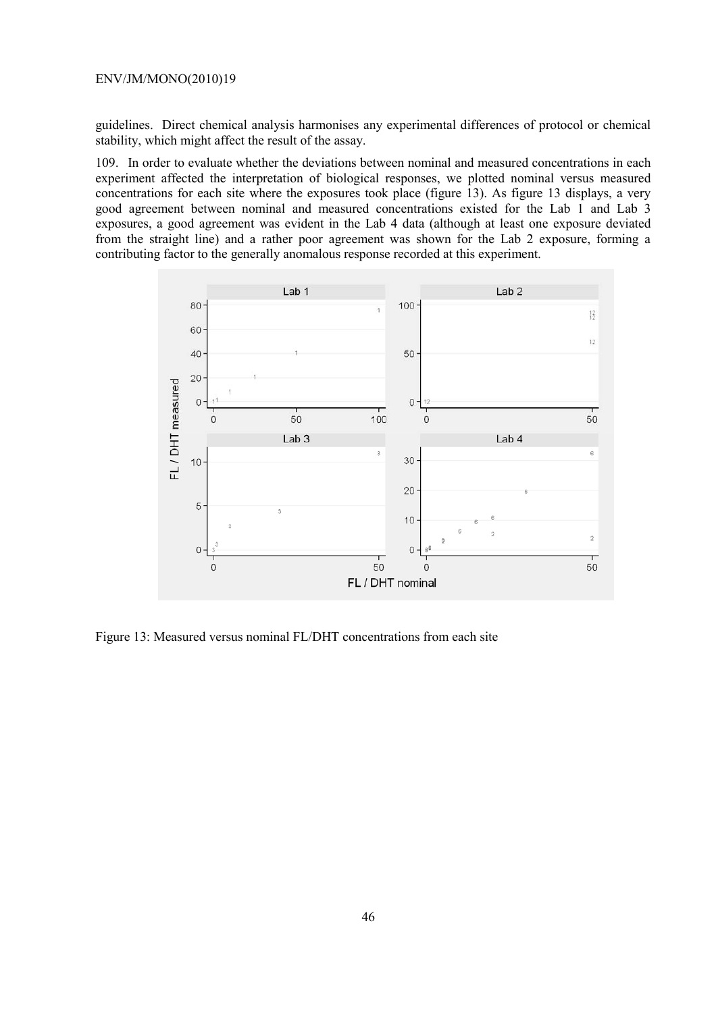guidelines. Direct chemical analysis harmonises any experimental differences of protocol or chemical stability, which might affect the result of the assay.

109. In order to evaluate whether the deviations between nominal and measured concentrations in each experiment affected the interpretation of biological responses, we plotted nominal versus measured concentrations for each site where the exposures took place (figure 13). As figure 13 displays, a very good agreement between nominal and measured concentrations existed for the Lab 1 and Lab 3 exposures, a good agreement was evident in the Lab 4 data (although at least one exposure deviated from the straight line) and a rather poor agreement was shown for the Lab 2 exposure, forming a contributing factor to the generally anomalous response recorded at this experiment.



Figure 13: Measured versus nominal FL/DHT concentrations from each site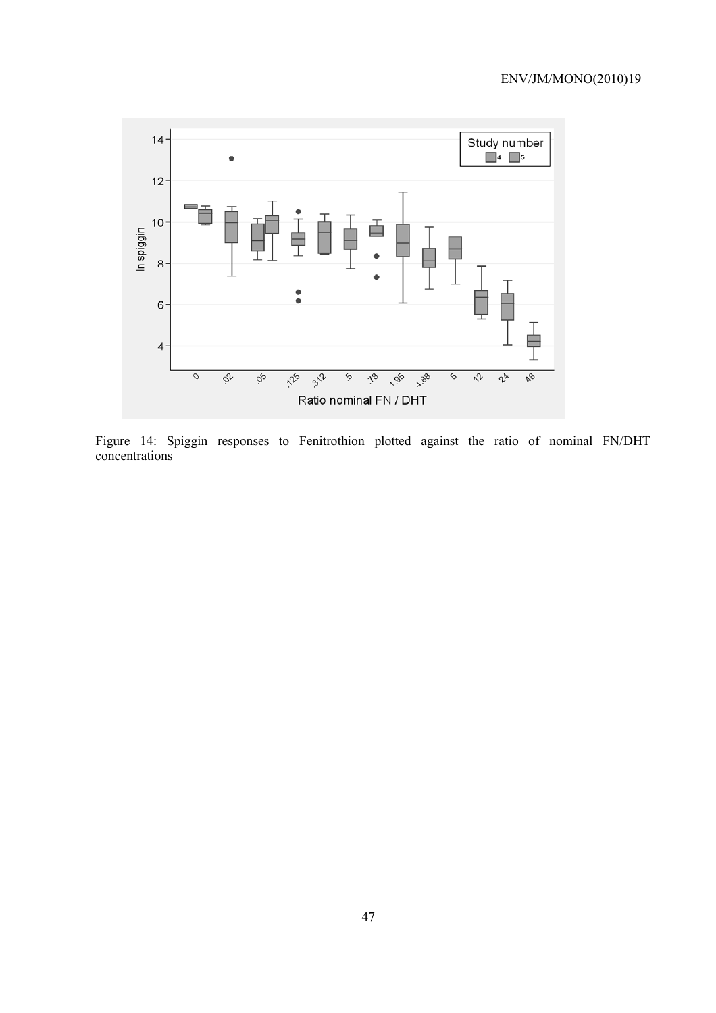

Figure 14: Spiggin responses to Fenitrothion plotted against the ratio of nominal FN/DHT concentrations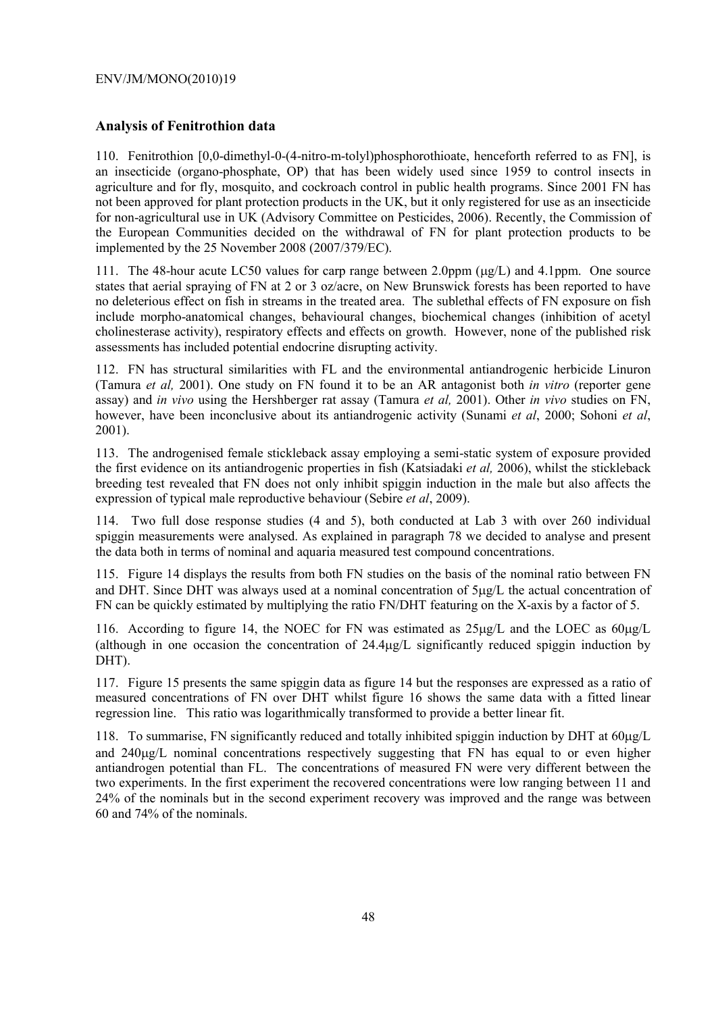## **Analysis of Fenitrothion data**

110. Fenitrothion [0,0-dimethyl-0-(4-nitro-m-tolyl)phosphorothioate, henceforth referred to as FN], is an insecticide (organo-phosphate, OP) that has been widely used since 1959 to control insects in agriculture and for fly, mosquito, and cockroach control in public health programs. Since 2001 FN has not been approved for plant protection products in the UK, but it only registered for use as an insecticide for non-agricultural use in UK (Advisory Committee on Pesticides, 2006). Recently, the Commission of the European Communities decided on the withdrawal of FN for plant protection products to be implemented by the 25 November 2008 (2007/379/EC).

111. The 48-hour acute LC50 values for carp range between 2.0ppm ( $\mu$ g/L) and 4.1ppm. One source states that aerial spraying of FN at 2 or 3 oz/acre, on New Brunswick forests has been reported to have no deleterious effect on fish in streams in the treated area. The sublethal effects of FN exposure on fish include morpho-anatomical changes, behavioural changes, biochemical changes (inhibition of acetyl cholinesterase activity), respiratory effects and effects on growth. However, none of the published risk assessments has included potential endocrine disrupting activity.

112. FN has structural similarities with FL and the environmental antiandrogenic herbicide Linuron (Tamura *et al,* 2001). One study on FN found it to be an AR antagonist both *in vitro* (reporter gene assay) and *in vivo* using the Hershberger rat assay (Tamura *et al,* 2001). Other *in vivo* studies on FN, however, have been inconclusive about its antiandrogenic activity (Sunami *et al*, 2000; Sohoni *et al*, 2001).

113. The androgenised female stickleback assay employing a semi-static system of exposure provided the first evidence on its antiandrogenic properties in fish (Katsiadaki *et al,* 2006), whilst the stickleback breeding test revealed that FN does not only inhibit spiggin induction in the male but also affects the expression of typical male reproductive behaviour (Sebire *et al*, 2009).

114. Two full dose response studies (4 and 5), both conducted at Lab 3 with over 260 individual spiggin measurements were analysed. As explained in paragraph 78 we decided to analyse and present the data both in terms of nominal and aquaria measured test compound concentrations.

115. Figure 14 displays the results from both FN studies on the basis of the nominal ratio between FN and DHT. Since DHT was always used at a nominal concentration of  $5\mu g/L$  the actual concentration of FN can be quickly estimated by multiplying the ratio FN/DHT featuring on the X-axis by a factor of 5.

116. According to figure 14, the NOEC for FN was estimated as 25µg/L and the LOEC as 60µg/L (although in one occasion the concentration of 24.4µg/L significantly reduced spiggin induction by DHT).

117. Figure 15 presents the same spiggin data as figure 14 but the responses are expressed as a ratio of measured concentrations of FN over DHT whilst figure 16 shows the same data with a fitted linear regression line. This ratio was logarithmically transformed to provide a better linear fit.

118. To summarise, FN significantly reduced and totally inhibited spiggin induction by DHT at 60µg/L and 240µg/L nominal concentrations respectively suggesting that FN has equal to or even higher antiandrogen potential than FL. The concentrations of measured FN were very different between the two experiments. In the first experiment the recovered concentrations were low ranging between 11 and 24% of the nominals but in the second experiment recovery was improved and the range was between 60 and 74% of the nominals.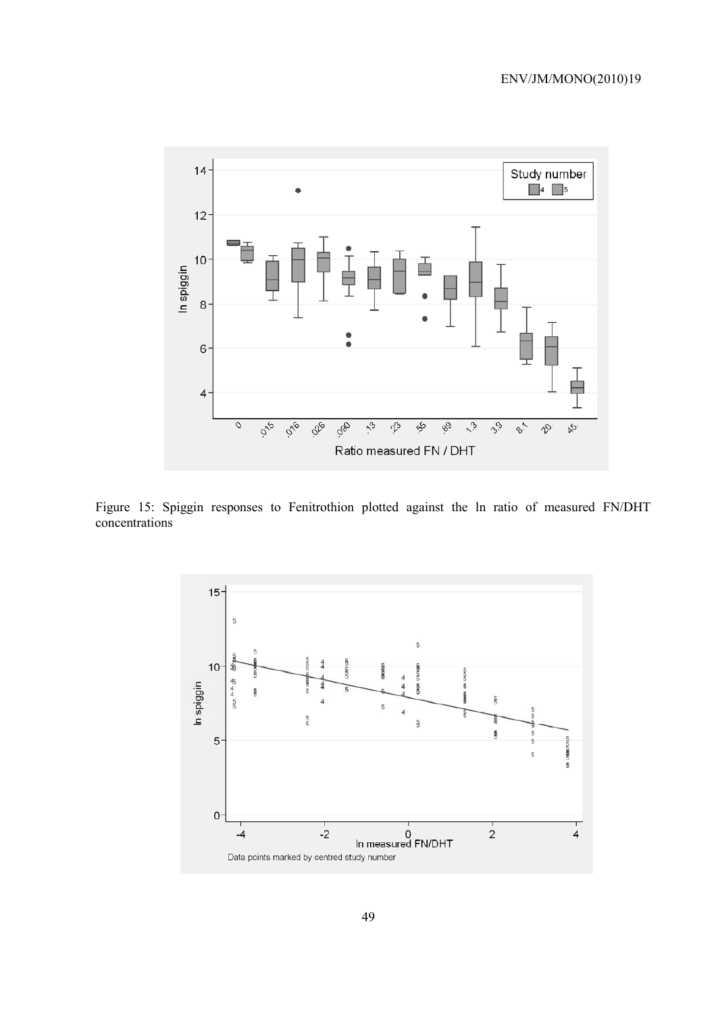

Figure 15: Spiggin responses to Fenitrothion plotted against the ln ratio of measured FN/DHT concentrations

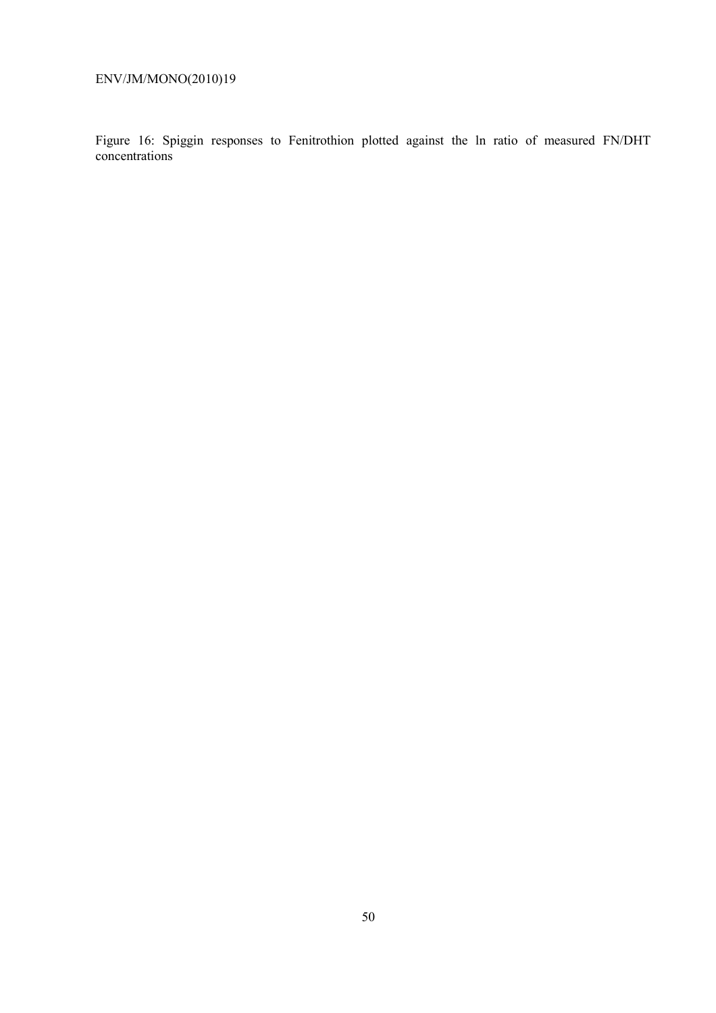Figure 16: Spiggin responses to Fenitrothion plotted against the ln ratio of measured FN/DHT concentrations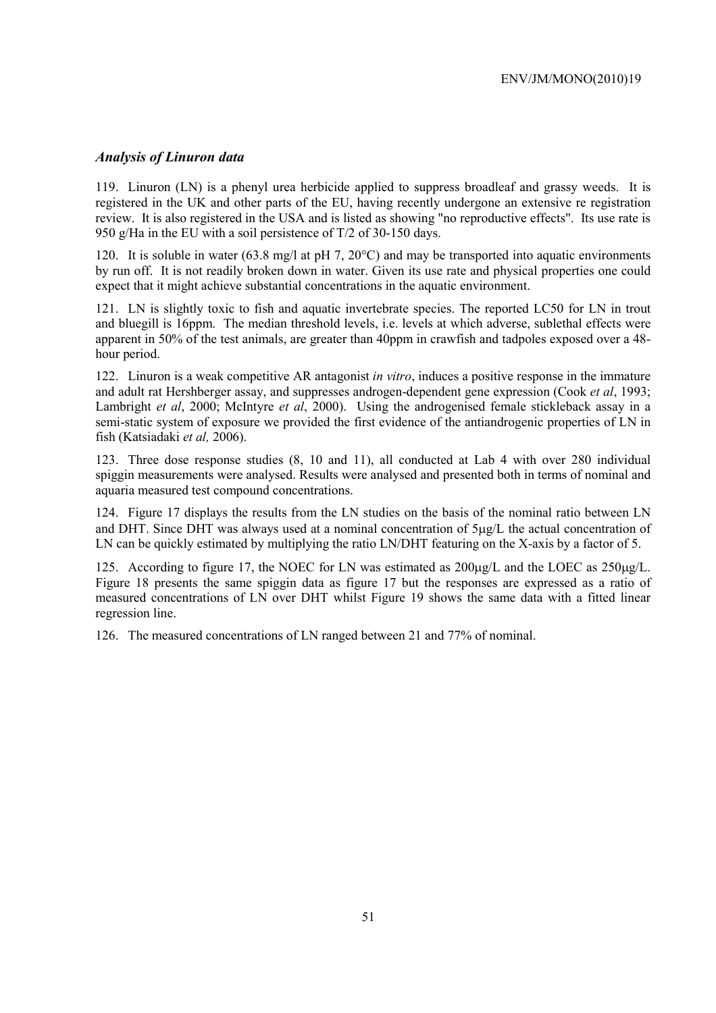### *Analysis of Linuron data*

119. Linuron (LN) is a phenyl urea herbicide applied to suppress broadleaf and grassy weeds. It is registered in the UK and other parts of the EU, having recently undergone an extensive re registration review. It is also registered in the USA and is listed as showing "no reproductive effects". Its use rate is 950 g/Ha in the EU with a soil persistence of T/2 of 30-150 days.

120. It is soluble in water (63.8 mg/l at pH 7, 20°C) and may be transported into aquatic environments by run off. It is not readily broken down in water. Given its use rate and physical properties one could expect that it might achieve substantial concentrations in the aquatic environment.

121. LN is slightly toxic to fish and aquatic invertebrate species. The reported LC50 for LN in trout and bluegill is 16ppm. The median threshold levels, i.e. levels at which adverse, sublethal effects were apparent in 50% of the test animals, are greater than 40ppm in crawfish and tadpoles exposed over a 48 hour period.

122. Linuron is a weak competitive AR antagonist *in vitro*, induces a positive response in the immature and adult rat Hershberger assay, and suppresses androgen-dependent gene expression (Cook *et al*, 1993; Lambright *et al*, 2000; McIntyre *et al*, 2000). Using the androgenised female stickleback assay in a semi-static system of exposure we provided the first evidence of the antiandrogenic properties of LN in fish (Katsiadaki *et al,* 2006).

123. Three dose response studies (8, 10 and 11), all conducted at Lab 4 with over 280 individual spiggin measurements were analysed. Results were analysed and presented both in terms of nominal and aquaria measured test compound concentrations.

124. Figure 17 displays the results from the LN studies on the basis of the nominal ratio between LN and DHT. Since DHT was always used at a nominal concentration of 5µg/L the actual concentration of LN can be quickly estimated by multiplying the ratio LN/DHT featuring on the X-axis by a factor of 5.

125. According to figure 17, the NOEC for LN was estimated as 200µg/L and the LOEC as 250µg/L. Figure 18 presents the same spiggin data as figure 17 but the responses are expressed as a ratio of measured concentrations of LN over DHT whilst Figure 19 shows the same data with a fitted linear regression line.

126. The measured concentrations of LN ranged between 21 and 77% of nominal.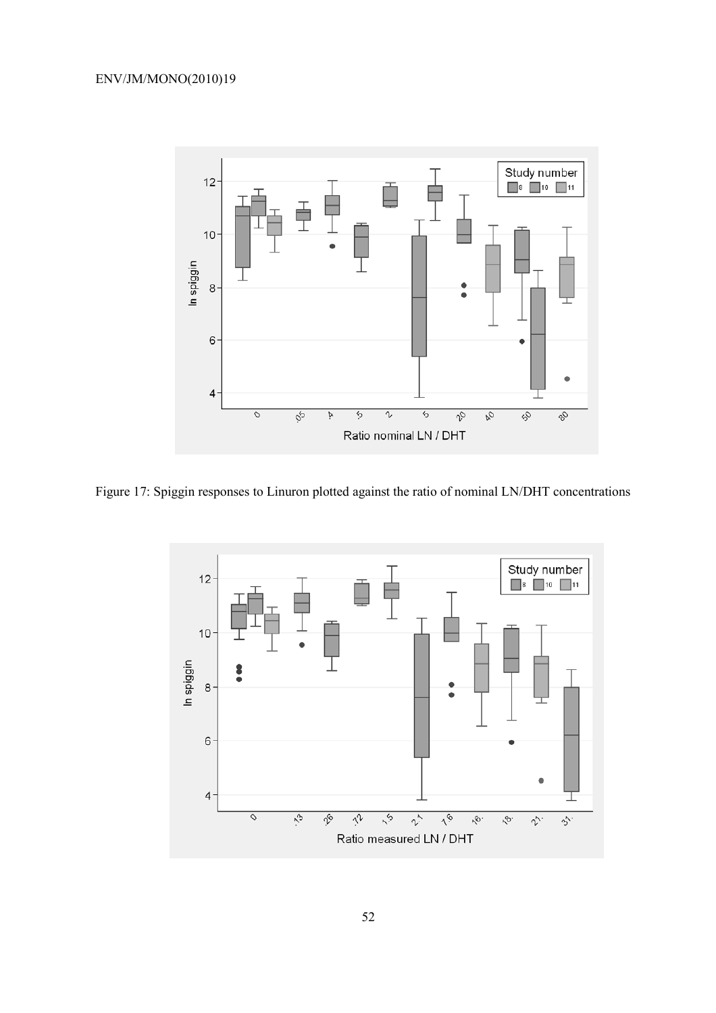

Figure 17: Spiggin responses to Linuron plotted against the ratio of nominal LN/DHT concentrations

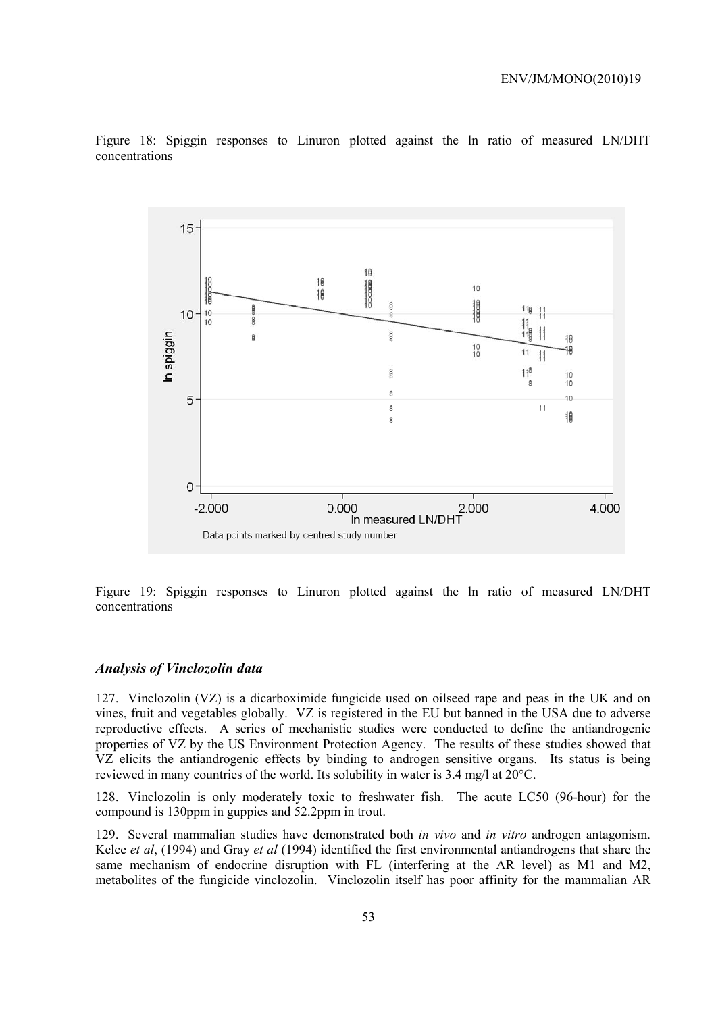

Figure 18: Spiggin responses to Linuron plotted against the ln ratio of measured LN/DHT concentrations

Figure 19: Spiggin responses to Linuron plotted against the ln ratio of measured LN/DHT concentrations

#### *Analysis of Vinclozolin data*

127. Vinclozolin (VZ) is a dicarboximide fungicide used on oilseed rape and peas in the UK and on vines, fruit and vegetables globally. VZ is registered in the EU but banned in the USA due to adverse reproductive effects. A series of mechanistic studies were conducted to define the antiandrogenic properties of VZ by the US Environment Protection Agency. The results of these studies showed that VZ elicits the antiandrogenic effects by binding to androgen sensitive organs. Its status is being reviewed in many countries of the world. Its solubility in water is 3.4 mg/l at 20°C.

128. Vinclozolin is only moderately toxic to freshwater fish. The acute LC50 (96-hour) for the compound is 130ppm in guppies and 52.2ppm in trout.

129. Several mammalian studies have demonstrated both *in vivo* and *in vitro* androgen antagonism. Kelce *et al*, (1994) and Gray *et al* (1994) identified the first environmental antiandrogens that share the same mechanism of endocrine disruption with FL (interfering at the AR level) as M1 and M2, metabolites of the fungicide vinclozolin. Vinclozolin itself has poor affinity for the mammalian AR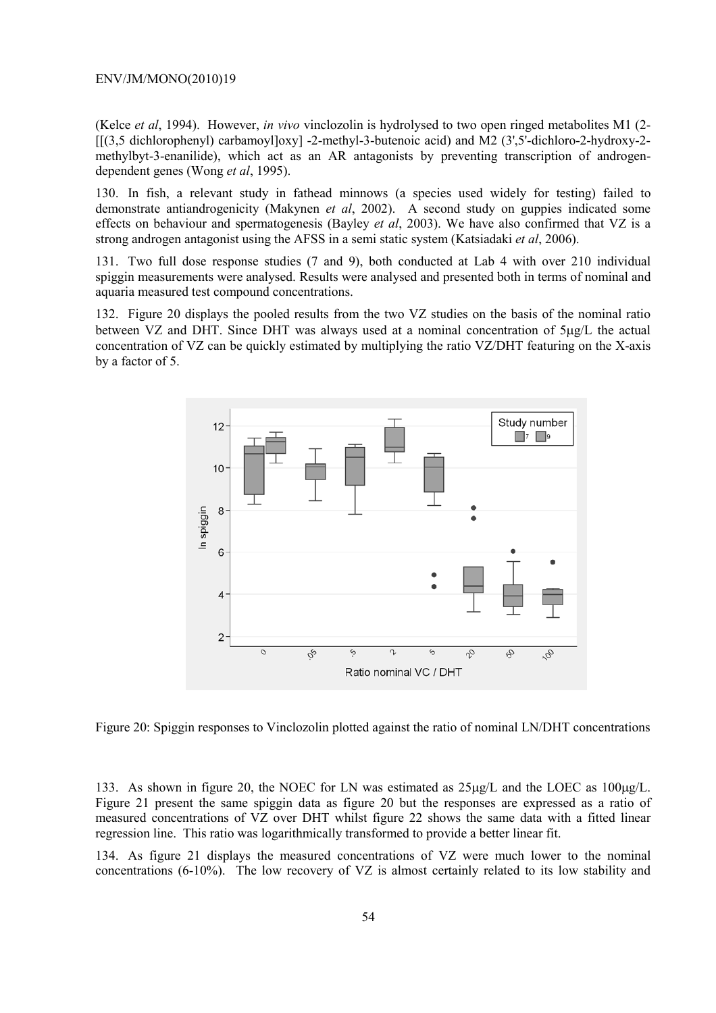(Kelce *et al*, 1994). However, *in vivo* vinclozolin is hydrolysed to two open ringed metabolites M1 (2-  $\left[\frac{3.5 \text{ dichlorophenyl}}{\text{centyl-2-methyl-3-butenoic acid}}\right]$  and M2 (3',5'-dichloro-2-hydroxy-2methylbyt-3-enanilide), which act as an AR antagonists by preventing transcription of androgendependent genes (Wong *et al*, 1995).

130. In fish, a relevant study in fathead minnows (a species used widely for testing) failed to demonstrate antiandrogenicity (Makynen *et al*, 2002). A second study on guppies indicated some effects on behaviour and spermatogenesis (Bayley *et al*, 2003). We have also confirmed that VZ is a strong androgen antagonist using the AFSS in a semi static system (Katsiadaki *et al*, 2006).

131. Two full dose response studies (7 and 9), both conducted at Lab 4 with over 210 individual spiggin measurements were analysed. Results were analysed and presented both in terms of nominal and aquaria measured test compound concentrations.

132. Figure 20 displays the pooled results from the two VZ studies on the basis of the nominal ratio between VZ and DHT. Since DHT was always used at a nominal concentration of  $5\mu g/L$  the actual concentration of VZ can be quickly estimated by multiplying the ratio VZ/DHT featuring on the X-axis by a factor of 5.



Figure 20: Spiggin responses to Vinclozolin plotted against the ratio of nominal LN/DHT concentrations

133. As shown in figure 20, the NOEC for LN was estimated as  $25\mu g/L$  and the LOEC as  $100\mu g/L$ . Figure 21 present the same spiggin data as figure 20 but the responses are expressed as a ratio of measured concentrations of VZ over DHT whilst figure 22 shows the same data with a fitted linear regression line. This ratio was logarithmically transformed to provide a better linear fit.

134. As figure 21 displays the measured concentrations of VZ were much lower to the nominal concentrations (6-10%). The low recovery of VZ is almost certainly related to its low stability and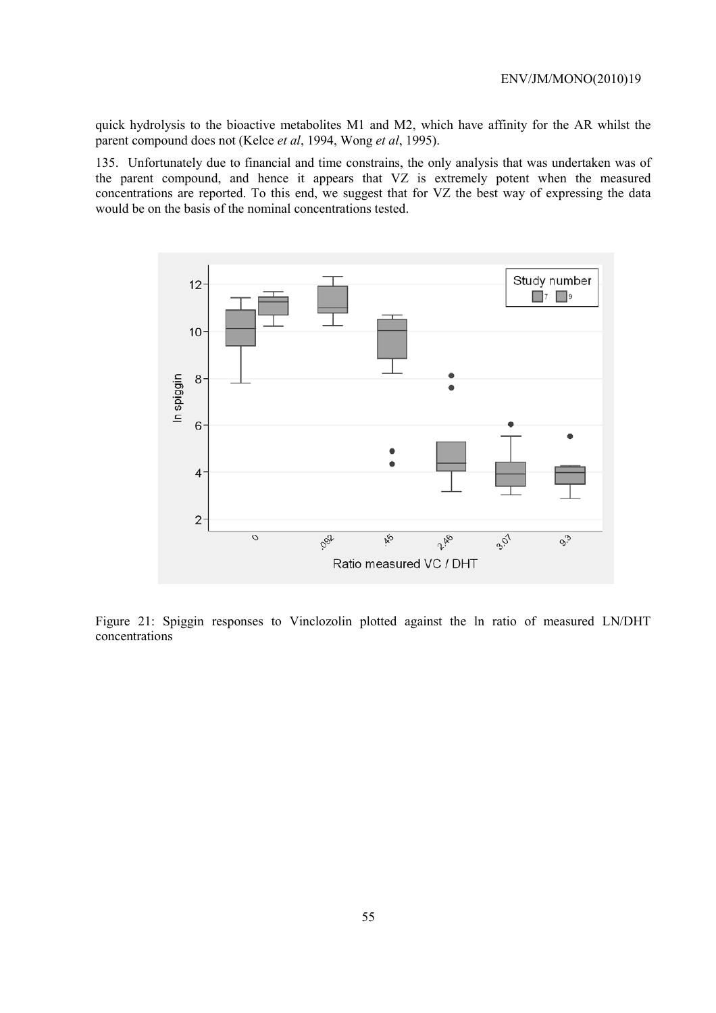quick hydrolysis to the bioactive metabolites M1 and M2, which have affinity for the AR whilst the parent compound does not (Kelce *et al*, 1994, Wong *et al*, 1995).

135. Unfortunately due to financial and time constrains, the only analysis that was undertaken was of the parent compound, and hence it appears that VZ is extremely potent when the measured concentrations are reported. To this end, we suggest that for VZ the best way of expressing the data would be on the basis of the nominal concentrations tested.



Figure 21: Spiggin responses to Vinclozolin plotted against the ln ratio of measured LN/DHT concentrations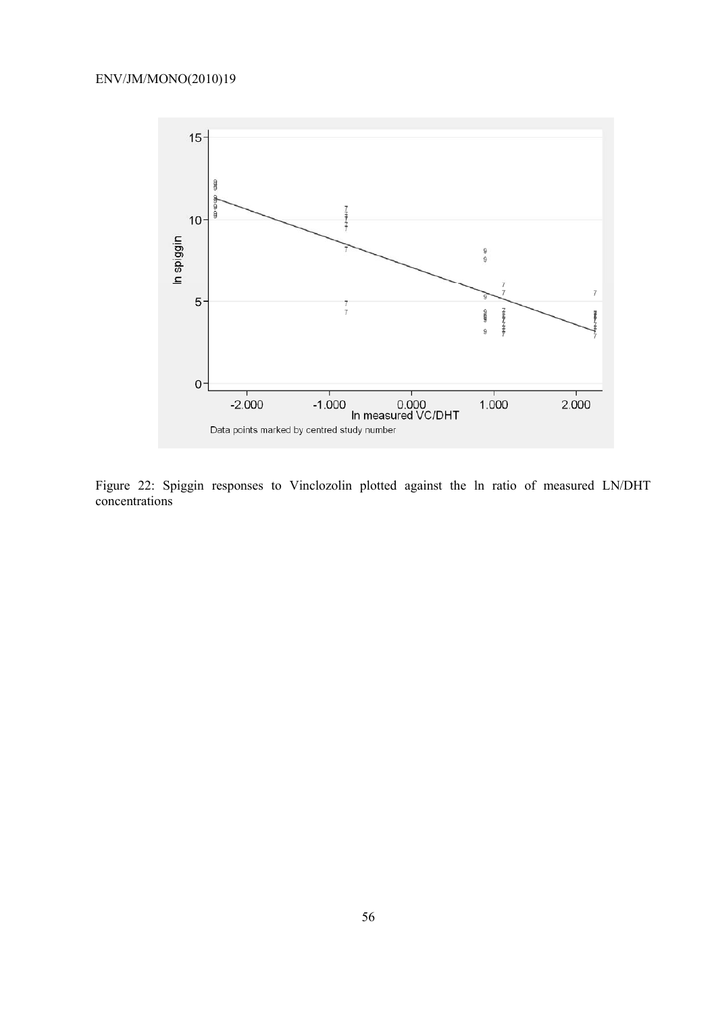

Figure 22: Spiggin responses to Vinclozolin plotted against the ln ratio of measured LN/DHT concentrations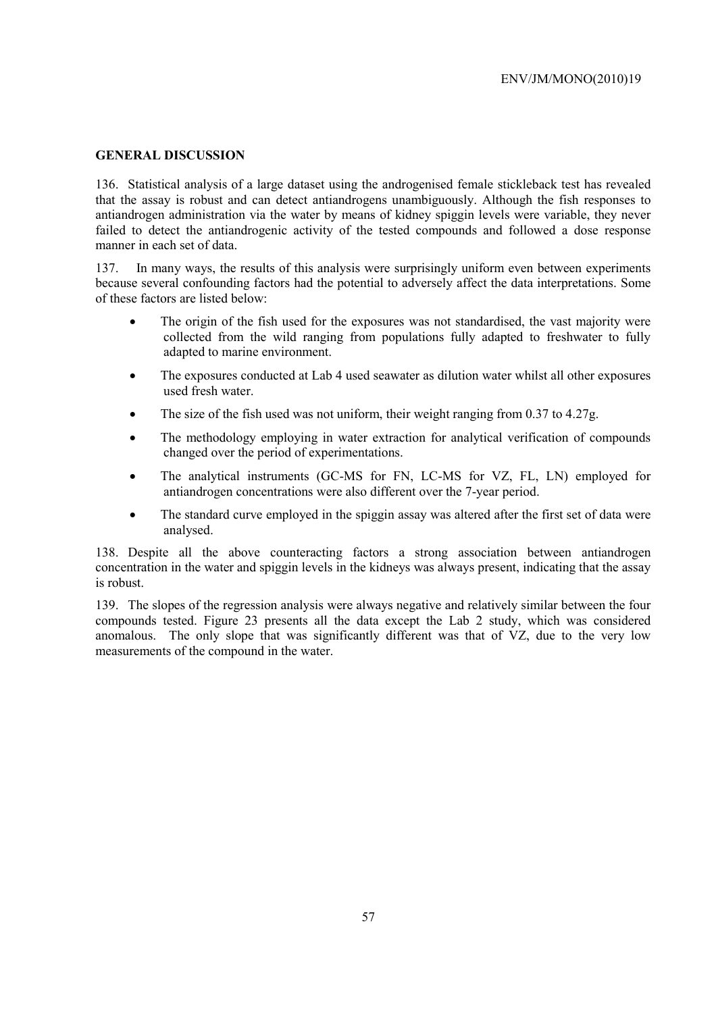### **GENERAL DISCUSSION**

136. Statistical analysis of a large dataset using the androgenised female stickleback test has revealed that the assay is robust and can detect antiandrogens unambiguously. Although the fish responses to antiandrogen administration via the water by means of kidney spiggin levels were variable, they never failed to detect the antiandrogenic activity of the tested compounds and followed a dose response manner in each set of data.

137. In many ways, the results of this analysis were surprisingly uniform even between experiments because several confounding factors had the potential to adversely affect the data interpretations. Some of these factors are listed below:

- The origin of the fish used for the exposures was not standardised, the vast majority were collected from the wild ranging from populations fully adapted to freshwater to fully adapted to marine environment.
- The exposures conducted at Lab 4 used seawater as dilution water whilst all other exposures used fresh water.
- The size of the fish used was not uniform, their weight ranging from 0.37 to 4.27g.
- The methodology employing in water extraction for analytical verification of compounds changed over the period of experimentations.
- The analytical instruments (GC-MS for FN, LC-MS for VZ, FL, LN) employed for antiandrogen concentrations were also different over the 7-year period.
- The standard curve employed in the spiggin assay was altered after the first set of data were analysed.

138. Despite all the above counteracting factors a strong association between antiandrogen concentration in the water and spiggin levels in the kidneys was always present, indicating that the assay is robust.

139. The slopes of the regression analysis were always negative and relatively similar between the four compounds tested. Figure 23 presents all the data except the Lab 2 study, which was considered anomalous. The only slope that was significantly different was that of VZ, due to the very low measurements of the compound in the water.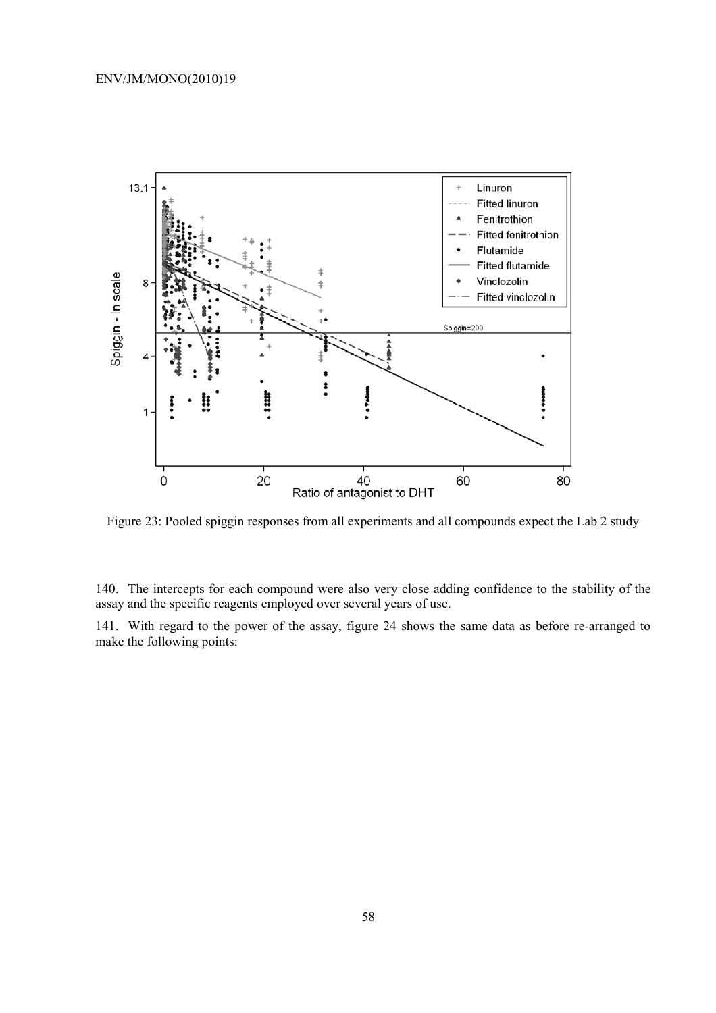

Figure 23: Pooled spiggin responses from all experiments and all compounds expect the Lab 2 study

140. The intercepts for each compound were also very close adding confidence to the stability of the assay and the specific reagents employed over several years of use.

141. With regard to the power of the assay, figure 24 shows the same data as before re-arranged to make the following points: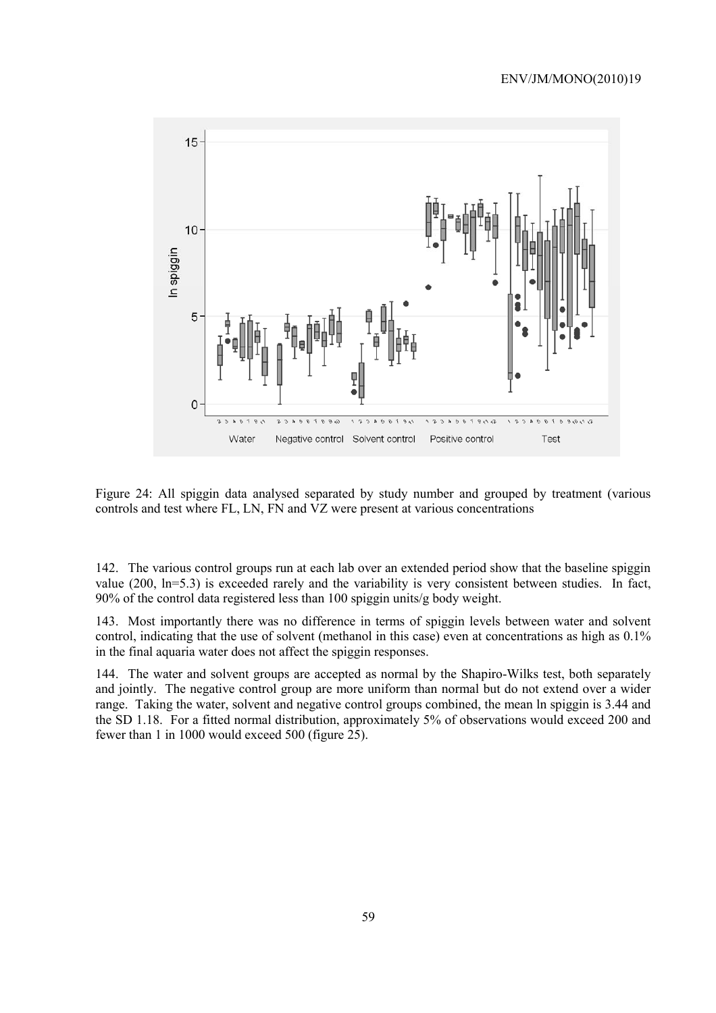

Figure 24: All spiggin data analysed separated by study number and grouped by treatment (various controls and test where FL, LN, FN and VZ were present at various concentrations

142. The various control groups run at each lab over an extended period show that the baseline spiggin value (200, ln=5.3) is exceeded rarely and the variability is very consistent between studies. In fact, 90% of the control data registered less than 100 spiggin units/g body weight.

143. Most importantly there was no difference in terms of spiggin levels between water and solvent control, indicating that the use of solvent (methanol in this case) even at concentrations as high as 0.1% in the final aquaria water does not affect the spiggin responses.

144. The water and solvent groups are accepted as normal by the Shapiro-Wilks test, both separately and jointly. The negative control group are more uniform than normal but do not extend over a wider range. Taking the water, solvent and negative control groups combined, the mean ln spiggin is 3.44 and the SD 1.18. For a fitted normal distribution, approximately 5% of observations would exceed 200 and fewer than 1 in 1000 would exceed 500 (figure 25).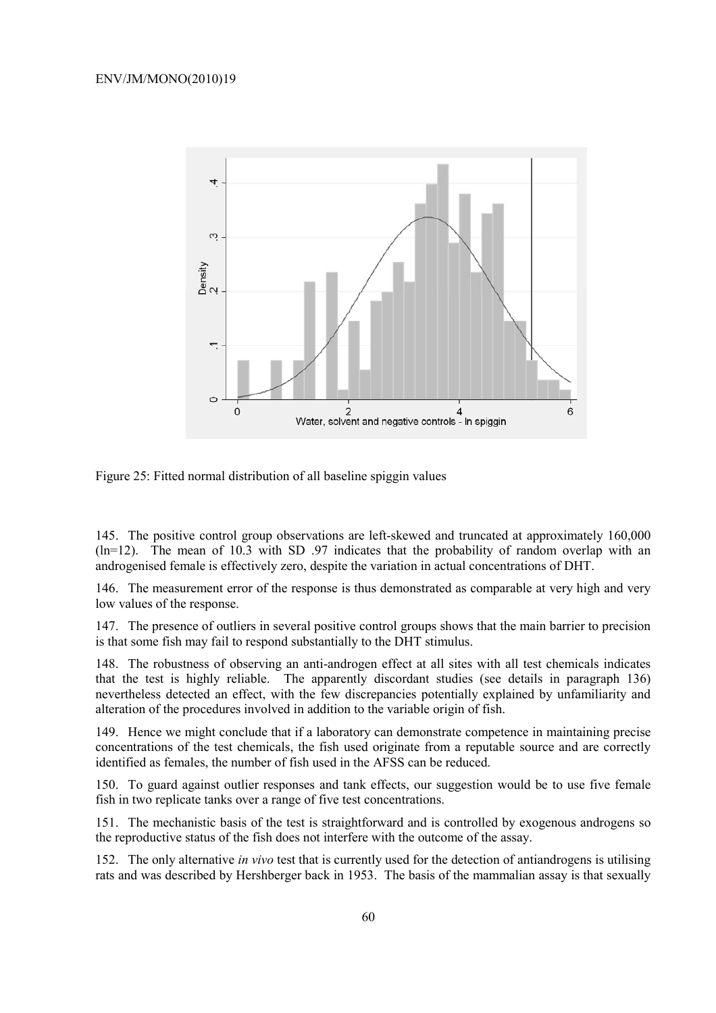

Figure 25: Fitted normal distribution of all baseline spiggin values

145. The positive control group observations are left-skewed and truncated at approximately 160,000  $(ln=12)$ . The mean of 10.3 with SD .97 indicates that the probability of random overlap with an androgenised female is effectively zero, despite the variation in actual concentrations of DHT.

146. The measurement error of the response is thus demonstrated as comparable at very high and very low values of the response.

147. The presence of outliers in several positive control groups shows that the main barrier to precision is that some fish may fail to respond substantially to the DHT stimulus.

148. The robustness of observing an anti-androgen effect at all sites with all test chemicals indicates that the test is highly reliable. The apparently discordant studies (see details in paragraph 136) nevertheless detected an effect, with the few discrepancies potentially explained by unfamiliarity and alteration of the procedures involved in addition to the variable origin of fish.

149. Hence we might conclude that if a laboratory can demonstrate competence in maintaining precise concentrations of the test chemicals, the fish used originate from a reputable source and are correctly identified as females, the number of fish used in the AFSS can be reduced.

150. To guard against outlier responses and tank effects, our suggestion would be to use five female fish in two replicate tanks over a range of five test concentrations.

151. The mechanistic basis of the test is straightforward and is controlled by exogenous androgens so the reproductive status of the fish does not interfere with the outcome of the assay.

152. The only alternative *in vivo* test that is currently used for the detection of antiandrogens is utilising rats and was described by Hershberger back in 1953. The basis of the mammalian assay is that sexually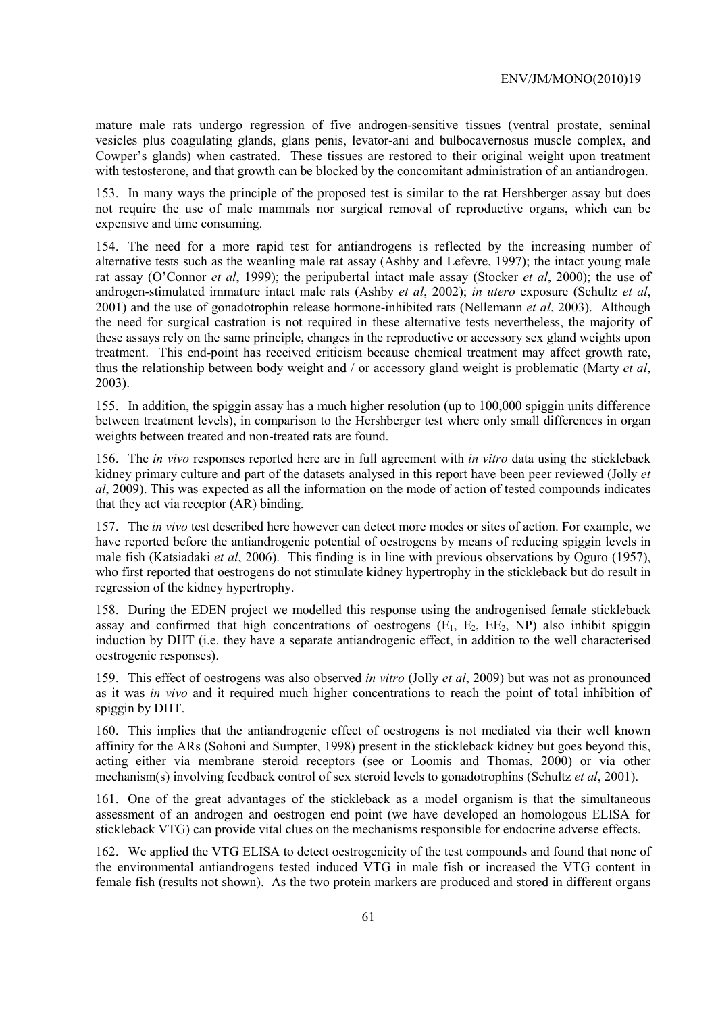mature male rats undergo regression of five androgen-sensitive tissues (ventral prostate, seminal vesicles plus coagulating glands, glans penis, levator-ani and bulbocavernosus muscle complex, and Cowper's glands) when castrated. These tissues are restored to their original weight upon treatment with testosterone, and that growth can be blocked by the concomitant administration of an antiandrogen.

153. In many ways the principle of the proposed test is similar to the rat Hershberger assay but does not require the use of male mammals nor surgical removal of reproductive organs, which can be expensive and time consuming.

154. The need for a more rapid test for antiandrogens is reflected by the increasing number of alternative tests such as the weanling male rat assay (Ashby and Lefevre, 1997); the intact young male rat assay (O'Connor *et al*, 1999); the peripubertal intact male assay (Stocker *et al*, 2000); the use of androgen-stimulated immature intact male rats (Ashby *et al*, 2002); *in utero* exposure (Schultz *et al*, 2001) and the use of gonadotrophin release hormone-inhibited rats (Nellemann *et al*, 2003). Although the need for surgical castration is not required in these alternative tests nevertheless, the majority of these assays rely on the same principle, changes in the reproductive or accessory sex gland weights upon treatment. This end-point has received criticism because chemical treatment may affect growth rate, thus the relationship between body weight and / or accessory gland weight is problematic (Marty *et al*, 2003).

155. In addition, the spiggin assay has a much higher resolution (up to 100,000 spiggin units difference between treatment levels), in comparison to the Hershberger test where only small differences in organ weights between treated and non-treated rats are found.

156. The *in vivo* responses reported here are in full agreement with *in vitro* data using the stickleback kidney primary culture and part of the datasets analysed in this report have been peer reviewed (Jolly *et al*, 2009). This was expected as all the information on the mode of action of tested compounds indicates that they act via receptor (AR) binding.

157. The *in vivo* test described here however can detect more modes or sites of action. For example, we have reported before the antiandrogenic potential of oestrogens by means of reducing spiggin levels in male fish (Katsiadaki *et al*, 2006). This finding is in line with previous observations by Oguro (1957), who first reported that oestrogens do not stimulate kidney hypertrophy in the stickleback but do result in regression of the kidney hypertrophy.

158. During the EDEN project we modelled this response using the androgenised female stickleback assay and confirmed that high concentrations of oestrogens  $(E_1, E_2, EE_2, NP)$  also inhibit spiggin induction by DHT (i.e. they have a separate antiandrogenic effect, in addition to the well characterised oestrogenic responses).

159. This effect of oestrogens was also observed *in vitro* (Jolly *et al*, 2009) but was not as pronounced as it was *in vivo* and it required much higher concentrations to reach the point of total inhibition of spiggin by DHT.

160. This implies that the antiandrogenic effect of oestrogens is not mediated via their well known affinity for the ARs (Sohoni and Sumpter, 1998) present in the stickleback kidney but goes beyond this, acting either via membrane steroid receptors (see or Loomis and Thomas, 2000) or via other mechanism(s) involving feedback control of sex steroid levels to gonadotrophins (Schultz *et al*, 2001).

161. One of the great advantages of the stickleback as a model organism is that the simultaneous assessment of an androgen and oestrogen end point (we have developed an homologous ELISA for stickleback VTG) can provide vital clues on the mechanisms responsible for endocrine adverse effects.

162. We applied the VTG ELISA to detect oestrogenicity of the test compounds and found that none of the environmental antiandrogens tested induced VTG in male fish or increased the VTG content in female fish (results not shown). As the two protein markers are produced and stored in different organs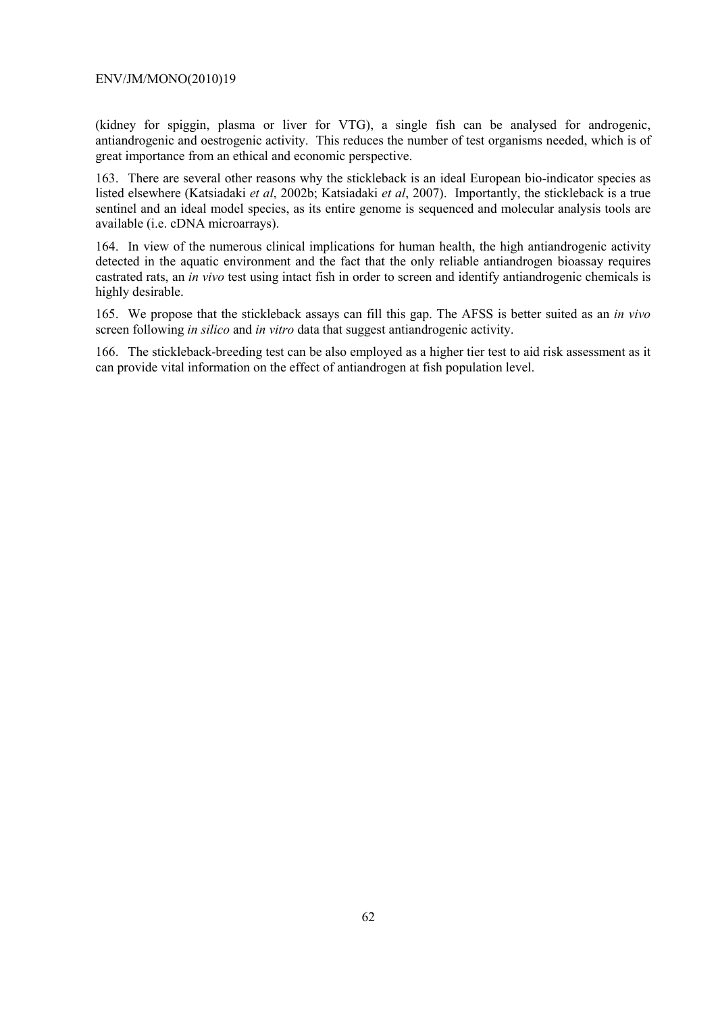(kidney for spiggin, plasma or liver for VTG), a single fish can be analysed for androgenic, antiandrogenic and oestrogenic activity. This reduces the number of test organisms needed, which is of great importance from an ethical and economic perspective.

163. There are several other reasons why the stickleback is an ideal European bio-indicator species as listed elsewhere (Katsiadaki *et al*, 2002b; Katsiadaki *et al*, 2007). Importantly, the stickleback is a true sentinel and an ideal model species, as its entire genome is sequenced and molecular analysis tools are available (i.e. cDNA microarrays).

164. In view of the numerous clinical implications for human health, the high antiandrogenic activity detected in the aquatic environment and the fact that the only reliable antiandrogen bioassay requires castrated rats, an *in vivo* test using intact fish in order to screen and identify antiandrogenic chemicals is highly desirable.

165. We propose that the stickleback assays can fill this gap. The AFSS is better suited as an *in vivo* screen following *in silico* and *in vitro* data that suggest antiandrogenic activity.

166. The stickleback-breeding test can be also employed as a higher tier test to aid risk assessment as it can provide vital information on the effect of antiandrogen at fish population level.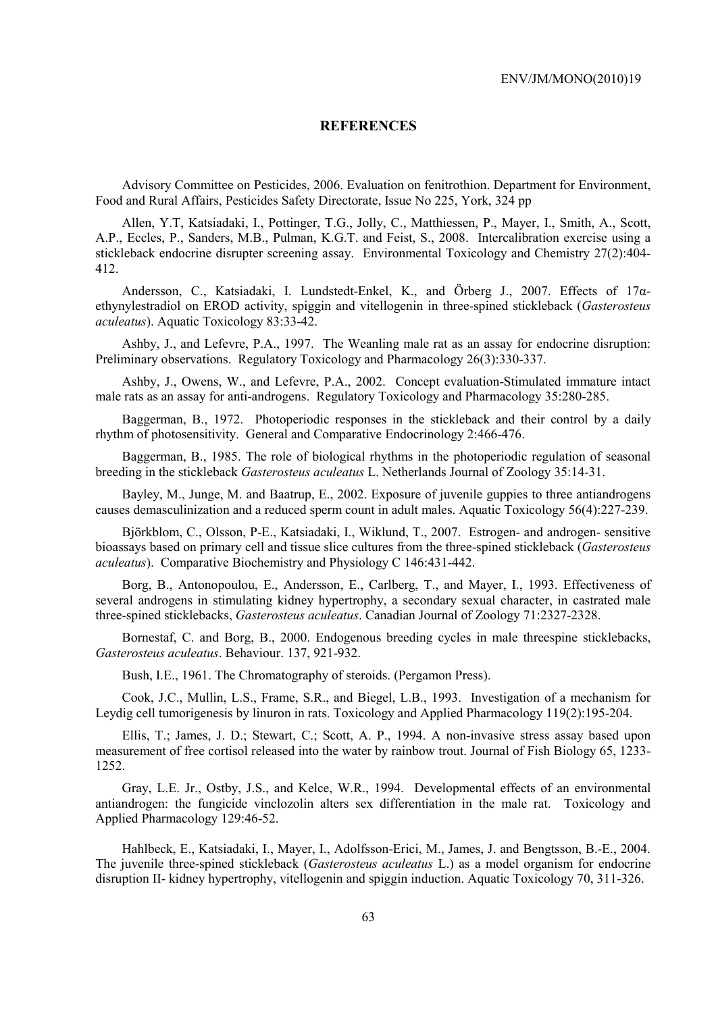### **REFERENCES**

Advisory Committee on Pesticides, 2006. Evaluation on fenitrothion. Department for Environment, Food and Rural Affairs, Pesticides Safety Directorate, Issue No 225, York, 324 pp

Allen, Y.T, Katsiadaki, I., Pottinger, T.G., Jolly, C., Matthiessen, P., Mayer, I., Smith, A., Scott, A.P., Eccles, P., Sanders, M.B., Pulman, K.G.T. and Feist, S., 2008. Intercalibration exercise using a stickleback endocrine disrupter screening assay. Environmental Toxicology and Chemistry 27(2):404- 412.

Andersson, C., Katsiadaki, I. Lundstedt-Enkel, K., and Örberg J., 2007. Effects of 17αethynylestradiol on EROD activity, spiggin and vitellogenin in three-spined stickleback (*Gasterosteus aculeatus*). Aquatic Toxicology 83:33-42.

Ashby, J., and Lefevre, P.A., 1997. The Weanling male rat as an assay for endocrine disruption: Preliminary observations. Regulatory Toxicology and Pharmacology 26(3):330-337.

Ashby, J., Owens, W., and Lefevre, P.A., 2002. Concept evaluation-Stimulated immature intact male rats as an assay for anti-androgens. Regulatory Toxicology and Pharmacology 35:280-285.

Baggerman, B., 1972. Photoperiodic responses in the stickleback and their control by a daily rhythm of photosensitivity. General and Comparative Endocrinology 2:466-476.

Baggerman, B., 1985. The role of biological rhythms in the photoperiodic regulation of seasonal breeding in the stickleback *Gasterosteus aculeatus* L. Netherlands Journal of Zoology 35:14-31.

Bayley, M., Junge, M. and Baatrup, E., 2002. Exposure of juvenile guppies to three antiandrogens causes demasculinization and a reduced sperm count in adult males. Aquatic Toxicology 56(4):227-239.

Björkblom, C., Olsson, P-E., Katsiadaki, I., Wiklund, T., 2007. Estrogen- and androgen- sensitive bioassays based on primary cell and tissue slice cultures from the three-spined stickleback (*Gasterosteus aculeatus*). Comparative Biochemistry and Physiology C 146:431-442.

Borg, B., Antonopoulou, E., Andersson, E., Carlberg, T., and Mayer, I., 1993. Effectiveness of several androgens in stimulating kidney hypertrophy, a secondary sexual character, in castrated male three-spined sticklebacks, *Gasterosteus aculeatus*. Canadian Journal of Zoology 71:2327-2328.

Bornestaf, C. and Borg, B., 2000. Endogenous breeding cycles in male threespine sticklebacks, *Gasterosteus aculeatus*. Behaviour. 137, 921-932.

Bush, I.E., 1961. The Chromatography of steroids. (Pergamon Press).

Cook, J.C., Mullin, L.S., Frame, S.R., and Biegel, L.B., 1993. Investigation of a mechanism for Leydig cell tumorigenesis by linuron in rats. Toxicology and Applied Pharmacology 119(2):195-204.

Ellis, T.; James, J. D.; Stewart, C.; Scott, A. P., 1994. A non-invasive stress assay based upon measurement of free cortisol released into the water by rainbow trout. Journal of Fish Biology 65, 1233- 1252.

Gray, L.E. Jr., Ostby, J.S., and Kelce, W.R., 1994. Developmental effects of an environmental antiandrogen: the fungicide vinclozolin alters sex differentiation in the male rat. Toxicology and Applied Pharmacology 129:46-52.

Hahlbeck, E., Katsiadaki, I., Mayer, I., Adolfsson-Erici, M., James, J. and Bengtsson, B.-E., 2004. The juvenile three-spined stickleback (*Gasterosteus aculeatus* L.) as a model organism for endocrine disruption II- kidney hypertrophy, vitellogenin and spiggin induction. Aquatic Toxicology 70, 311-326.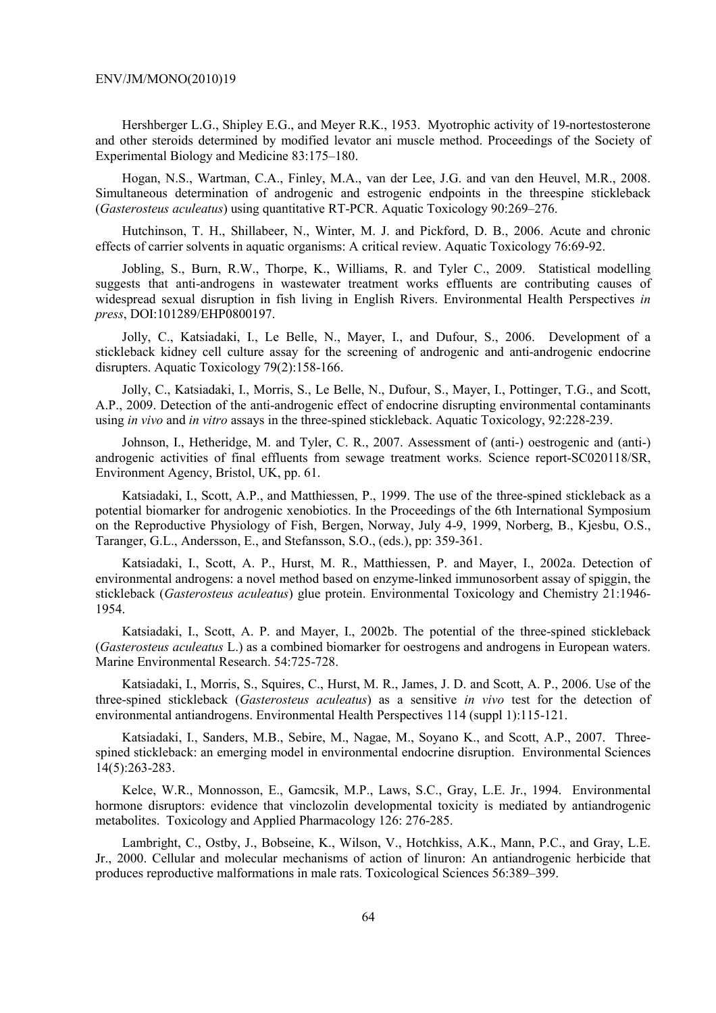Hershberger L.G., Shipley E.G., and Meyer R.K., 1953. Myotrophic activity of 19-nortestosterone and other steroids determined by modified levator ani muscle method. Proceedings of the Society of Experimental Biology and Medicine 83:175–180.

Hogan, N.S., Wartman, C.A., Finley, M.A., van der Lee, J.G. and van den Heuvel, M.R., 2008. Simultaneous determination of androgenic and estrogenic endpoints in the threespine stickleback (*Gasterosteus aculeatus*) using quantitative RT-PCR. Aquatic Toxicology 90:269–276.

Hutchinson, T. H., Shillabeer, N., Winter, M. J. and Pickford, D. B., 2006. Acute and chronic effects of carrier solvents in aquatic organisms: A critical review. Aquatic Toxicology 76:69-92.

Jobling, S., Burn, R.W., Thorpe, K., Williams, R. and Tyler C., 2009. Statistical modelling suggests that anti-androgens in wastewater treatment works effluents are contributing causes of widespread sexual disruption in fish living in English Rivers. Environmental Health Perspectives *in press*, DOI:101289/EHP0800197.

Jolly, C., Katsiadaki, I., Le Belle, N., Mayer, I., and Dufour, S., 2006. Development of a stickleback kidney cell culture assay for the screening of androgenic and anti-androgenic endocrine disrupters. Aquatic Toxicology 79(2):158-166.

Jolly, C., Katsiadaki, I., Morris, S., Le Belle, N., Dufour, S., Mayer, I., Pottinger, T.G., and Scott, A.P., 2009. Detection of the anti-androgenic effect of endocrine disrupting environmental contaminants using *in vivo* and *in vitro* assays in the three-spined stickleback. Aquatic Toxicology, 92:228-239.

Johnson, I., Hetheridge, M. and Tyler, C. R., 2007. Assessment of (anti-) oestrogenic and (anti-) androgenic activities of final effluents from sewage treatment works. Science report-SC020118/SR, Environment Agency, Bristol, UK, pp. 61.

Katsiadaki, I., Scott, A.P., and Matthiessen, P., 1999. The use of the three-spined stickleback as a potential biomarker for androgenic xenobiotics. In the Proceedings of the 6th International Symposium on the Reproductive Physiology of Fish, Bergen, Norway, July 4-9, 1999, Norberg, B., Kjesbu, O.S., Taranger, G.L., Andersson, E., and Stefansson, S.O., (eds.), pp: 359-361.

Katsiadaki, I., Scott, A. P., Hurst, M. R., Matthiessen, P. and Mayer, I., 2002a. Detection of environmental androgens: a novel method based on enzyme-linked immunosorbent assay of spiggin, the stickleback (*Gasterosteus aculeatus*) glue protein. Environmental Toxicology and Chemistry 21:1946- 1954.

Katsiadaki, I., Scott, A. P. and Mayer, I., 2002b. The potential of the three-spined stickleback (*Gasterosteus aculeatus* L.) as a combined biomarker for oestrogens and androgens in European waters. Marine Environmental Research. 54:725-728.

Katsiadaki, I., Morris, S., Squires, C., Hurst, M. R., James, J. D. and Scott, A. P., 2006. Use of the three-spined stickleback (*Gasterosteus aculeatus*) as a sensitive *in vivo* test for the detection of environmental antiandrogens. Environmental Health Perspectives 114 (suppl 1):115-121.

Katsiadaki, I., Sanders, M.B., Sebire, M., Nagae, M., Soyano K., and Scott, A.P., 2007. Threespined stickleback: an emerging model in environmental endocrine disruption. Environmental Sciences 14(5):263-283.

Kelce, W.R., Monnosson, E., Gamcsik, M.P., Laws, S.C., Gray, L.E. Jr., 1994. Environmental hormone disruptors: evidence that vinclozolin developmental toxicity is mediated by antiandrogenic metabolites. Toxicology and Applied Pharmacology 126: 276-285.

Lambright, C., Ostby, J., Bobseine, K., Wilson, V., Hotchkiss, A.K., Mann, P.C., and Gray, L.E. Jr., 2000. Cellular and molecular mechanisms of action of linuron: An antiandrogenic herbicide that produces reproductive malformations in male rats. Toxicological Sciences 56:389–399.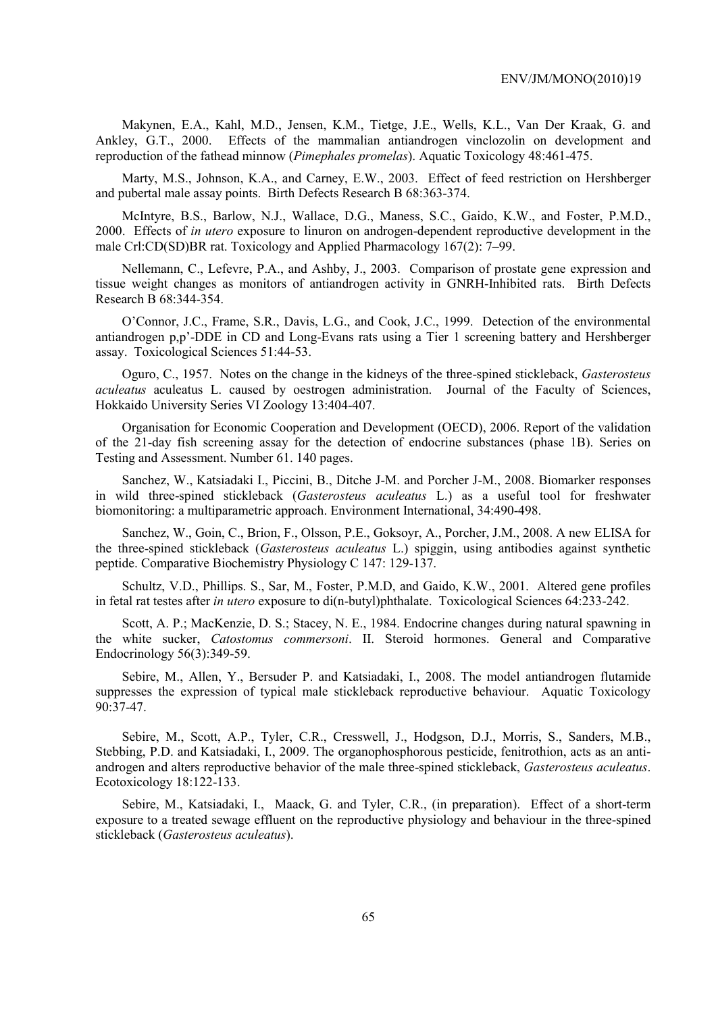Makynen, E.A., Kahl, M.D., Jensen, K.M., Tietge, J.E., Wells, K.L., Van Der Kraak, G. and Ankley, G.T., 2000. Effects of the mammalian antiandrogen vinclozolin on development and reproduction of the fathead minnow (*Pimephales promelas*). Aquatic Toxicology 48:461-475.

Marty, M.S., Johnson, K.A., and Carney, E.W., 2003. Effect of feed restriction on Hershberger and pubertal male assay points. Birth Defects Research B 68:363-374.

McIntyre, B.S., Barlow, N.J., Wallace, D.G., Maness, S.C., Gaido, K.W., and Foster, P.M.D., 2000. Effects of *in utero* exposure to linuron on androgen-dependent reproductive development in the male Crl:CD(SD)BR rat. Toxicology and Applied Pharmacology 167(2): 7–99.

Nellemann, C., Lefevre, P.A., and Ashby, J., 2003. Comparison of prostate gene expression and tissue weight changes as monitors of antiandrogen activity in GNRH-Inhibited rats. Birth Defects Research B 68:344-354.

O'Connor, J.C., Frame, S.R., Davis, L.G., and Cook, J.C., 1999. Detection of the environmental antiandrogen p,p'-DDE in CD and Long-Evans rats using a Tier 1 screening battery and Hershberger assay. Toxicological Sciences 51:44-53.

Oguro, C., 1957. Notes on the change in the kidneys of the three-spined stickleback, *Gasterosteus aculeatus* aculeatus L. caused by oestrogen administration. Journal of the Faculty of Sciences, Hokkaido University Series VI Zoology 13:404-407.

Organisation for Economic Cooperation and Development (OECD), 2006. Report of the validation of the 21-day fish screening assay for the detection of endocrine substances (phase 1B). Series on Testing and Assessment. Number 61. 140 pages.

Sanchez, W., Katsiadaki I., Piccini, B., Ditche J-M. and Porcher J-M., 2008. Biomarker responses in wild three-spined stickleback (*Gasterosteus aculeatus* L.) as a useful tool for freshwater biomonitoring: a multiparametric approach. Environment International, 34:490-498.

Sanchez, W., Goin, C., Brion, F., Olsson, P.E., Goksoyr, A., Porcher, J.M., 2008. A new ELISA for the three-spined stickleback (*Gasterosteus aculeatus* L.) spiggin, using antibodies against synthetic peptide. Comparative Biochemistry Physiology C 147: 129-137.

Schultz, V.D., Phillips. S., Sar, M., Foster, P.M.D, and Gaido, K.W., 2001. Altered gene profiles in fetal rat testes after *in utero* exposure to di(n-butyl)phthalate. Toxicological Sciences 64:233-242.

Scott, A. P.; MacKenzie, D. S.; Stacey, N. E., 1984. Endocrine changes during natural spawning in the white sucker, *Catostomus commersoni*. II. Steroid hormones. General and Comparative Endocrinology 56(3):349-59.

Sebire, M., Allen, Y., Bersuder P. and Katsiadaki, I., 2008. The model antiandrogen flutamide suppresses the expression of typical male stickleback reproductive behaviour. Aquatic Toxicology  $90:37-47$ .

Sebire, M., Scott, A.P., Tyler, C.R., Cresswell, J., Hodgson, D.J., Morris, S., Sanders, M.B., Stebbing, P.D. and Katsiadaki, I., 2009. The organophosphorous pesticide, fenitrothion, acts as an antiandrogen and alters reproductive behavior of the male three-spined stickleback, *Gasterosteus aculeatus*. Ecotoxicology 18:122-133.

Sebire, M., Katsiadaki, I., Maack, G. and Tyler, C.R., (in preparation). Effect of a short-term exposure to a treated sewage effluent on the reproductive physiology and behaviour in the three-spined stickleback (*Gasterosteus aculeatus*).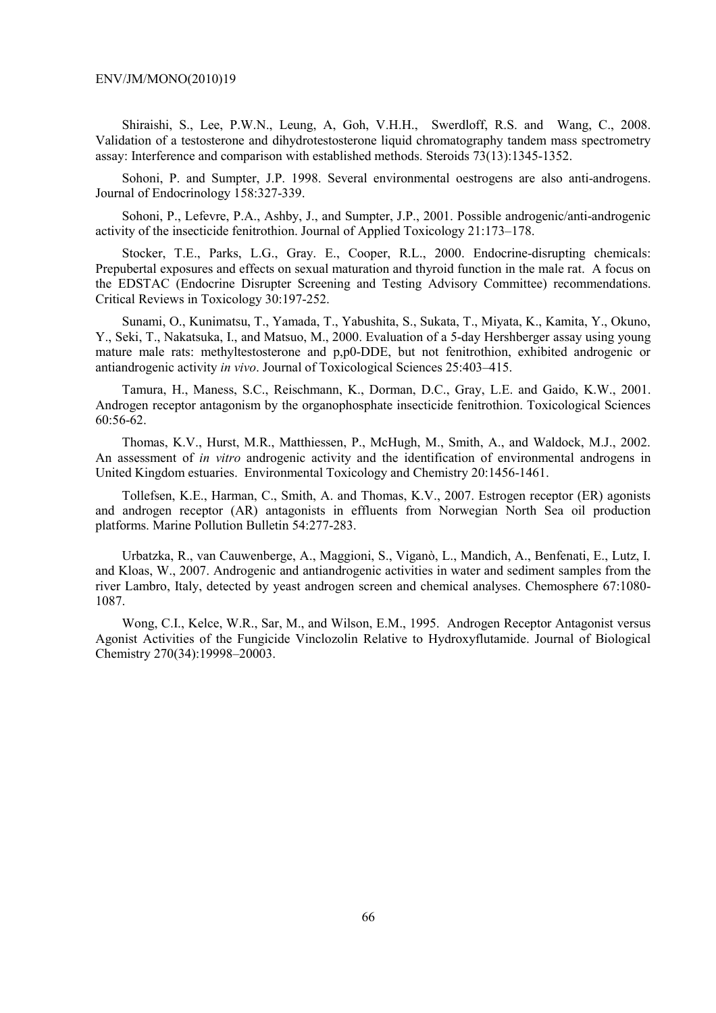Shiraishi, S., Lee, P.W.N., Leung, A, Goh, V.H.H., Swerdloff, R.S. and Wang, C., 2008. Validation of a testosterone and dihydrotestosterone liquid chromatography tandem mass spectrometry assay: Interference and comparison with established methods. Steroids 73(13):1345-1352.

Sohoni, P. and Sumpter, J.P. 1998. Several environmental oestrogens are also anti-androgens. Journal of Endocrinology 158:327-339.

Sohoni, P., Lefevre, P.A., Ashby, J., and Sumpter, J.P., 2001. Possible androgenic/anti-androgenic activity of the insecticide fenitrothion. Journal of Applied Toxicology 21:173–178.

Stocker, T.E., Parks, L.G., Gray. E., Cooper, R.L., 2000. Endocrine-disrupting chemicals: Prepubertal exposures and effects on sexual maturation and thyroid function in the male rat. A focus on the EDSTAC (Endocrine Disrupter Screening and Testing Advisory Committee) recommendations. Critical Reviews in Toxicology 30:197-252.

Sunami, O., Kunimatsu, T., Yamada, T., Yabushita, S., Sukata, T., Miyata, K., Kamita, Y., Okuno, Y., Seki, T., Nakatsuka, I., and Matsuo, M., 2000. Evaluation of a 5-day Hershberger assay using young mature male rats: methyltestosterone and p,p0-DDE, but not fenitrothion, exhibited androgenic or antiandrogenic activity *in vivo*. Journal of Toxicological Sciences 25:403–415.

Tamura, H., Maness, S.C., Reischmann, K., Dorman, D.C., Gray, L.E. and Gaido, K.W., 2001. Androgen receptor antagonism by the organophosphate insecticide fenitrothion. Toxicological Sciences 60:56-62.

Thomas, K.V., Hurst, M.R., Matthiessen, P., McHugh, M., Smith, A., and Waldock, M.J., 2002. An assessment of *in vitro* androgenic activity and the identification of environmental androgens in United Kingdom estuaries. Environmental Toxicology and Chemistry 20:1456-1461.

Tollefsen, K.E., Harman, C., Smith, A. and Thomas, K.V., 2007. Estrogen receptor (ER) agonists and androgen receptor (AR) antagonists in effluents from Norwegian North Sea oil production platforms. Marine Pollution Bulletin 54:277-283.

Urbatzka, R., van Cauwenberge, A., Maggioni, S., Viganò, L., Mandich, A., Benfenati, E., Lutz, I. and Kloas, W., 2007. Androgenic and antiandrogenic activities in water and sediment samples from the river Lambro, Italy, detected by yeast androgen screen and chemical analyses. Chemosphere 67:1080- 1087.

Wong, C.I., Kelce, W.R., Sar, M., and Wilson, E.M., 1995. Androgen Receptor Antagonist versus Agonist Activities of the Fungicide Vinclozolin Relative to Hydroxyflutamide. Journal of Biological Chemistry 270(34):19998–20003.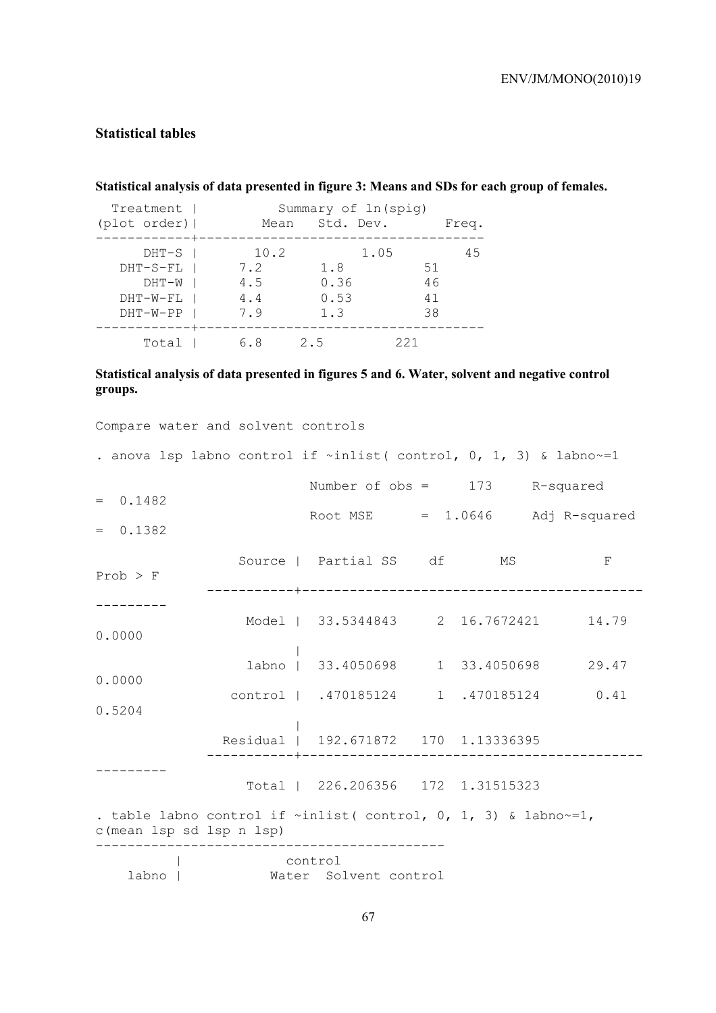## **Statistical tables**

## **Statistical analysis of data presented in figure 3: Means and SDs for each group of females.**

| Treatment    |      | Summary of ln(spig) |       |  |  |  |  |
|--------------|------|---------------------|-------|--|--|--|--|
| (plot order) | Mean | Std. Dev.           | Freq. |  |  |  |  |
| $DHT-S$      | 10.2 | 1.05                | 45    |  |  |  |  |
| $DHT-S-FL$   | 7.2  | 1.8                 | 51    |  |  |  |  |
| DHT-W        | 4.5  | 0.36                | 46    |  |  |  |  |
| $DHT-W-FL$   | 4.4  | 0.53                | 41    |  |  |  |  |
| $DHT-W-PP$   | 7.9  | 1.3                 | 38    |  |  |  |  |
| Total        | რ. 8 | 25                  | 221   |  |  |  |  |

## **Statistical analysis of data presented in figures 5 and 6. Water, solvent and negative control groups.**

|                          | . anova lsp labno control if $\sim$ inlist(control, 0, 1, 3) & labno $\sim$ =1 |  |                |
|--------------------------|--------------------------------------------------------------------------------|--|----------------|
|                          | Number of $obs = 173$ R-squared                                                |  |                |
| $= 0.1482$               | Root MSE $= 1.0646$ Adj R-squared                                              |  |                |
| $= 0.1382$               |                                                                                |  |                |
| $Prob$ > $F$             | Source   Partial SS df MS                                                      |  | $\overline{F}$ |
|                          |                                                                                |  |                |
| 0.0000                   | Model   33.5344843 2 16.7672421 14.79                                          |  |                |
|                          | labno   33.4050698 1 33.4050698 29.47                                          |  |                |
| 0.0000                   | control   .470185124 1 .470185124 0.41                                         |  |                |
| 0.5204                   |                                                                                |  |                |
|                          | Residual   192.671872 170 1.13336395                                           |  |                |
|                          | Total   226.206356 172 1.31515323                                              |  |                |
| c(mean lsp sd lsp n lsp) | . table labno control if $\sim$ inlist( control, 0, 1, 3) & labno $\sim$ =1,   |  |                |
| labno                    | control<br>Water Solvent control                                               |  |                |

Compare water and solvent controls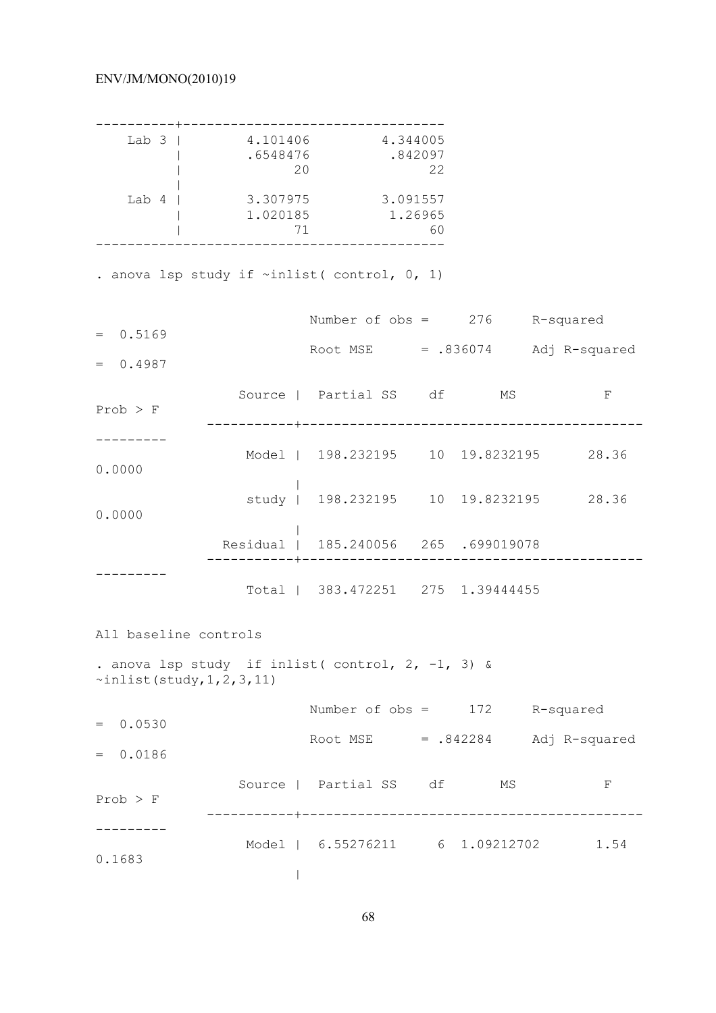|                                    | Lab 3   4.101406 4.344005<br>.6548476<br>20        |                                                                   | .842097<br>22 |  |            |
|------------------------------------|----------------------------------------------------|-------------------------------------------------------------------|---------------|--|------------|
| Lab $4$                            | 71                                                 | 3.307975 3.091557<br>1.020185 1.26965                             | 60            |  |            |
|                                    | . anova lsp study if $\sim$ inlist (control, 0, 1) |                                                                   |               |  |            |
|                                    |                                                    | Number of $obs = 276$ R-squared                                   |               |  |            |
| $= 0.5169$<br>$= 0.4987$           |                                                    | Root MSE $= .836074$ Adj R-squared                                |               |  |            |
| $Prob$ > F                         |                                                    | Source   Partial SS df MS<br>------------------------------------ |               |  | $_{\rm F}$ |
| 0.0000                             |                                                    | Model   198.232195 10 19.8232195 28.36                            |               |  |            |
| 0.0000                             |                                                    | study   198.232195 10 19.8232195 28.36                            |               |  |            |
|                                    |                                                    | Residual   185.240056 265 .699019078                              |               |  |            |
|                                    |                                                    | Total   383.472251 275 1.39444455                                 |               |  |            |
| All baseline controls              |                                                    |                                                                   |               |  |            |
| $\sim$ inlist (study, 1, 2, 3, 11) | . anova lsp study if inlist (control, 2, -1, 3) &  |                                                                   |               |  |            |
| $= 0.0530$                         |                                                    | Number of $obs = 172$ R-squared                                   |               |  |            |
| $= 0.0186$                         |                                                    | Root MSE $= .842284$ Adj R-squared                                |               |  |            |
| $Prob$ > $F$                       |                                                    | Source   Partial SS df MS                                         |               |  | F          |
| 0.1683                             |                                                    | Model   6.55276211 6 1.09212702 1.54                              |               |  |            |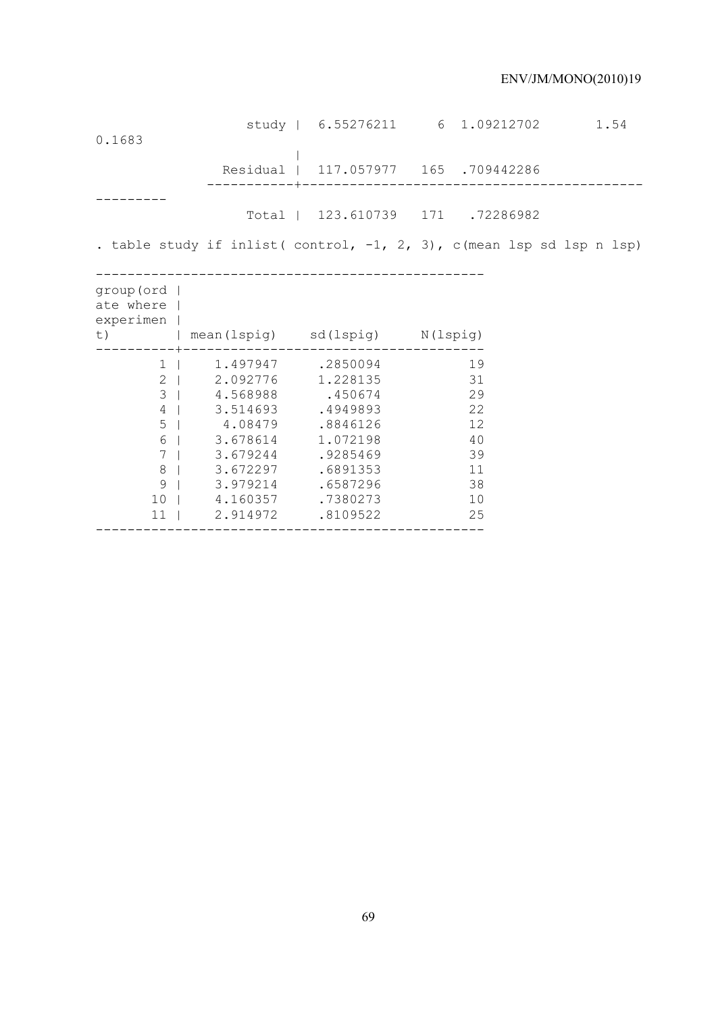| 0.1683                                   |                                                                                                                                                                                                                                              |                                     | study   6.55276211 6 1.09212702 1.54                                     |  |
|------------------------------------------|----------------------------------------------------------------------------------------------------------------------------------------------------------------------------------------------------------------------------------------------|-------------------------------------|--------------------------------------------------------------------------|--|
|                                          |                                                                                                                                                                                                                                              |                                     | Residual   117.057977 165 .709442286                                     |  |
|                                          |                                                                                                                                                                                                                                              |                                     | Total   123.610739 171 .72286982                                         |  |
|                                          |                                                                                                                                                                                                                                              |                                     | . table study if inlist( control, $-1$ , 2, 3), c(mean lsp sd lsp n lsp) |  |
| group (ord  <br>ate where  <br>experimen |                                                                                                                                                                                                                                              | t)   mean(lspig) sd(lspig) N(lspig) |                                                                          |  |
| $\mathbf{1}$<br>$4 \mid$                 | 1.497947 .2850094<br>2   2.092776 1.228135<br>3   4.568988 .450674<br>3.514693 .4949893<br>5   4.08479 .8846126<br>6   3.678614<br>7   3.679244<br>8   3.672297 .6891353<br>9   3.979214 .6587296<br>10   4.160357 .7380273<br>11   2.914972 | 1.072198<br>.9285469<br>.8109522    | 19<br>31<br>29<br>22<br>12<br>40<br>39<br>11<br>38<br>10<br>25           |  |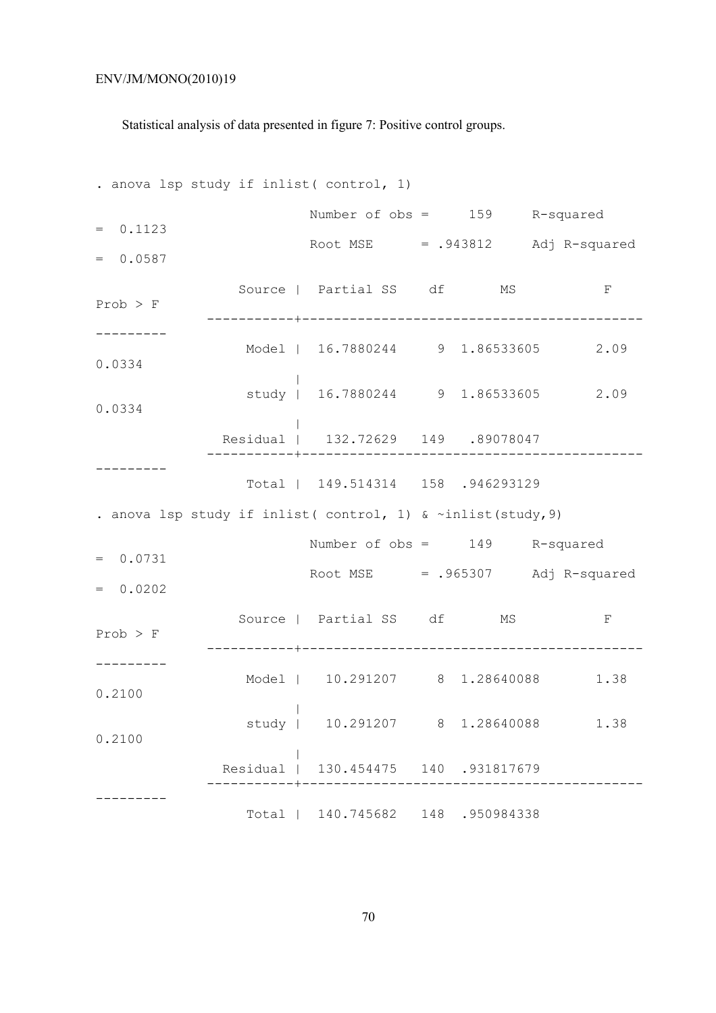Statistical analysis of data presented in figure 7: Positive control groups.

. anova lsp study if inlist( control, 1) Number of obs = 159 R-squared  $= 0.1123$ Root  $MSE$  = .943812 Adj R-squared  $= 0.0587$ Source | Partial SS df MS F Prob > F -----------+------------------------------------------- --------- Model | 16.7880244 9 1.86533605 2.09 0.0334 | study | 16.7880244 9 1.86533605 2.09 0.0334 | Residual | 132.72629 149 .89078047 -----------+------------------------------------------- --------- Total | 149.514314 158 .946293129 . anova lsp study if inlist( control, 1) & ~inlist(study,9) Number of obs = 149 R-squared  $= 0.0731$ Root  $MSE$  = .965307 Adj R-squared  $= 0.0202$ Source | Partial SS df MS F Prob > F -----------+------------------------------------------- --------- Model | 10.291207 8 1.28640088 1.38 0.2100 | study | 10.291207 8 1.28640088 1.38 0.2100 | Residual | 130.454475 140 .931817679 -----------+------------------------------------------- --------- Total | 140.745682 148 .950984338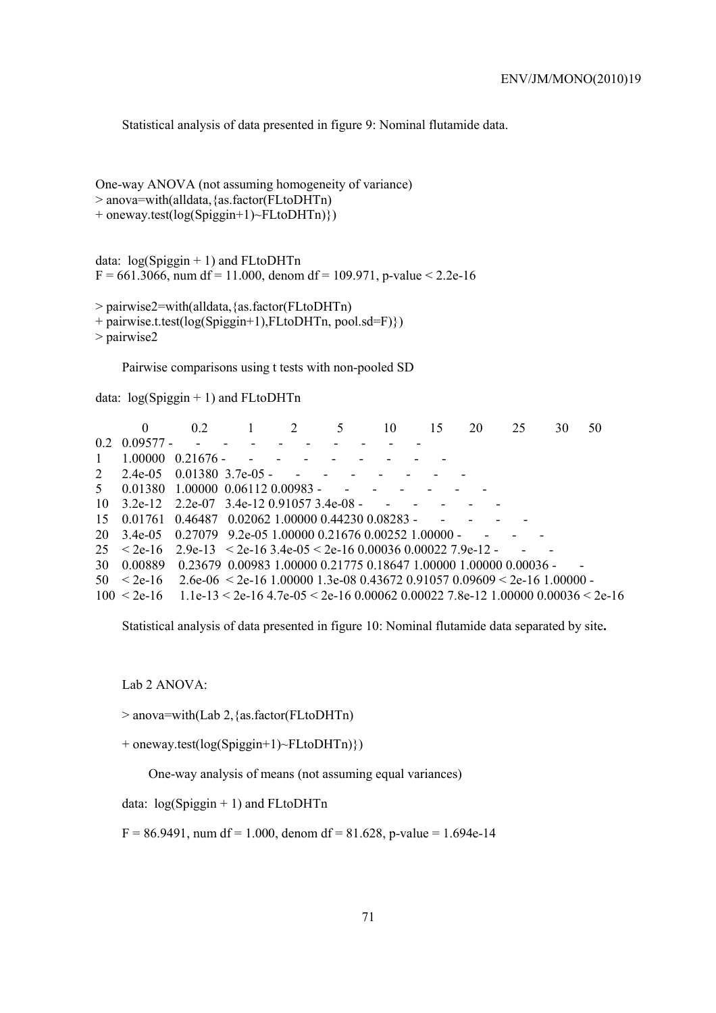Statistical analysis of data presented in figure 9: Nominal flutamide data.

One-way ANOVA (not assuming homogeneity of variance) > anova=with(alldata,{as.factor(FLtoDHTn) + oneway.test(log(Spiggin+1)~FLtoDHTn)})

data:  $log(Spigen + 1)$  and FLtoDHTn  $F = 661.3066$ , num df = 11.000, denom df = 109.971, p-value < 2.2e-16

```
> pairwise2=with(alldata,{as.factor(FLtoDHTn)
```

```
+ pairwise.t.test(log(Spiggin+1),FLtoDHTn, pool.sd=F)}) 
> pairwise2
```
Pairwise comparisons using t tests with non-pooled SD

data:  $log(Spiggin + 1)$  and FLtoDHTn

|              | $\theta$              | 02                                                                                                          | 1 2                                                                                                             |                                                                                                                 | 5 | 10 | 15 | 20                                | 25 | 30 | 50 |
|--------------|-----------------------|-------------------------------------------------------------------------------------------------------------|-----------------------------------------------------------------------------------------------------------------|-----------------------------------------------------------------------------------------------------------------|---|----|----|-----------------------------------|----|----|----|
|              | $0.2 \quad 0.09577 -$ |                                                                                                             | and the state of the state of the state of the state of the state of the state of the state of the state of the |                                                                                                                 |   |    |    |                                   |    |    |    |
| $\mathbf{1}$ |                       | $1.00000 \quad 0.21676$ -                                                                                   |                                                                                                                 | and the state of the state of the state of the state of the state of the state of the state of the state of the |   |    |    |                                   |    |    |    |
|              |                       | 2 2.4e-05 0.01380 3.7e-05 - - - - -                                                                         |                                                                                                                 |                                                                                                                 |   |    |    |                                   |    |    |    |
|              |                       | $5$ 0.01380 1.00000 0.06112 0.00983 - - - - -                                                               |                                                                                                                 |                                                                                                                 |   |    |    |                                   |    |    |    |
|              |                       | $10\quad 3.2e-12\quad 2.2e-07\quad 3.4e-12\quad 0.91057\quad 3.4e-08$ - - - - -                             |                                                                                                                 |                                                                                                                 |   |    |    |                                   |    |    |    |
|              |                       | $15$ 0.01761 0.46487 0.02062 1.00000 0.44230 0.08283 -                                                      |                                                                                                                 |                                                                                                                 |   |    |    | and the state of the state of the |    |    |    |
|              |                       | $20\quad 3.4e^{-0.5}$ $0.27079$ $9.2e^{-0.5}$ 1.00000 0.21676 0.00252 1.00000 -                             |                                                                                                                 |                                                                                                                 |   |    |    | and the state of the              |    |    |    |
|              |                       | $25 < 2e-16$ $2.9e-13 < 2e-16$ $3.4e-05 < 2e-16$ 0.00036 0.00022 7.9e-12 -                                  |                                                                                                                 |                                                                                                                 |   |    |    |                                   |    |    |    |
|              |                       | 30 0.00889 0.23679 0.00983 1.00000 0.21775 0.18647 1.00000 1.00000 0.00036 -                                |                                                                                                                 |                                                                                                                 |   |    |    |                                   |    |    |    |
|              |                       | $50 \le 2e-16$ 2.6e-06 $\le 2e-16$ 1.00000 1.3e-08 0.43672 0.91057 0.09609 $\le 2e-16$ 1.00000 -            |                                                                                                                 |                                                                                                                 |   |    |    |                                   |    |    |    |
|              |                       | $100 \le 2e-16$ 1.1e-13 $\le 2e-16$ 4.7e-05 $\le 2e-16$ 0.00062 0.00022 7.8e-12 1.00000 0.00036 $\le 2e-16$ |                                                                                                                 |                                                                                                                 |   |    |    |                                   |    |    |    |

Statistical analysis of data presented in figure 10: Nominal flutamide data separated by site**.** 

Lab 2 ANOVA:

> anova=with(Lab 2,{as.factor(FLtoDHTn)

+ oneway.test(log(Spiggin+1)~FLtoDHTn)})

One-way analysis of means (not assuming equal variances)

data: log(Spiggin + 1) and FLtoDHTn

 $F = 86.9491$ , num df = 1.000, denom df = 81.628, p-value = 1.694e-14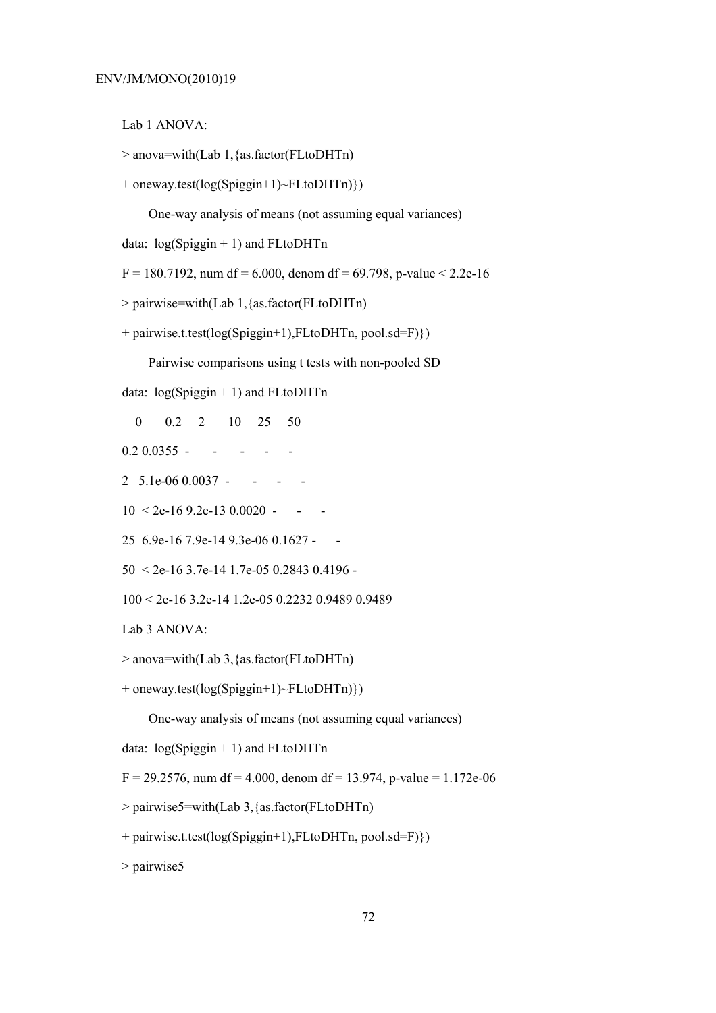Lab 1 ANOVA:

```
> anova=with(Lab 1,{as.factor(FLtoDHTn)
```

```
+ oneway.test(log(Spiggin+1)~FLtoDHTn)})
```
One-way analysis of means (not assuming equal variances)

data:  $log(Spigen + 1)$  and FLtoDHTn

 $F = 180.7192$ , num df = 6.000, denom df = 69.798, p-value < 2.2e-16

```
> pairwise=with(Lab 1,{as.factor(FLtoDHTn)
```
+ pairwise.t.test(log(Spiggin+1),FLtoDHTn, pool.sd=F)})

Pairwise comparisons using t tests with non-pooled SD

data: log(Spiggin + 1) and FLtoDHTn

- 0 0.2 2 10 25 50
- $0.2\,0.0355$  - - -
- 2 5.1e-06 0.0037 - -
- $10 < 2e-169.2e-130.0020$  -
- 25 6.9e-16 7.9e-14 9.3e-06 0.1627 -
- 50 < 2e-16 3.7e-14 1.7e-05 0.2843 0.4196 -
- 100 < 2e-16 3.2e-14 1.2e-05 0.2232 0.9489 0.9489

Lab 3 ANOVA:

```
> anova=with(Lab 3,{as.factor(FLtoDHTn)
```
+ oneway.test(log(Spiggin+1)~FLtoDHTn)})

One-way analysis of means (not assuming equal variances)

data:  $log(Spigen + 1)$  and FLtoDHTn

 $F = 29.2576$ , num df = 4.000, denom df = 13.974, p-value = 1.172e-06

```
> pairwise5=with(Lab 3,{as.factor(FLtoDHTn)
```
+ pairwise.t.test(log(Spiggin+1),FLtoDHTn, pool.sd=F)})

> pairwise5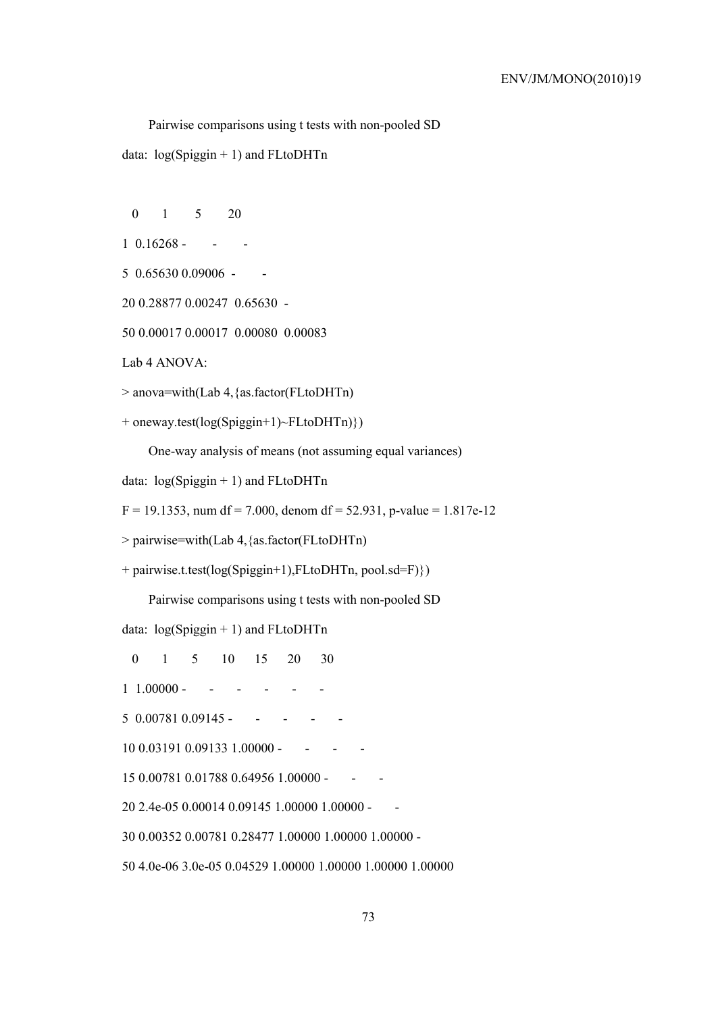Pairwise comparisons using t tests with non-pooled SD

data: log(Spiggin + 1) and FLtoDHTn

- 0 1 5 20
- $1 \t0.16268 - -$
- 5 0.65630 0.09006 -
- 20 0.28877 0.00247 0.65630 -
- 50 0.00017 0.00017 0.00080 0.00083

Lab 4 ANOVA:

> anova=with(Lab 4,{as.factor(FLtoDHTn)

```
+ oneway.test(log(Spiggin+1)~FLtoDHTn)})
```
One-way analysis of means (not assuming equal variances)

```
data: log(Spigen + 1) and FLtoDHTn
```
 $F = 19.1353$ , num df = 7.000, denom df = 52.931, p-value = 1.817e-12

> pairwise=with(Lab 4,{as.factor(FLtoDHTn)

+ pairwise.t.test(log(Spiggin+1),FLtoDHTn, pool.sd=F)})

Pairwise comparisons using t tests with non-pooled SD

data: log(Spiggin + 1) and FLtoDHTn

0 1 5 10 15 20 30

1 1.00000 - - - - - -

 $5 \quad 0.00781 \quad 0.09145 - \cdots - \cdots$ 

 $10\,0.03191\,0.09133\,1.00000$  - - - -

15 0.00781 0.01788 0.64956 1.00000 - - -

20 2.4e-05 0.00014 0.09145 1.00000 1.00000 - -

30 0.00352 0.00781 0.28477 1.00000 1.00000 1.00000 -

50 4.0e-06 3.0e-05 0.04529 1.00000 1.00000 1.00000 1.00000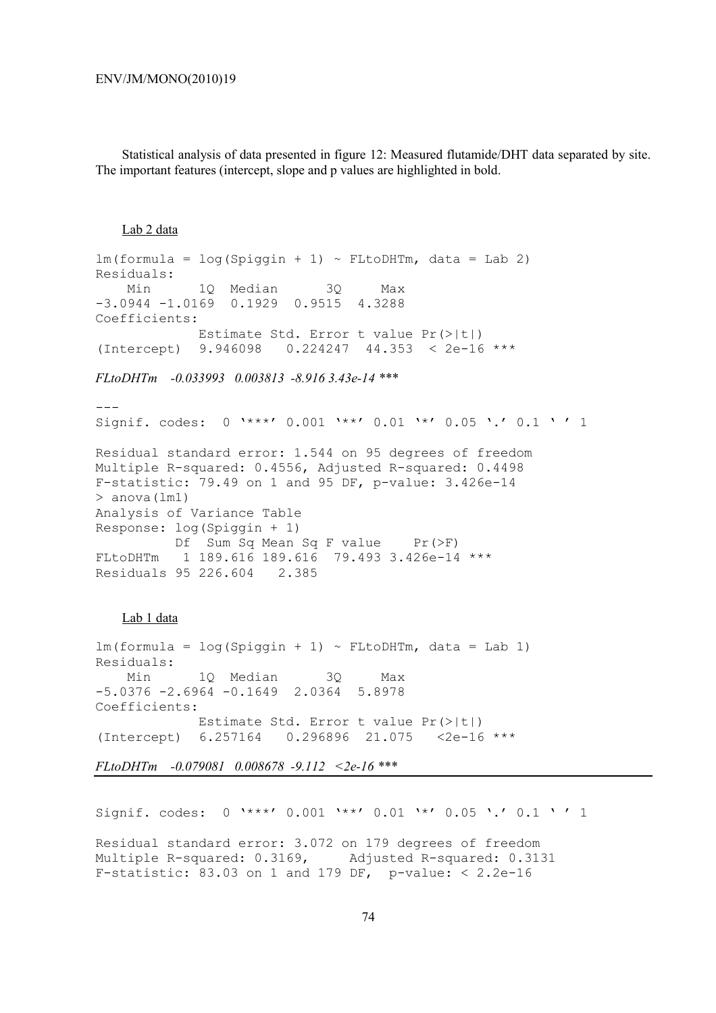Statistical analysis of data presented in figure 12: Measured flutamide/DHT data separated by site. The important features (intercept, slope and p values are highlighted in bold.

### Lab 2 data

```
lm(formula = log(Spiqin + 1) \sim FLtoDHTm, data = Lab 2)Residuals: 
    Min 1Q Median 3Q Max 
-3.0944 -1.0169 0.1929 0.9515 4.3288 
Coefficients: 
             Estimate Std. Error t value Pr(>|t|) 
(Intercept) 9.946098 0.224247 44.353 < 2e-16 ***
```
## *FLtoDHTm -0.033993 0.003813 -8.916 3.43e-14 \*\*\**

--- Signif. codes: 0 '\*\*\*' 0.001 '\*\*' 0.01 '\*' 0.05 '.' 0.1 ' ' 1 Residual standard error: 1.544 on 95 degrees of freedom Multiple R-squared: 0.4556, Adjusted R-squared: 0.4498 F-statistic: 79.49 on 1 and 95 DF, p-value: 3.426e-14  $>$  anova (lm1) Analysis of Variance Table Response: log(Spiggin + 1) Df Sum Sq Mean Sq F value Pr(>F) FLtoDHTm 1 189.616 189.616 79.493 3.426e-14 \*\*\* Residuals 95 226.604 2.385

#### Lab 1 data

 $lm(formula = log(Spiqin + 1) \sim FLtoDHTm, data = Lab 1)$ Residuals: Min 1Q Median 3Q Max -5.0376 -2.6964 -0.1649 2.0364 5.8978 Coefficients: Estimate Std. Error t value Pr(>|t|) (Intercept) 6.257164 0.296896 21.075 <2e-16 \*\*\*

*FLtoDHTm -0.079081 0.008678 -9.112 <2e-16 \*\*\** 

Signif. codes: 0 '\*\*\*' 0.001 '\*\*' 0.01 '\*' 0.05 '.' 0.1 ' ' 1

Residual standard error: 3.072 on 179 degrees of freedom Multiple R-squared: 0.3169, Adjusted R-squared: 0.3131 F-statistic: 83.03 on 1 and 179 DF, p-value:  $< 2.2e-16$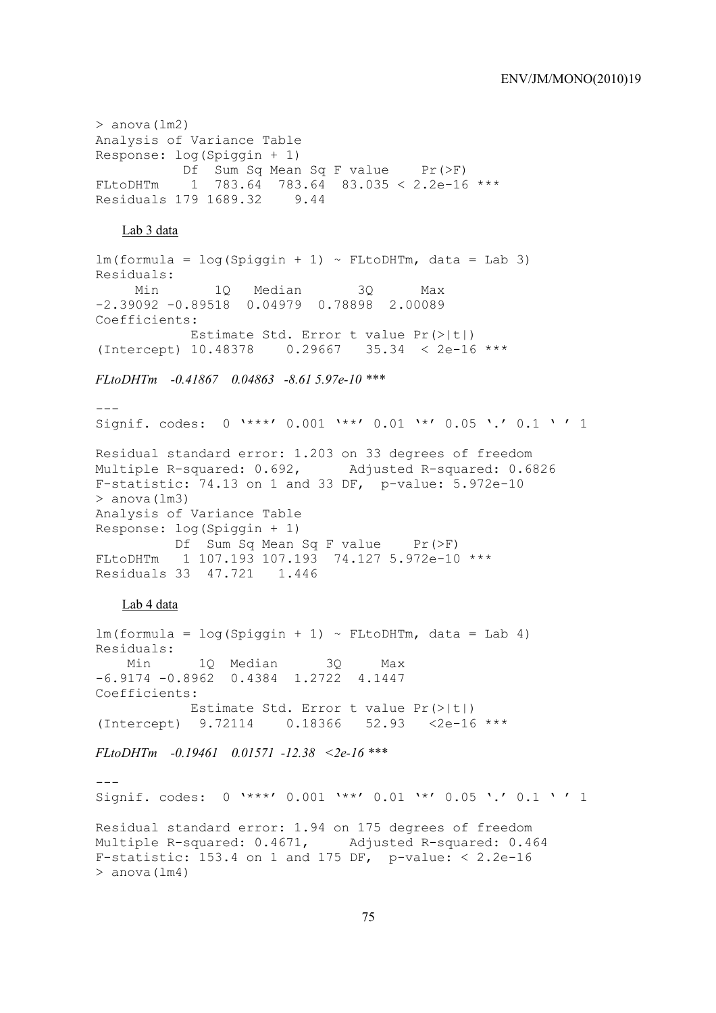### ENV/JM/MONO(2010)19

```
> anova (lm2)
Analysis of Variance Table 
Response: log(Spiggin + 1) 
          Df Sum Sq Mean Sq F value Pr(>F)
FLtoDHTm 1 783.64 783.64 83.035 < 2.2e-16 *** 
Residuals 179 1689.32 9.44 
   Lab 3 data 
lm(formula = log(Spiqin + 1) \sim FLtoDHTm, data = Lab 3)Residuals: 
      Min 1Q Median 3Q Max 
-2.39092 -0.89518 0.04979 0.78898 2.00089 
Coefficients: 
            Estimate Std. Error t value Pr(>|t|) 
(Intercept) 10.48378 0.29667 35.34 < 2e-16 *** 
FLtoDHTm -0.41867 0.04863 -8.61 5.97e-10 *** 
---Signif. codes: 0 '***' 0.001 '**' 0.01 '*' 0.05 '.' 0.1 ' ' 1 
Residual standard error: 1.203 on 33 degrees of freedom 
Multiple R-squared: 0.692, Adjusted R-squared: 0.6826 
F-statistic: 74.13 on 1 and 33 DF, p-value: 5.972e-10 
> anova(lm3) 
Analysis of Variance Table 
Response: log(Spiggin + 1) 
         Df Sum Sq Mean Sq F value Pr(>F)
FLtoDHTm 1 107.193 107.193 74.127 5.972e-10 *** 
Residuals 33 47.721 1.446 
   Lab 4 data
lm(formula = log(Spiqin + 1) \sim FLtoDHTm, data = Lab 4)Residuals: 
    Min 1Q Median 3Q Max 
-6.9174 -0.8962 0.4384 1.2722 4.1447 
Coefficients: 
            Estimate Std. Error t value Pr(>|t|) 
(Intercept) 9.72114 0.18366 52.93 <2e-16 *** 
FLtoDHTm -0.19461 0.01571 -12.38 <2e-16 *** 
-1Signif. codes: 0 '***' 0.001 '**' 0.01 '*' 0.05 '.' 0.1 ' ' 1 
Residual standard error: 1.94 on 175 degrees of freedom 
Multiple R-squared: 0.4671, Adjusted R-squared: 0.464 
F-statistic: 153.4 on 1 and 175 DF, p-value: < 2.2e-16> anova (lm4)
```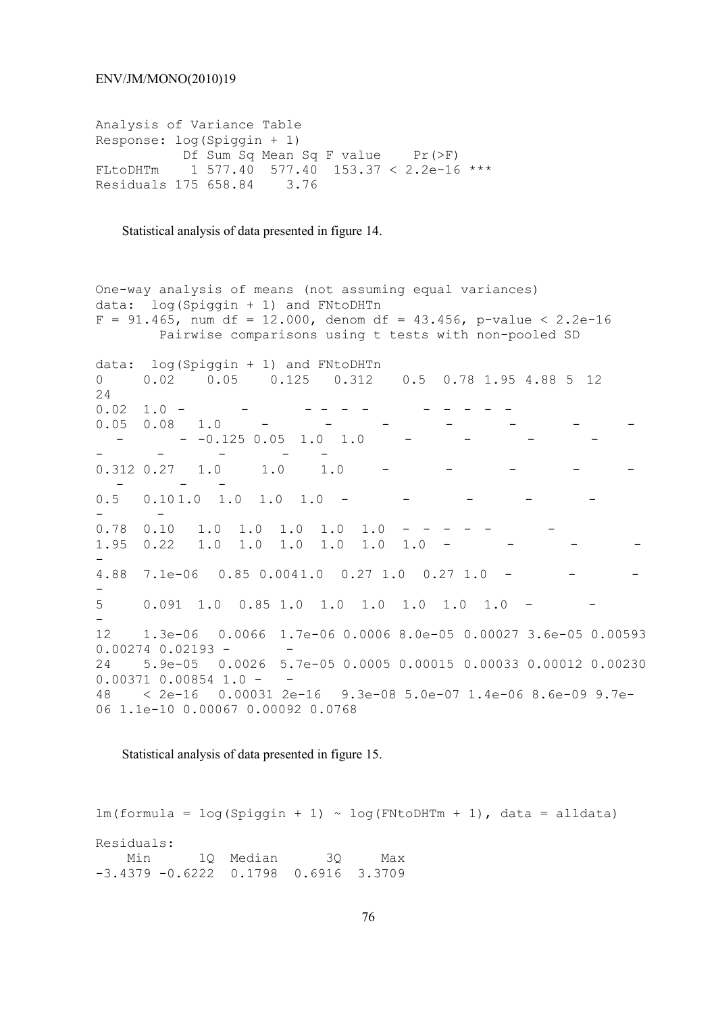Analysis of Variance Table Response: log(Spiggin + 1) Df Sum Sq Mean Sq F value Pr(>F) FLtoDHTm 1 577.40 577.40 153.37 < 2.2e-16 \*\*\* Residuals 175 658.84 3.76

Statistical analysis of data presented in figure 14.

One-way analysis of means (not assuming equal variances) data: log(Spiggin + 1) and FNtoDHTn  $F = 91.465$ , num df = 12.000, denom df = 43.456, p-value < 2.2e-16 Pairwise comparisons using t tests with non-pooled SD data: log(Spiggin + 1) and FNtoDHTn 0 0.02 0.05 0.125 0.312 0.5 0.78 1.95 4.88 5 12 24 0.02 1.0 - - - - - - - - - - -  $0.05$  0.08 1.0  $-0.125$  0.05 1.0 1.0 - - - - -  $0.312$   $0.27$   $1.0$   $1.0$   $1.0$  - - - 0.5 0.10 1.0 1.0 1.0 1.0 - - - - - - -  $0.78$   $0.10$   $1.0$   $1.0$   $1.0$   $1.0$   $1.0$   $1.95$  0.22 1.0 1.0 1.0 1.0 1.0 1.0 -- 4.88 7.1e-06 0.85 0.0041.0 0.27 1.0 0.27 1.0 -- 5 0.091 1.0 0.85 1.0 1.0 1.0 1.0 1.0 1.0 - - - 12 1.3e-06 0.0066 1.7e-06 0.0006 8.0e-05 0.00027 3.6e-05 0.00593  $0.00274$   $0.02193$  -24 5.9e-05 0.0026 5.7e-05 0.0005 0.00015 0.00033 0.00012 0.00230  $0.00371$  0.00854 1.0 - -<br>48 < 2e-16 0.00031 2e 48 < 2e-16 0.00031 2e-16 9.3e-08 5.0e-07 1.4e-06 8.6e-09 9.7e-06 1.1e-10 0.00067 0.00092 0.0768

Statistical analysis of data presented in figure 15.

 $lm(formula = log(Spiqin + 1) ~ ~ log(FNtoDHTm + 1)$ , data = alldata) Residuals: Min 1Q Median 3Q Max -3.4379 -0.6222 0.1798 0.6916 3.3709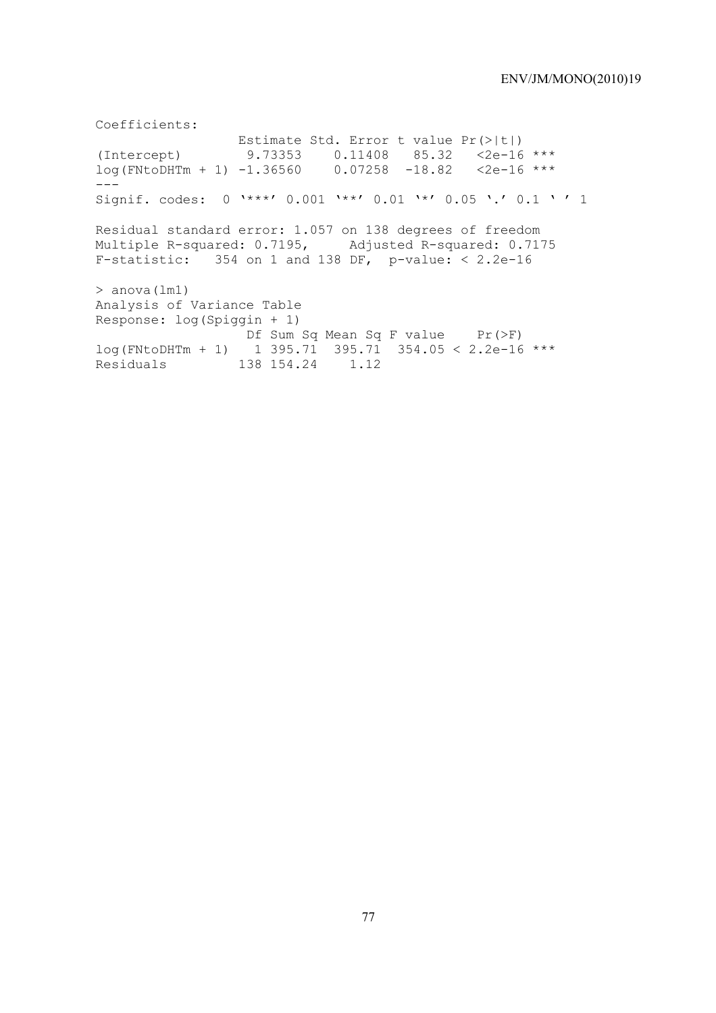Coefficients: Estimate Std. Error t value Pr(>|t|) (Intercept) 9.73353 0.11408 85.32 <2e-16 \*\*\*<br> $log(FNtoDHTm + 1)$  -1.36560 0.07258 -18.82 <2e-16 \*\*\*  $log(FNtoDHTm + 1) -1.36560$  $---$ Signif. codes: 0 '\*\*\*' 0.001 '\*\*' 0.01 '\*' 0.05 '.' 0.1 ' ' 1 Residual standard error: 1.057 on 138 degrees of freedom Multiple R-squared: 0.7195, Adjusted R-squared: 0.7175 F-statistic:  $354$  on 1 and 138 DF, p-value: < 2.2e-16 > anova(lm1) Analysis of Variance Table Response: log(Spiggin + 1) Df Sum Sq Mean Sq F value Pr(>F)  $log(FNtoDHTm + 1)$  1 395.71 395.71 354.05 < 2.2e-16 \*\*\* Residuals 138 154.24 1.12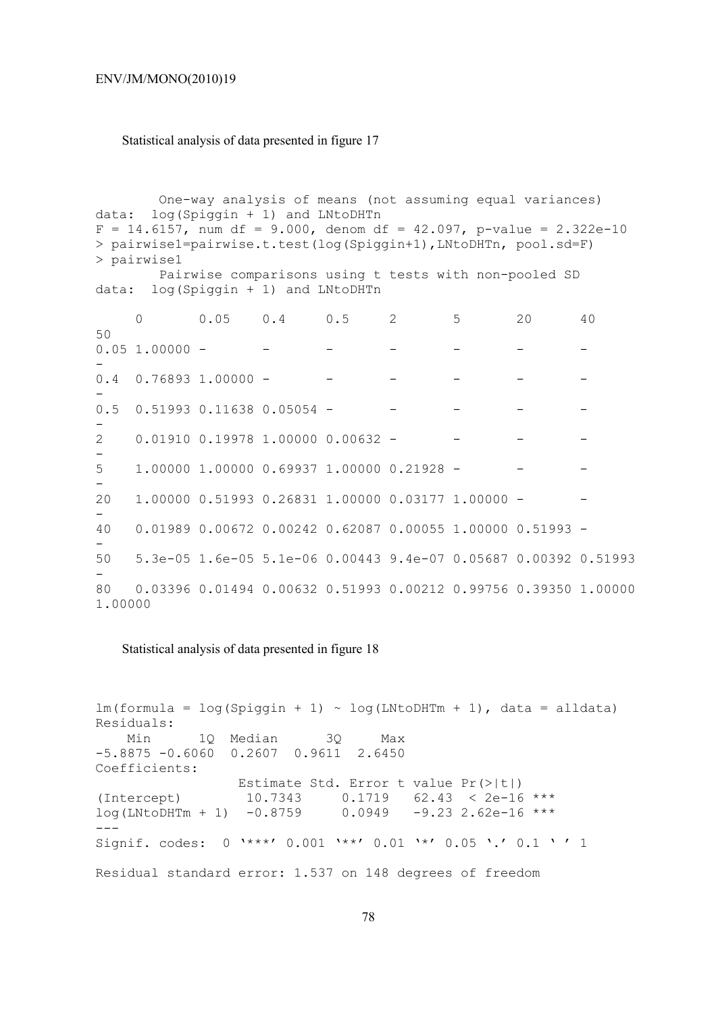#### ENV/JM/MONO(2010)19

## Statistical analysis of data presented in figure 17

 One-way analysis of means (not assuming equal variances) data: log(Spiggin + 1) and LNtoDHTn  $F = 14.6157$ , num df = 9.000, denom df = 42.097, p-value = 2.322e-10 > pairwise1=pairwise.t.test(log(Spiggin+1),LNtoDHTn, pool.sd=F) > pairwise1 Pairwise comparisons using t tests with non-pooled SD data: log(Spiggin + 1) and LNtoDHTn 0 0.05 0.4 0.5 2 5 20 40 50  $0.05$  1.00000 - - - - - - - - - --  $0.4$  0.76893 1.00000 --  $0.5$   $0.51993$   $0.11638$   $0.05054$  -- 2 0.01910 0.19978 1.00000 0.00632 - - - -  $\equiv$  $5 \qquad 1.00000 \qquad 1.00000 \qquad 0.69937 \qquad 1.00000 \qquad 0.21928 \qquad -$ - 20 1.00000 0.51993 0.26831 1.00000 0.03177 1.00000 - - - 40 0.01989 0.00672 0.00242 0.62087 0.00055 1.00000 0.51993 - - 50 5.3e-05 1.6e-05 5.1e-06 0.00443 9.4e-07 0.05687 0.00392 0.51993 - 80 0.03396 0.01494 0.00632 0.51993 0.00212 0.99756 0.39350 1.00000 1.00000

Statistical analysis of data presented in figure 18

 $lm(formula = log(Spigin + 1) ~ ~ log(LNtoDHTm + 1)$ , data = alldata) Residuals: Min 1Q Median 3Q Max -5.8875 -0.6060 0.2607 0.9611 2.6450 Coefficients: Estimate Std. Error t value Pr(>|t|) (Intercept) 10.7343 0.1719 62.43 < 2e-16 \*\*\*  $log(LNtoDHTm + 1) -0.8759 0.0949 -9.23 2.62e-16$  \*\*\* --- Signif. codes: 0 '\*\*\*' 0.001 '\*\*' 0.01 '\*' 0.05 '.' 0.1 ' ' 1 Residual standard error: 1.537 on 148 degrees of freedom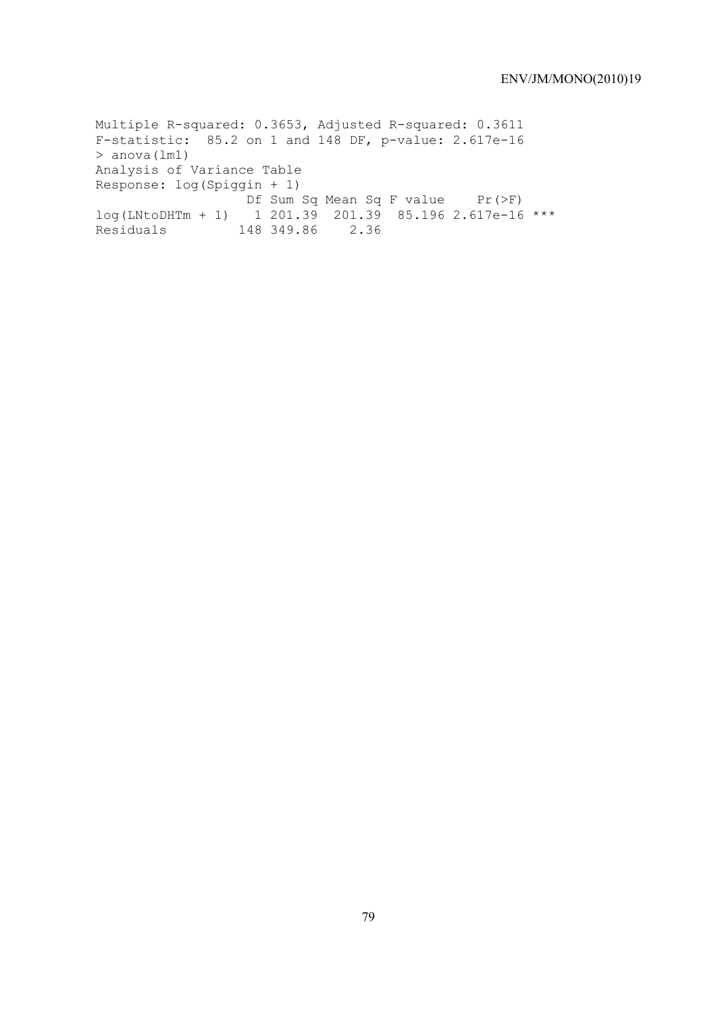Multiple R-squared: 0.3653, Adjusted R-squared: 0.3611 F-statistic: 85.2 on 1 and 148 DF, p-value: 2.617e-16 > anova(lm1) Analysis of Variance Table Response: log(Spiggin + 1) Df Sum Sq Mean Sq F value Pr(>F) log(LNtoDHTm + 1) 1 201.39 201.39 85.196 2.617e-16 \*\*\* Residuals 148 349.86 2.36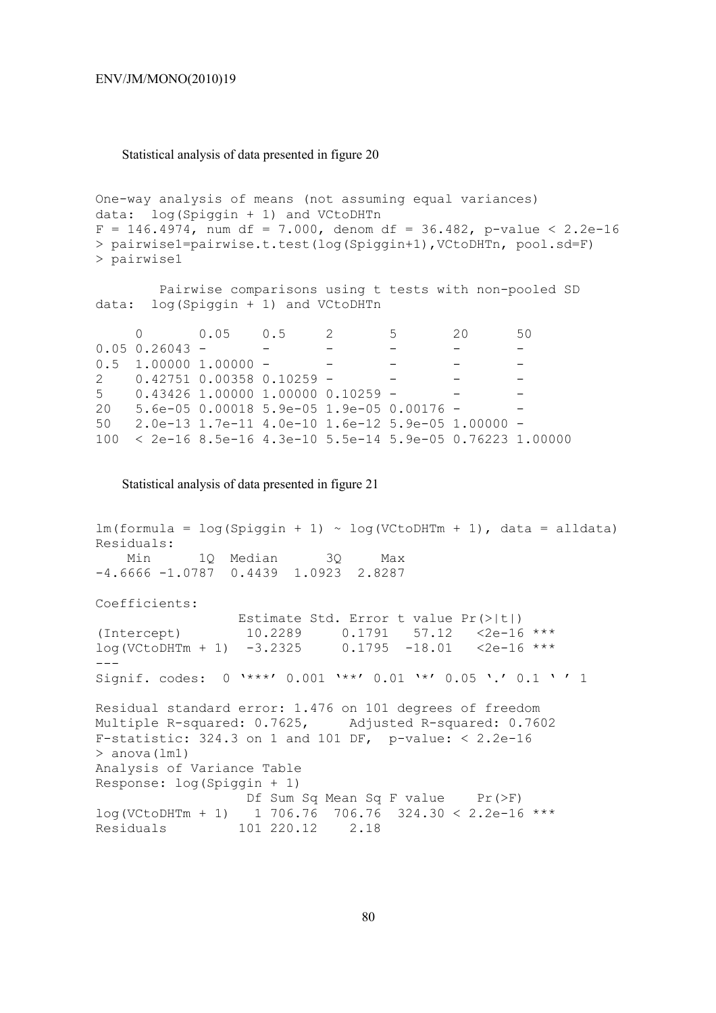#### Statistical analysis of data presented in figure 20

```
One-way analysis of means (not assuming equal variances) 
data: log(Spiggin + 1) and VCtoDHTn 
F = 146.4974, num df = 7.000, denom df = 36.482, p-value < 2.2e-16
> pairwise1=pairwise.t.test(log(Spiggin+1),VCtoDHTn, pool.sd=F) 
> pairwise1
```
 Pairwise comparisons using t tests with non-pooled SD data: log(Spiggin + 1) and VCtoDHTn

|                  | 0 0.05 0.5 2                |                                                               | $5\overline{}$ | 20 | 50 |
|------------------|-----------------------------|---------------------------------------------------------------|----------------|----|----|
| $0.05$ 0.26043 - |                             |                                                               |                |    |    |
|                  | $0.5$ 1.00000 1.00000 -     |                                                               |                |    |    |
|                  | 2 0.42751 0.00358 0.10259 - |                                                               |                |    |    |
|                  |                             | $5$ 0.43426 1.00000 1.00000 0.10259 -                         |                |    |    |
|                  |                             | 20   5.6e-05  0.00018  5.9e-05  1.9e-05  0.00176 -            |                |    |    |
|                  |                             | $50$ 2.0e-13 1.7e-11 4.0e-10 1.6e-12 5.9e-05 1.00000 -        |                |    |    |
|                  |                             | $100 < 2e-16$ 8.5e-16 4.3e-10 5.5e-14 5.9e-05 0.76223 1.00000 |                |    |    |

Statistical analysis of data presented in figure 21

```
lm(formula = log(Spiqin + 1) ~ ~ log(VCtoDHTm + 1), data = alldata)
Residuals: 
     Min 1Q Median 3Q Max 
-4.6666 -1.0787 0.4439 1.0923 2.8287 
Coefficients: 
                   Estimate Std. Error t value Pr(>|t|) 
(Intercept) 10.2289 0.1791 57.12 \leq 2e-16 ***<br>log(VCC+DHTm + 1) -3.2325 0.1795 -18.01 \leq 2e-16 ***
log(VCtoDHTm + 1) -3.2325 0.1795 -18.01 <2e-16 *** 
--- 
Signif. codes: 0 '***' 0.001 '**' 0.01 '*' 0.05 '.' 0.1 ' ' 1
Residual standard error: 1.476 on 101 degrees of freedom 
Multiple R-squared: 0.7625, Adjusted R-squared: 0.7602 
F-statistic: 324.3 on 1 and 101 DF, p-value: < 2.2e-16> anova(lm1) 
Analysis of Variance Table 
Response: log(Spiggin + 1) 
                   Df Sum Sq Mean Sq F value Pr(>F) 
log(VCCODHTm + 1) 1 706.76 706.76 324.30 < 2.2e-16 ***
Residuals 101 220.12 2.18
```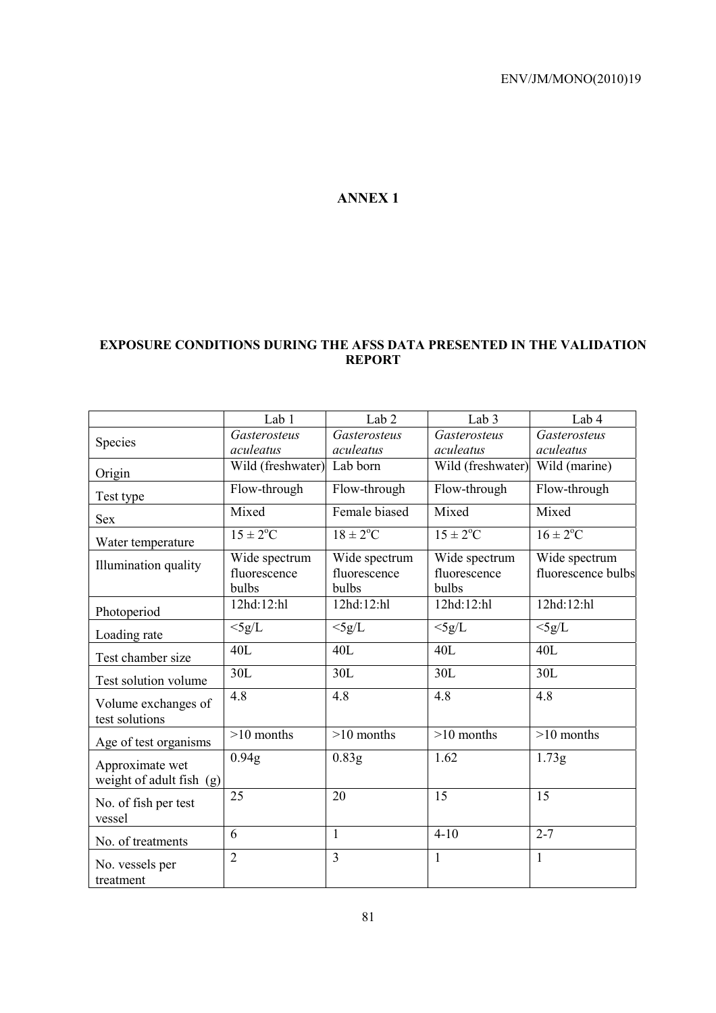# **ANNEX 1**

# **EXPOSURE CONDITIONS DURING THE AFSS DATA PRESENTED IN THE VALIDATION REPORT**

|                                             | Lab 1                                  | Lab <sub>2</sub>                       | Lab <sub>3</sub>                       | Lab 4                               |
|---------------------------------------------|----------------------------------------|----------------------------------------|----------------------------------------|-------------------------------------|
| Species                                     | Gasterosteus                           | Gasterosteus                           | Gasterosteus                           | Gasterosteus                        |
|                                             | aculeatus                              | aculeatus                              | aculeatus                              | aculeatus                           |
| Origin                                      | Wild (freshwater)                      | Lab born                               | Wild (freshwater)                      | Wild (marine)                       |
| Test type                                   | Flow-through                           | Flow-through                           | Flow-through                           | Flow-through                        |
| <b>Sex</b>                                  | Mixed                                  | Female biased                          | Mixed                                  | Mixed                               |
| Water temperature                           | $15 \pm 2$ <sup>o</sup> C              | $18 \pm 2$ <sup>o</sup> C              | $15 \pm 2$ <sup>o</sup> C              | $16 \pm 2$ <sup>o</sup> C           |
| Illumination quality                        | Wide spectrum<br>fluorescence<br>bulbs | Wide spectrum<br>fluorescence<br>bulbs | Wide spectrum<br>fluorescence<br>bulbs | Wide spectrum<br>fluorescence bulbs |
| Photoperiod                                 | 12hd:12:hl                             | 12hd:12:hl                             | 12hd:12:hl                             | 12hd:12:hl                          |
| Loading rate                                | $<$ 5g/L                               | $<$ 5g/L                               | $<$ 5g/L                               | $<$ 5g/L                            |
| Test chamber size                           | 40L                                    | 40L                                    | 40L                                    | 40L                                 |
| Test solution volume                        | 30L                                    | 30L                                    | 30L                                    | 30L                                 |
| Volume exchanges of<br>test solutions       | 4.8                                    | 4.8                                    | 4.8                                    | 4.8                                 |
| Age of test organisms                       | $>10$ months                           | $>10$ months                           | $>10$ months                           | $>10$ months                        |
| Approximate wet<br>weight of adult fish (g) | 0.94g                                  | 0.83g                                  | 1.62                                   | 1.73g                               |
| No. of fish per test<br>vessel              | 25                                     | 20                                     | 15                                     | 15                                  |
| No. of treatments                           | 6                                      | $\mathbf{1}$                           | $4-10$                                 | $2 - 7$                             |
| No. vessels per<br>treatment                | $\overline{2}$                         | $\overline{3}$                         | $\mathbf{1}$                           | 1                                   |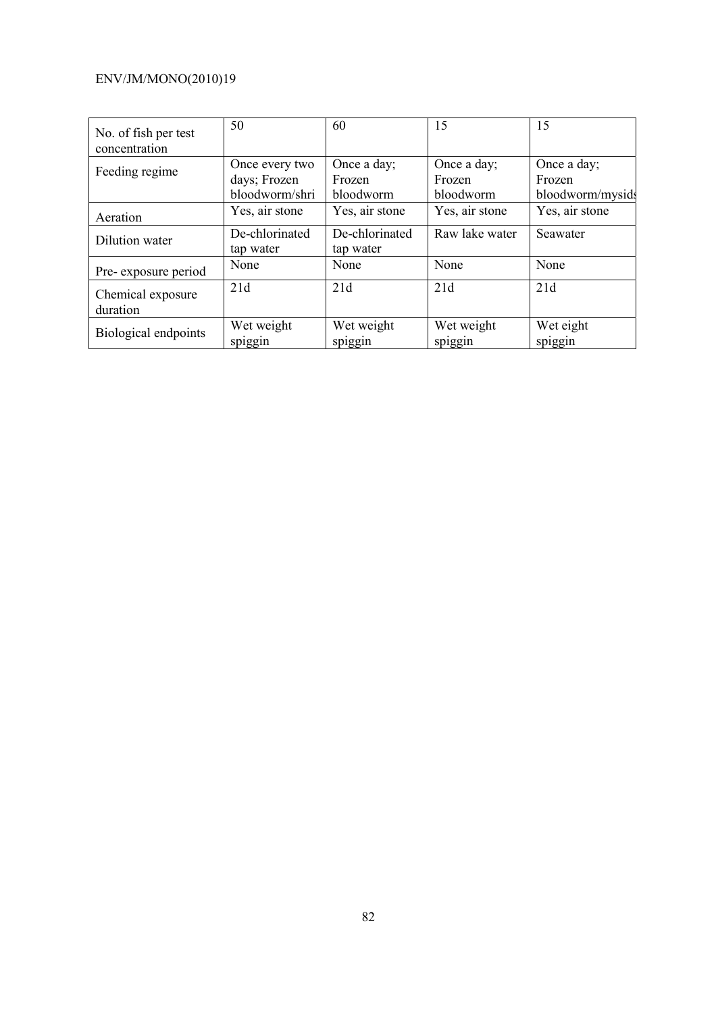# ENV/JM/MONO(2010)19

| No. of fish per test<br>concentration | 50                                               | 60                                 | 15                                 | 15                                        |
|---------------------------------------|--------------------------------------------------|------------------------------------|------------------------------------|-------------------------------------------|
| Feeding regime                        | Once every two<br>days; Frozen<br>bloodworm/shri | Once a day;<br>Frozen<br>bloodworm | Once a day;<br>Frozen<br>bloodworm | Once a day;<br>Frozen<br>bloodworm/mysids |
| Aeration                              | Yes, air stone                                   | Yes, air stone                     | Yes, air stone                     | Yes, air stone                            |
| Dilution water                        | De-chlorinated<br>tap water                      | De-chlorinated<br>tap water        | Raw lake water                     | Seawater                                  |
| Pre-exposure period                   | None                                             | None                               | None                               | None                                      |
| Chemical exposure<br>duration         | 21d                                              | 21d                                | 21d                                | 21d                                       |
| Biological endpoints                  | Wet weight<br>spiggin                            | Wet weight<br>spiggin              | Wet weight<br>spiggin              | Wet eight<br>spiggin                      |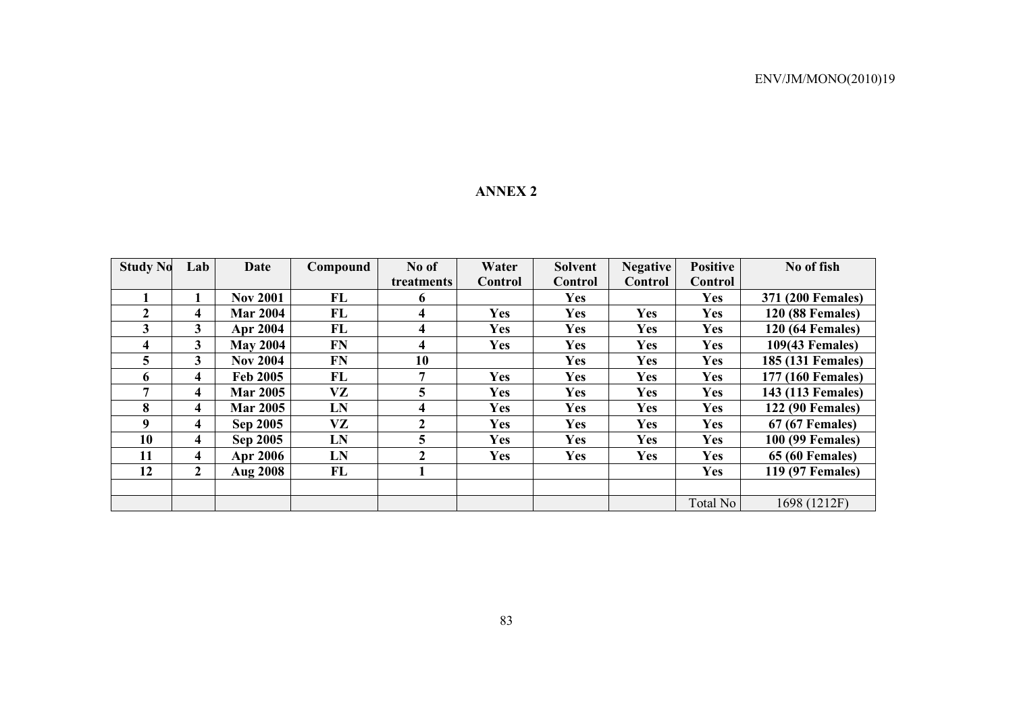### **ANNEX 2**

| <b>Study No</b> | Lab            | <b>Date</b>     | Compound  | No of      | Water      | Solvent    | <b>Negative</b> | <b>Positive</b> | No of fish              |
|-----------------|----------------|-----------------|-----------|------------|------------|------------|-----------------|-----------------|-------------------------|
|                 |                |                 |           | treatments | Control    | Control    | Control         | Control         |                         |
|                 |                | <b>Nov 2001</b> | FL        | 6          |            | <b>Yes</b> |                 | <b>Yes</b>      | 371 (200 Females)       |
| $\mathbf{2}$    | 4              | <b>Mar 2004</b> | FL        | 4          | <b>Yes</b> | <b>Yes</b> | <b>Yes</b>      | <b>Yes</b>      | <b>120 (88 Females)</b> |
| 3               | 3              | <b>Apr 2004</b> | FL        | 4          | <b>Yes</b> | <b>Yes</b> | Yes             | Yes             | <b>120 (64 Females)</b> |
| 4               | 3              | <b>May 2004</b> | <b>FN</b> | 4          | <b>Yes</b> | <b>Yes</b> | <b>Yes</b>      | <b>Yes</b>      | 109(43 Females)         |
| 5               | 3              | <b>Nov 2004</b> | <b>FN</b> | 10         |            | <b>Yes</b> | <b>Yes</b>      | <b>Yes</b>      | 185 (131 Females)       |
| 6               | 4              | <b>Feb 2005</b> | FL        | 7          | <b>Yes</b> | <b>Yes</b> | <b>Yes</b>      | <b>Yes</b>      | 177 (160 Females)       |
| 7               | 4              | <b>Mar 2005</b> | VZ        | 5          | <b>Yes</b> | <b>Yes</b> | <b>Yes</b>      | <b>Yes</b>      | 143 (113 Females)       |
| 8               | 4              | <b>Mar 2005</b> | LN        | 4          | <b>Yes</b> | <b>Yes</b> | <b>Yes</b>      | <b>Yes</b>      | <b>122 (90 Females)</b> |
| 9               | 4              | <b>Sep 2005</b> | VZ        | 2          | <b>Yes</b> | <b>Yes</b> | <b>Yes</b>      | <b>Yes</b>      | <b>67 (67 Females)</b>  |
| 10              | 4              | <b>Sep 2005</b> | LN        | 5          | <b>Yes</b> | <b>Yes</b> | <b>Yes</b>      | <b>Yes</b>      | 100 (99 Females)        |
| 11              | 4              | <b>Apr 2006</b> | LN        | 2          | <b>Yes</b> | Yes        | Yes             | <b>Yes</b>      | <b>65 (60 Females)</b>  |
| 12              | $\overline{2}$ | <b>Aug 2008</b> | FL        |            |            |            |                 | <b>Yes</b>      | 119 (97 Females)        |
|                 |                |                 |           |            |            |            |                 |                 |                         |
|                 |                |                 |           |            |            |            |                 | Total No        | 1698 (1212F)            |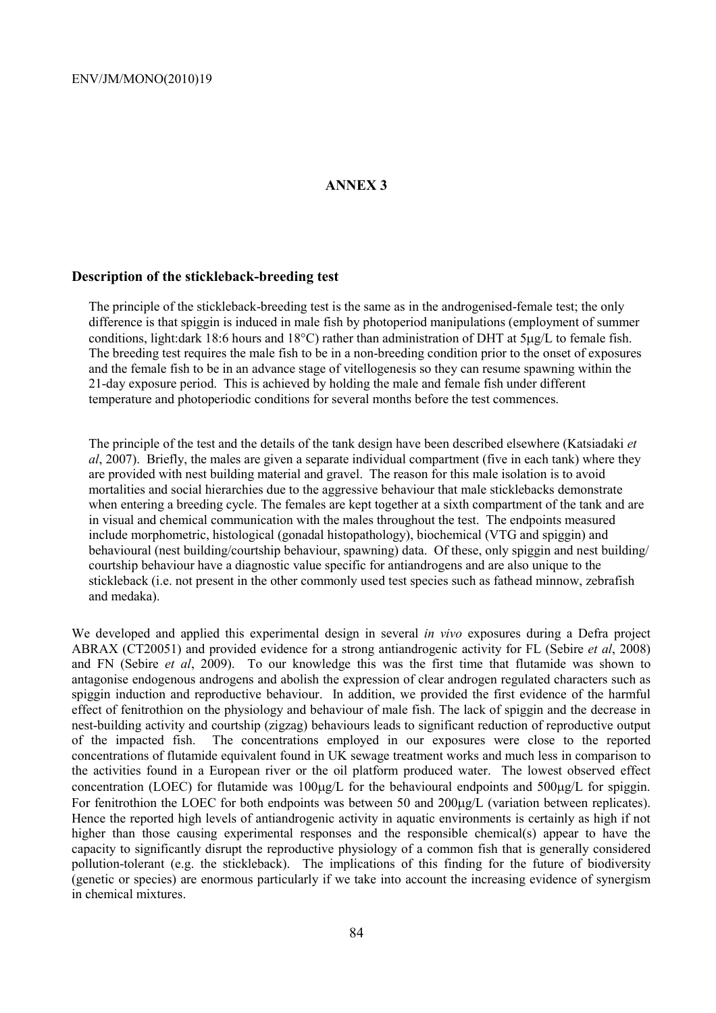## **ANNEX 3**

## **Description of the stickleback-breeding test**

The principle of the stickleback-breeding test is the same as in the androgenised-female test; the only difference is that spiggin is induced in male fish by photoperiod manipulations (employment of summer conditions, light:dark 18:6 hours and 18°C) rather than administration of DHT at 5µg/L to female fish. The breeding test requires the male fish to be in a non-breeding condition prior to the onset of exposures and the female fish to be in an advance stage of vitellogenesis so they can resume spawning within the 21-day exposure period. This is achieved by holding the male and female fish under different temperature and photoperiodic conditions for several months before the test commences.

The principle of the test and the details of the tank design have been described elsewhere (Katsiadaki *et al*, 2007). Briefly, the males are given a separate individual compartment (five in each tank) where they are provided with nest building material and gravel. The reason for this male isolation is to avoid mortalities and social hierarchies due to the aggressive behaviour that male sticklebacks demonstrate when entering a breeding cycle. The females are kept together at a sixth compartment of the tank and are in visual and chemical communication with the males throughout the test. The endpoints measured include morphometric, histological (gonadal histopathology), biochemical (VTG and spiggin) and behavioural (nest building/courtship behaviour, spawning) data. Of these, only spiggin and nest building/ courtship behaviour have a diagnostic value specific for antiandrogens and are also unique to the stickleback (i.e. not present in the other commonly used test species such as fathead minnow, zebrafish and medaka).

We developed and applied this experimental design in several *in vivo* exposures during a Defra project ABRAX (CT20051) and provided evidence for a strong antiandrogenic activity for FL (Sebire *et al*, 2008) and FN (Sebire *et al*, 2009). To our knowledge this was the first time that flutamide was shown to antagonise endogenous androgens and abolish the expression of clear androgen regulated characters such as spiggin induction and reproductive behaviour. In addition, we provided the first evidence of the harmful effect of fenitrothion on the physiology and behaviour of male fish. The lack of spiggin and the decrease in nest-building activity and courtship (zigzag) behaviours leads to significant reduction of reproductive output of the impacted fish. The concentrations employed in our exposures were close to the reported concentrations of flutamide equivalent found in UK sewage treatment works and much less in comparison to the activities found in a European river or the oil platform produced water. The lowest observed effect concentration (LOEC) for flutamide was  $100\mu\text{g/L}$  for the behavioural endpoints and  $500\mu\text{g/L}$  for spiggin. For fenitrothion the LOEC for both endpoints was between 50 and 200µg/L (variation between replicates). Hence the reported high levels of antiandrogenic activity in aquatic environments is certainly as high if not higher than those causing experimental responses and the responsible chemical(s) appear to have the capacity to significantly disrupt the reproductive physiology of a common fish that is generally considered pollution-tolerant (e.g. the stickleback). The implications of this finding for the future of biodiversity (genetic or species) are enormous particularly if we take into account the increasing evidence of synergism in chemical mixtures.